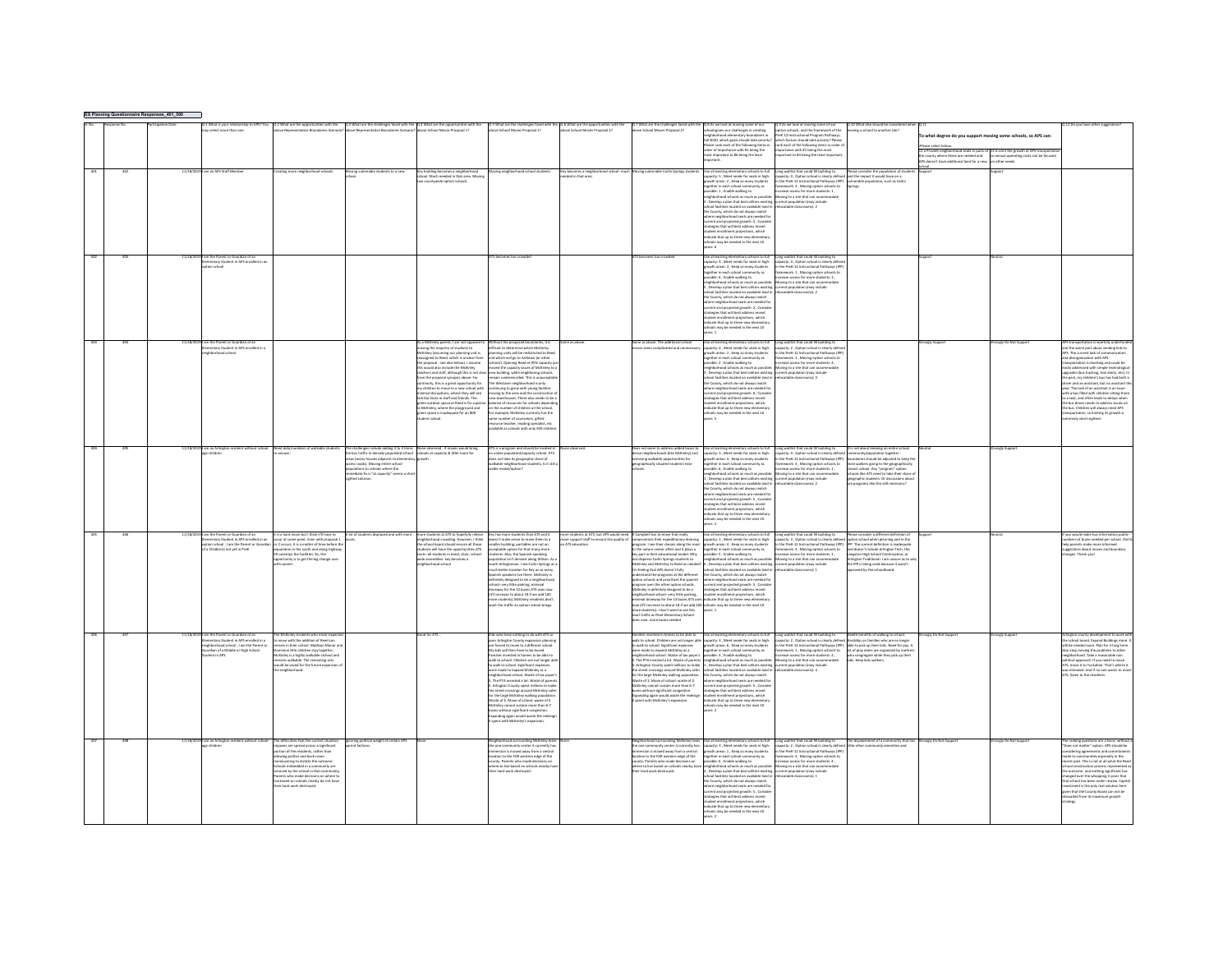|  |                                                                                                                                                                                                    |                                                                                                                                                                                                                                                                                                                                                                                           |                                                                                                                                                                                                                                              |                                                                                                                                                                                                                                                                                                                                                                                                                                                                                                                                                                                                                                                                                               |                                                                                                                                                                                                                                                                                                                                                                                                                                                                                                                                                                                                                                                                                                                                                                                                                              |                                                                                               |                                                                                                                                                                                                                                                                                                                                                                                                                                                                                                                                                                                                                                                                                                                                                                                                                                                           | righborhood elementary boundaries in<br>fall 2020, which eoals should take priority<br>use rank each of the following items in<br>olar of importance with #1 heins the<br>tant to #6 being the leas                                                                                                                                                                                                                                                                                                                                                                                                                                                                                                                       | t 9 As we look at moving some of our<br>ption schools, and the framework of the<br>reK 12-Instructional Program Pathways<br>ich factors should take priority? Pleas<br>ink each of the following items in order<br>tones with #1 hairs the most<br>tant to #4 being the least importa                                                                                                        | Q 10 What else should be consid<br>moving a school to another site?                                                                                                                                                                                                                       | o what degree do you support moving some schools, so APS can:<br>ase select below.<br>La Provide neighborhood seats in parts of 11 b Limit the growth of APS transporta<br>le county where these are needed and so annual operating costs can be focuse<br>S doesn't have additional land for a new | about notice         |                                                                                                                                                                                                                                                                                                                                                                                                                                                                                                                                                                                                                                          |
|--|----------------------------------------------------------------------------------------------------------------------------------------------------------------------------------------------------|-------------------------------------------------------------------------------------------------------------------------------------------------------------------------------------------------------------------------------------------------------------------------------------------------------------------------------------------------------------------------------------------|----------------------------------------------------------------------------------------------------------------------------------------------------------------------------------------------------------------------------------------------|-----------------------------------------------------------------------------------------------------------------------------------------------------------------------------------------------------------------------------------------------------------------------------------------------------------------------------------------------------------------------------------------------------------------------------------------------------------------------------------------------------------------------------------------------------------------------------------------------------------------------------------------------------------------------------------------------|------------------------------------------------------------------------------------------------------------------------------------------------------------------------------------------------------------------------------------------------------------------------------------------------------------------------------------------------------------------------------------------------------------------------------------------------------------------------------------------------------------------------------------------------------------------------------------------------------------------------------------------------------------------------------------------------------------------------------------------------------------------------------------------------------------------------------|-----------------------------------------------------------------------------------------------|-----------------------------------------------------------------------------------------------------------------------------------------------------------------------------------------------------------------------------------------------------------------------------------------------------------------------------------------------------------------------------------------------------------------------------------------------------------------------------------------------------------------------------------------------------------------------------------------------------------------------------------------------------------------------------------------------------------------------------------------------------------------------------------------------------------------------------------------------------------|---------------------------------------------------------------------------------------------------------------------------------------------------------------------------------------------------------------------------------------------------------------------------------------------------------------------------------------------------------------------------------------------------------------------------------------------------------------------------------------------------------------------------------------------------------------------------------------------------------------------------------------------------------------------------------------------------------------------------|----------------------------------------------------------------------------------------------------------------------------------------------------------------------------------------------------------------------------------------------------------------------------------------------------------------------------------------------------------------------------------------------|-------------------------------------------------------------------------------------------------------------------------------------------------------------------------------------------------------------------------------------------------------------------------------------------|-----------------------------------------------------------------------------------------------------------------------------------------------------------------------------------------------------------------------------------------------------------------------------------------------------|----------------------|------------------------------------------------------------------------------------------------------------------------------------------------------------------------------------------------------------------------------------------------------------------------------------------------------------------------------------------------------------------------------------------------------------------------------------------------------------------------------------------------------------------------------------------------------------------------------------------------------------------------------------------|
|  | m an APS Staff Me                                                                                                                                                                                  |                                                                                                                                                                                                                                                                                                                                                                                           |                                                                                                                                                                                                                                              | uilding becomes a neighborhood<br>hool. Much needed in that area. Mor                                                                                                                                                                                                                                                                                                                                                                                                                                                                                                                                                                                                                         |                                                                                                                                                                                                                                                                                                                                                                                                                                                                                                                                                                                                                                                                                                                                                                                                                              | becomes a neix<br>led in that are                                                             |                                                                                                                                                                                                                                                                                                                                                                                                                                                                                                                                                                                                                                                                                                                                                                                                                                                           | ke all existing elementary schools to fiel<br>pacity: 5 , Meet needs for seats in high-<br>owth areas: 2 , Keep as many students<br>gether in each school community as<br>.<br>sible: 1 , Enable walking to<br>ghborhood schools as much as pos<br>Develop a plan that best utilizes existin<br>tel facilities located on available land is<br>he County, which do not always match<br>where neighborhood seats are needed for<br>current and projected growth: 4 , Conside<br>strategies that will best address recent<br>tudent enrollment projections, which<br>idicate that up to three new elementary<br>chools may be needed in the next 10<br>are 6                                                                | ng waitlist that could fill building to<br>.<br>pacity: 4 , Option school is clearly defined and the impact it would have on a<br>the PreK-12 Instructional Pathways (IPP) - vulnerable occulation. such as Car<br>work: 3, Moving option schools to<br>rease access for more students: 1 ,<br>oving to a site that can accommodate<br>rent population (may include<br>atable classrooms): 2 | ease consider the population of st<br>ings.                                                                                                                                                                                                                                               |                                                                                                                                                                                                                                                                                                     |                      |                                                                                                                                                                                                                                                                                                                                                                                                                                                                                                                                                                                                                                          |
|  | 11/18/2019 i am the Parent or Guardian of an<br>Elementary Student in APS enrolled in a<br>option school                                                                                           |                                                                                                                                                                                                                                                                                                                                                                                           |                                                                                                                                                                                                                                              |                                                                                                                                                                                                                                                                                                                                                                                                                                                                                                                                                                                                                                                                                               |                                                                                                                                                                                                                                                                                                                                                                                                                                                                                                                                                                                                                                                                                                                                                                                                                              |                                                                                               |                                                                                                                                                                                                                                                                                                                                                                                                                                                                                                                                                                                                                                                                                                                                                                                                                                                           | ise all existing elementary schools to full<br>apacity: 4 , Meet needs for seats in high-<br>rowth areas: 3 , Keep as many students<br>agether in each school community as<br>sible: 6 . Enable walking to<br>wighborhood schools as much as possible<br>Desigher a mian that hast utilizes existing<br>chool facilities located on available land is<br>thool facilities located on available land is<br>the County, which do not always match<br>ihere neighborhood seats are needed fo<br>urrent and projected growth: 2 , Conside<br>strategies that will best address recent<br>udent enrollment projections, which<br>dicate that up to three new elementary<br>not may be needed in the next 10                    | ong waitlist that could fill building to<br>apacity: 4 , Option school is clearly define<br>the PreK-12 Instructional Pathways (IPF<br>mework: 1, Moving option schools to<br>wase access for more students: 3 .<br>oving to a site that can accomm<br>cant nonclation (may include<br>atable classrooms): 2                                                                                 |                                                                                                                                                                                                                                                                                           |                                                                                                                                                                                                                                                                                                     |                      |                                                                                                                                                                                                                                                                                                                                                                                                                                                                                                                                                                                                                                          |
|  | im the Parent or Guardian of a<br>nentary Student in APS enrolled in                                                                                                                               |                                                                                                                                                                                                                                                                                                                                                                                           |                                                                                                                                                                                                                                              | McKinley parent, I am not op<br>noving the majority of students to<br>nley (assuming our planning unit is<br>eassigned to Reed, which is unclear from<br>the proposal - see also below). I assume<br>ende also include the McKinker<br>ns would also include the wickinary<br>eachers and staff, although this is not clea<br>rom the proposal synopsis above. For<br>continuity, this is a great opportunity for<br>my children to move to a new school with<br>imal disruptions, where they will see<br>amiliar faces in staff and friends. The<br>green outdoor space at Reed is far super<br>to McKinley, where the playground and<br>green space is inadequate for an 800<br>ent school. | out the proposed boundaries, it<br>difficult to determine which McKinley<br>nning units will be redistricted to Ree<br>and which will go to Ashlawn (or other<br>schools). Opening Reed at 95% capacity iu<br>moved the canacity issues of McKinley to<br>moves the capacity nases or McMiley of<br>new building, while neighboring schools<br>remain underenrolled. This is unacoepti<br>The Westover neighborhood is only<br>continuing to grow with young families<br>moving to the area and the construction c<br>new townhouses. There also needs to be a<br>ance of resources for schools dene<br>n the number of children at the school<br>sample, McKinley currently has the<br>e number of counselors, gifted<br>surce teacher, reading specialist, etc<br>ailable as schools with only 500 childs                  |                                                                                               | lame as above. The additional school<br>s seem complicated and unnecessa                                                                                                                                                                                                                                                                                                                                                                                                                                                                                                                                                                                                                                                                                                                                                                                  | pacity: 4, Meet needs for seats in high-<br>ath areas: 1, Keep as many studen<br>arether in each school community as<br>sible: 2 . Enable walking to<br>eighborhood schools as much as possibl<br>neignbornood schools as much as possible:<br>3 , Develop a plan that best utilizes existing<br>school facilities located on available land in<br>the County, which do not always match<br>where neighborhood seats are needed for<br>current and projected growth: 6 , Conside<br>trategies that will best address recent<br>dent enrollment projections, which<br>dicate that up to three new elementar<br>hook may be needed in the next 10<br>ses: 5                                                                 | ong waitlist that could<br>pacity: 2, Option school is clearly defin<br>the PreK-12 Instructional Pathways (IPI<br>nework: 1 . Moving option schools to<br>ease access for more students: 4.<br>oving to a site that can accomm<br>rrent population (may include<br>ocatable classrooms): 3                                                                                                  |                                                                                                                                                                                                                                                                                           |                                                                                                                                                                                                                                                                                                     | ingly Do Not Su      | nd the worst part about sending kids to<br>PS. The current lack of cor<br>d disceganization with APS<br>oortation is shocking and could be<br>expositions in ancouring with simple technological<br>sprades (bus tracking, text alerts, etc.). In<br>e past, my children's bus has had both a<br>free and an assistant, but no assistant th<br>year. The lack of an assistant is an issue<br>with a bus filled with children sitting three<br>a seat, and often leads to delays when<br>e bus driver needs to address issues on<br>e bus. Children will always need APS<br>ansportation, so limiting its growth is<br>mely short-sighted |
|  |                                                                                                                                                                                                    |                                                                                                                                                                                                                                                                                                                                                                                           | r challenges include adding 3 to 4 times<br>bus traffic in densely populated school<br>ias (many houses adjacent to elementar<br>ass roads). Moving entire school<br>lations to schools where the<br>rediate fix is "at capacity" seems a sh | .<br>None observed - if moves would b<br>schools at capacity & little room fo                                                                                                                                                                                                                                                                                                                                                                                                                                                                                                                                                                                                                 | TS is a program and should be located in<br>1 under-populated/capacity school. ATS<br>does not take its geographic share of<br>walkable neighborhood students. Is it still<br>viable model/option?                                                                                                                                                                                                                                                                                                                                                                                                                                                                                                                                                                                                                           |                                                                                               | Does not seem to address added buses to<br>dense neighborhoods (like McKinley) and<br>removing walkable opportunities for<br>prographically situated students near                                                                                                                                                                                                                                                                                                                                                                                                                                                                                                                                                                                                                                                                                        | as existing elementary schools to rui<br>acity: 3 , Meet needs for seats in high-<br>wth areas: 4, Keep as many student<br>ether in each school community as<br>ssible: 6, Enable walking to<br>eighborhood schools as much as possibly<br>. Develop a plan that best utilizes existing<br>chool facilities located on available land is<br>thool facilities located on available land is<br>to County, which do not always match<br>hood seats are needed fo<br>re neighbor<br>urrent and projected growth: S., Conside<br>trategies that will best address recent<br>tudent enrollment projections, which<br><b>Scate that up to three new elementar</b><br>ols may be needed in the next 10<br>are 2                   | ong weitlist that could fill building to<br>apacity: 4 , Option school is clearly defin<br>the PreK-12 Instructional Pathways (IPP)<br>amework: 3 , Moving option schools to<br>rease access for more students: 1,<br>oving to a site that can accommodate<br>sent population (may include<br>stable classrooms): 2                                                                          | nunity/population together -<br>daries should be adjusted to keep th<br>st walkers going to the geographicall<br>dosest school. Any "program" option<br>chools like ATS need to take their share<br>ographic students. Or discussions abo<br>programs like this still necessary?          |                                                                                                                                                                                                                                                                                                     |                      |                                                                                                                                                                                                                                                                                                                                                                                                                                                                                                                                                                                                                                          |
|  | entary Student in APS enrolled in an<br>a Childiren) not yet in PreK                                                                                                                               | is a hard move but I think it'll have to<br>ccur at some point. Even with proposal 1<br>tion school, I am the Parent or Guardian or 2 occurs, it is a matter of time before the<br>ulation in the south and along highway<br>.<br>Doutstrips the facilities. So, the<br>pportunity is to get the big change over                                                                          |                                                                                                                                                                                                                                              | nts at ATS to hopefully r<br>reighborhood crowding. However, I think<br>Control of the state of the school board should ensure all those<br>students will have the new many<br>ents all students in hand, choir, school<br>ide assemblies, key becomes a<br>Hharhood school                                                                                                                                                                                                                                                                                                                                                                                                                   | Cey has more students than ATS and i<br>doesn't make sense to move them to a<br>smaller building; portables are not an<br>acceptable option for that many more<br>itudents. Also, the Spanish-speaking<br>population isn't densest along Wilson. As<br>South Arlingtonian, I see Carlin Springs as<br>much better location for Key as so many<br>Spanish speakers live there. McKinley is<br>initely designed to be a neighborhoo<br>school--very little parking, minimal<br>driveway for the 13 buses ATS uses now<br>011 Increase to about 18 if we add 100<br>(It'll increase to assors as a modern's do<br>more students) McKinley residents do<br>want the traffic an option school bring                                                                                                                               | re students at ATS, but APS would<br>ore support staff to ensure the quality<br>ATS education | Campbell has to move that really<br>npromises their expeditionary learning<br>peram. I see their classes along the road<br>the nature center often and it plays a<br>to the nature center often and it plays a<br>say part in their educational model. Why<br>tot disperse Carlin Springs students to<br>McKinley and McKinley to Reed as needed<br>"m feeling that APS doesn't fully<br>anderstand the programs a<br>tion schools and prioritizes the spanish<br>roaram over the other option schools<br>Sinley is definitely designed to be a<br>eighborhood school--very little parking<br>sugnoonnood school--very inter parking,<br>mirimal driveway for the 13 buses ATS uses<br>now (it'll increase to about 18 if we add 100<br>more students). I don't want to see this<br>inarl traffic as Fleet Elementary School<br>es now. more buses needed | sipacity: 2 , Meet needs for seats in high-<br>powth areas: 4 , Keep as many students<br>arether in each school community as<br>.<br>siible: 5 , Enable walking to<br>ighborhood schools as much as possible<br>Develop a plan that best utilizes existi<br>د, مسحسها # purn trust trest uteizes exister<br>ichool facilities located on available land<br>he County, which do not always match<br>here neighborhood seats are needed for<br>surrent and projected erowth: 3 . Conside<br>trategies that will best address recent<br>stresses one will be a subset of them.<br>In the that up to three new elementary<br>hools may be needed in the next 10<br>wars: 1                                                    | ong waitlist that could fill building to<br>pacity: 3 , Option school is clearly defined<br>the PreK-12 Instructional Pathways (IPP)<br>mework: 4 . Moving option schools to<br>ase access for more students: 2,<br>wing to a site that can accor.<br>ation (may include<br>table classrooms): 2                                                                                             | option school when planning and in the<br>IPP. The current definition is inadequate<br>and doesn't include Arlineton Tech, the<br>.<br>Angston High School Continuation, or<br>Irington Traditional. I am unsure as to wh<br>the IPP is being used because it wasn't                      |                                                                                                                                                                                                                                                                                                     |                      | make bus in<br>umbers of buses needed per school, that<br>elp parents make more informed<br>eastions about moves and boundary<br>ness Thank you!                                                                                                                                                                                                                                                                                                                                                                                                                                                                                         |
|  | am the Parent or Guardian of an<br>the Parent or Guardian or an<br>nentary Student in APS enrolled in a<br>hiborhood school , I am the Parent or<br>rdian of a Middle or High School<br>ent in APS | a McDelay shortants who nasar axo-<br>move with the addition of Reed can<br>main in their school. Madison Manor a<br>main in their school. Madison Manor a<br>sion Hills children stay together.<br>cKinley is a highly walkable stchool and<br>ains walkable. The remaining sets<br>ould be saved for the future expansion<br>neighborhood                                               |                                                                                                                                                                                                                                              | Les ATV                                                                                                                                                                                                                                                                                                                                                                                                                                                                                                                                                                                                                                                                                       | ods who have nothing to do with ATS or<br>nua wine inverticuing to to winn it is to<br>poor Arlington County expansion planning<br>My kids will then have to be bused.<br>silies invested in homes to be able to<br>walk to school. Children are not longer ab<br>to walk to school. Sienificant expense<br>re made to copand McKinley as a<br>abbordened orbend. Waste of tax navs<br>sugnatemate scribes, water or tax payer s<br>3. The PTA invested a lot. Waste of parents<br>3. Arlington County spent millions to make<br>the street crossings around McKinley safer<br>for the large McKinley walking populatio<br>Waste of \$. Move of school: waste of \$<br>McKinley cannot sustain more than 6-7<br>servey carrier summittee user one<br>panding again would waste the redes<br>spent with McKinley's expansion. |                                                                                               | ested in homes to be able to<br>annes avesses in norms to be sure to<br>talk to school. Children are not longer able<br>were made to expand McKinley as a<br>reighborhood school. Waste of tax payer's<br>. The PTA invested a lot. Waste of parents<br>Arlineton County spent millions to make<br>e street crossines around McKinley safer<br>or the large McKinley walking population.<br>Vaste of \$. Move of school: waste of \$<br>Ackinley cannot sustain more than 6-7<br>uses without significant congestion.<br>spanding again would waste the redesign<br>ispent with McKinley's expansion.                                                                                                                                                                                                                                                     | Use all existing elementary schools to full<br>Use as existing elementary schools to full<br>capacity: 4 , Meet needs for seats in high-<br>growth areas: 6 , Keep as many students<br>together in each school community as<br>possible: 3, Enable walking to<br>.<br>neighborhood schools as much as possible:<br>1 , Develop a plan that best utilizes existing<br>hool facilities located on available land is<br>e County, which do not always match<br>we county, which do not always match<br>where neighborhood seats are needed for<br>transgies that will best address recent<br>student enrollment projections, which<br>indicate that up to three new elementary<br>hools may be needed in the next 10<br>$-2$ | ong waitlist that could fill building to<br>ong wurthst that could till building to<br>spacity: 2 , Option school is clearly define<br>the PreK-12 Instructional Pathways (IPP)<br>amework: 1 , Moving option schools to<br>ease access for more students: 4,<br>oving to a site that can accommodate<br>urrent population (may include<br>catable classrooms): 3                            | tealth henefits of walking to school<br>Hardship on families who are no longer<br>tardship on families who are no longer<br>the to pick up their kids. Need for pay. A<br>lot of play dates are organized by mothe<br>who congregate while they pick up their<br>kids. Keep kids walkers. | web: Do Not Sunno                                                                                                                                                                                                                                                                                   |                      | school board. Expand Buildings more<br>be needed soon. Plan for it long terr<br>o stop moving the problems to other<br>ghborhood. Take a reasonable non<br>ical approach. If you need to move<br>TS, move it to Tuckahoe. That's where it<br>ended. And if no one wants to a<br><b>V</b> School to the con                                                                                                                                                                                                                                                                                                                               |
|  | 11/18/2019 Lam an Arlington resider<br>e children                                                                                                                                                  | The difficulties that the current situation<br>oses are spread across a significant<br>sions are spread across a significant<br>wing politics and back-room<br>neuvering to dictate the outcome.<br>hools embedded in a community are<br>rviced by the school in that communit<br>arents who made decisions on where to<br>e based on schools nearby do not have<br>r hard work destroyed | noring political weight of certain AP!<br>nt factions                                                                                                                                                                                        |                                                                                                                                                                                                                                                                                                                                                                                                                                                                                                                                                                                                                                                                                               | Neighborhood surrounding McKinley loses<br>the one community center it currently has<br><b>Internation is moved away from a central</b><br>location to the FAR western edge of the<br>county. Parents who made decisions on<br>where to live based on schools nearby !<br>their hard work destroyed.                                                                                                                                                                                                                                                                                                                                                                                                                                                                                                                         |                                                                                               | eighborhood surrounding McKinley loser<br>he one community center it currently has<br>mention is moved away from a central<br>cration to the FAR western edge of the<br>currly. Parents who made decisions on<br>there to live based on schools nearby have<br>hard work destroyed                                                                                                                                                                                                                                                                                                                                                                                                                                                                                                                                                                        | he all existing elementary schools to full<br>apacity: 3 . Meet needs for seats in high<br>oucly, a , were resus for seasoning<br>puth areas: 1 , Keep as many student<br>puther in each school community as<br>sable: 6 , Enable walking to<br>righborhood schools as much as possible:<br>, Develop a plan that best utilizes existing<br>chool facilities located on available land in<br>the County, which do not always match<br>ere neighborhood seats are needed for<br>of the imaginational and are research<br>trategies that will best address recent<br>tudent enrollment projections, which<br>indicate that up to three new elementary<br>schools may be needed in the next 10<br>wars: 2                    | Long waitlist that could fill building to<br>acity: 2. Option school is clearly define<br>the PreK-12 Instructional Pathways (IPP)<br>Imework: 3 , Moving option schools to<br>trease access for more students: 4 ,<br>oving to a site that can accommodat<br>rrent population (may include<br>ocatable classrooms): 1                                                                       | The displacement of a community that has<br>ittle other community amenities and                                                                                                                                                                                                           | rongly Do Not Support                                                                                                                                                                                                                                                                               | rangly Do Not Suppor | e ranking questions are a farce, with<br>ses not matter" option. APS should be<br>sidering agreements and co<br>de to communities especiall<br>ally in the<br>ent past. This is not at all what the Ree<br>ent past. This is not at all what the Ree<br>ool construction process represented<br>e outcome- and nothing significant ha<br>hanged over the whopping 3 years that<br>hat school has been under review. Capit<br>sent is the only real solution her<br>in that the County Board can not be<br>ded from its ma<br>num growth<br>ategy.                                                                                        |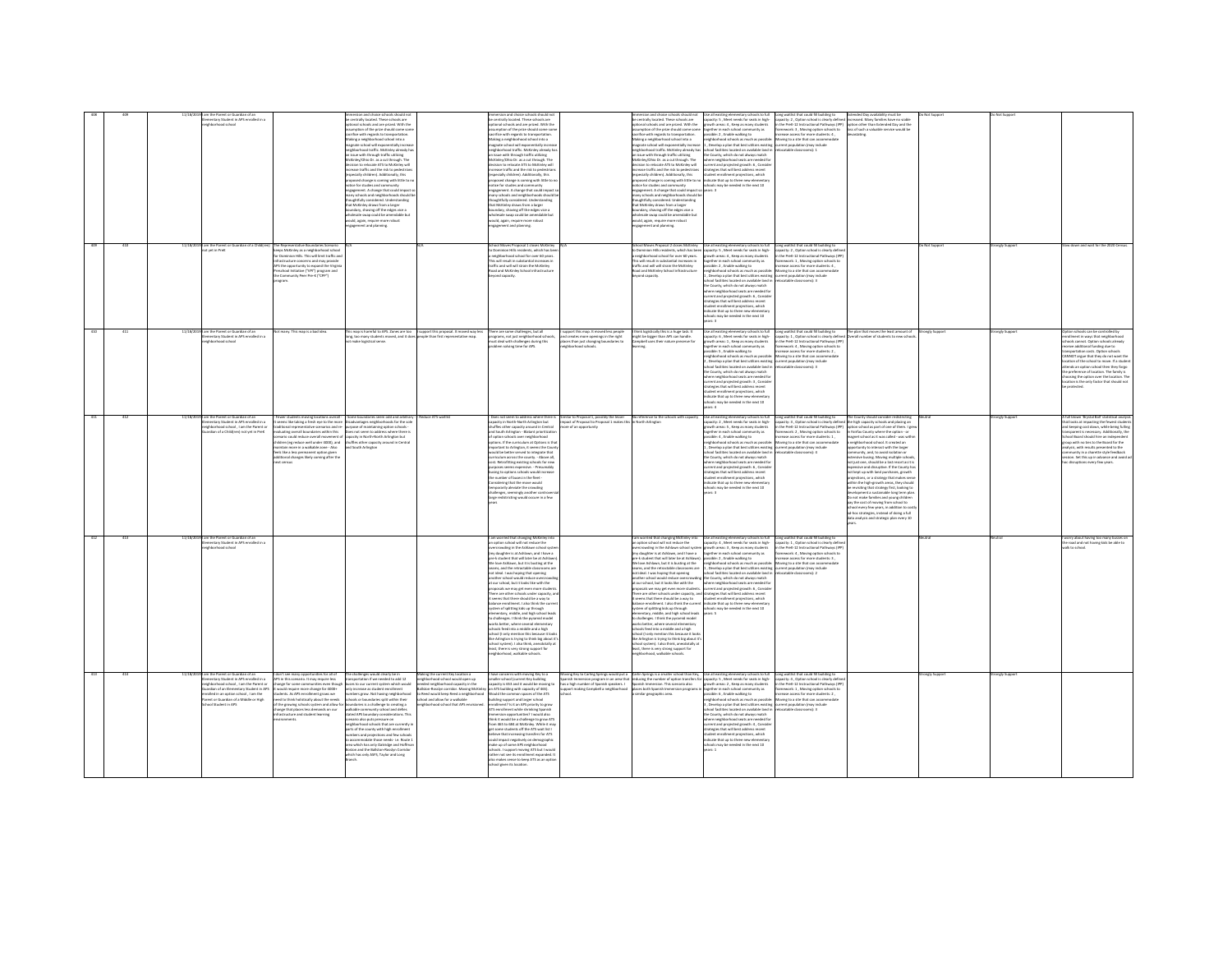|     |     |           | the Parent or Guardian of an<br>entary Student in APS enrolled in a<br>hharhoad school                                                                                                                                                                       |                                                                                                                                                                                                                                                                                                                                                                                               | ion and choice schools should r<br>entrally located. These schools are<br>anal schools and are prized. With the<br>mption of the prize should come son<br>fice with regards to transportation<br>scina a neighborhood school into a<br><b>pate school will exponentially increased in the school will exponentially increased</b><br>phorhood traffic. McKinley already h<br>issue with through traffic utilizing<br>extending Ohio Dr. as a cut through. The<br>cision to relocate ATS to McKinley will<br>crease traffic and the risk to pedestrian<br>secially children). Additionally, this<br>represent change is coming with little to notice for studies and community<br>otice for studies and community<br>ngagement. A change that could impact r<br>inv schools and neighborhoods should b<br>sughtfully considered. Understanding<br>at McKinley draws from a larger<br>ndary, shaving off the edges vice a<br>sala swan rould he amendable hu<br>suld, again, require more robust<br>agement and planning. |                                                                                                                                                                                                                                                                | sion and choice schools should n<br>centrally located. These schools are<br>ional schools and are prized. With the<br>umption of the prize should come som<br>fice with regards to transportation<br>s othi loorba boorhood show a shik<br>magnate school will exponentially increase<br>neighborhood traffic. McKinley already ha<br>an issue with through traffic utilizing<br>.<br>EKinley/Ohio Dr. as a cut through. The<br>Icision to relocate ATS to McKinley will<br>rease traffic and the risk to pedestria<br>secially children). Additionally, this<br>proposed change is coming with little to no<br>notice for studies and community<br>engagement. A change that could impact s<br>any schools and neighborhoods should b<br>oughtfully considered. Understanding<br>at McKinley draws from a larger<br>undary, shaving off the edges vice a<br>.<br>vholesale swap could be amendable but<br>vould, again, require more robust<br>gagement and planning.                                                                                                 |                                                                                                                                         | rsion and choice schools should not<br>be centrally located. These schools are<br>or concern schools and are prized. With the<br>assumption of the prize should come some<br>sacrifice with regards to transportation.<br>Making a neighborhood school into a<br>mening e immyineriineed SCROOLINIO a<br>magnate school will exponentially increase<br>neighborhood traffic. McKinky already has sol<br>in issue with through traffic utilizing<br>McKinley/Ohio Dr. as a cut through. The<br>decision to relocate ATS to McKinley will<br>increase traffic and the risk to pedestrians<br>pecially children). Additionally, this<br>experience of change is coming with little to no <b>indicate that up to three new elements</b><br>proposed change is coming with little to no <b>indicate that up to three new elements</b><br>engagement. A change that could impact so years<br>nany schools and neighborhoods should be<br>.<br>houghtfully considered. Understanding<br>hat McKinley draws from a larger<br>cundary, shaving off the edges vice a<br>aholesale swap could be amendable but<br>would, again, require more robust<br>gagement and planning.            | Use all existing elementary schools to full<br>apacity: S , Meet needs for seats in high-<br>rowth areas: 4 , Keep as many students<br>together in each school community as<br>possible: 2 , Enable walking to<br>ishborhood schools as much as possible:<br>, Develop a plan that best utilizes existing<br>thool facilities located on available land in<br>the County, which do not always match<br>we county, which do not annuys match<br>where neighborhood seats are needed for<br>trategies that will best address recent<br>student enrollment projections, which                                                                                                        | Long waitlist that could fill building to<br>apacity: 2 , Option school is clearly defined increased. Many families have no viable<br>Is the PreK-12 Instructional Pathways (IPP) option other than Extended Day and the<br>Framework: 3, Moving option schools to<br>ease access for more students: 4,<br>Moving to a site that can accommodate<br>urrent population (may include<br>elocatable classrooms): 1 | Extended Day availability must be<br>loss of such a valuable service would be                                                                                                                                                                                                                                                                                                                                                                                                                                                                                                                                                                                                                                                                                                                                                                                                       | Not Support        |               |                                                                                                                                                                                                                                                                                                                                                                                                                                                    |
|-----|-----|-----------|--------------------------------------------------------------------------------------------------------------------------------------------------------------------------------------------------------------------------------------------------------------|-----------------------------------------------------------------------------------------------------------------------------------------------------------------------------------------------------------------------------------------------------------------------------------------------------------------------------------------------------------------------------------------------|-------------------------------------------------------------------------------------------------------------------------------------------------------------------------------------------------------------------------------------------------------------------------------------------------------------------------------------------------------------------------------------------------------------------------------------------------------------------------------------------------------------------------------------------------------------------------------------------------------------------------------------------------------------------------------------------------------------------------------------------------------------------------------------------------------------------------------------------------------------------------------------------------------------------------------------------------------------------------------------------------------------------------|----------------------------------------------------------------------------------------------------------------------------------------------------------------------------------------------------------------------------------------------------------------|------------------------------------------------------------------------------------------------------------------------------------------------------------------------------------------------------------------------------------------------------------------------------------------------------------------------------------------------------------------------------------------------------------------------------------------------------------------------------------------------------------------------------------------------------------------------------------------------------------------------------------------------------------------------------------------------------------------------------------------------------------------------------------------------------------------------------------------------------------------------------------------------------------------------------------------------------------------------------------------------------------------------------------------------------------------------|-----------------------------------------------------------------------------------------------------------------------------------------|-------------------------------------------------------------------------------------------------------------------------------------------------------------------------------------------------------------------------------------------------------------------------------------------------------------------------------------------------------------------------------------------------------------------------------------------------------------------------------------------------------------------------------------------------------------------------------------------------------------------------------------------------------------------------------------------------------------------------------------------------------------------------------------------------------------------------------------------------------------------------------------------------------------------------------------------------------------------------------------------------------------------------------------------------------------------------------------------------------------------------------------------------------------------------------|-----------------------------------------------------------------------------------------------------------------------------------------------------------------------------------------------------------------------------------------------------------------------------------------------------------------------------------------------------------------------------------------------------------------------------------------------------------------------------------------------------------------------------------------------------------------------------------------------------------------------------------------------------------------------------------|-----------------------------------------------------------------------------------------------------------------------------------------------------------------------------------------------------------------------------------------------------------------------------------------------------------------------------------------------------------------------------------------------------------------|-------------------------------------------------------------------------------------------------------------------------------------------------------------------------------------------------------------------------------------------------------------------------------------------------------------------------------------------------------------------------------------------------------------------------------------------------------------------------------------------------------------------------------------------------------------------------------------------------------------------------------------------------------------------------------------------------------------------------------------------------------------------------------------------------------------------------------------------------------------------------------------|--------------------|---------------|----------------------------------------------------------------------------------------------------------------------------------------------------------------------------------------------------------------------------------------------------------------------------------------------------------------------------------------------------------------------------------------------------------------------------------------------------|
| 409 | 410 |           | 11/18/2019 I am the Parent or Guardian of a Child(ren) The Representative Boundaries Scenario                                                                                                                                                                |                                                                                                                                                                                                                                                                                                                                                                                               |                                                                                                                                                                                                                                                                                                                                                                                                                                                                                                                                                                                                                                                                                                                                                                                                                                                                                                                                                                                                                         |                                                                                                                                                                                                                                                                | School Moves Proposal 1 closes McKinley                                                                                                                                                                                                                                                                                                                                                                                                                                                                                                                                                                                                                                                                                                                                                                                                                                                                                                                                                                                                                                |                                                                                                                                         |                                                                                                                                                                                                                                                                                                                                                                                                                                                                                                                                                                                                                                                                                                                                                                                                                                                                                                                                                                                                                                                                                                                                                                               |                                                                                                                                                                                                                                                                                                                                                                                                                                                                                                                                                                                                                                                                                   |                                                                                                                                                                                                                                                                                                                                                                                                                 |                                                                                                                                                                                                                                                                                                                                                                                                                                                                                                                                                                                                                                                                                                                                                                                                                                                                                     | <b>Not Support</b> | ongly Support | w down and wait for the 2020 Census                                                                                                                                                                                                                                                                                                                                                                                                                |
|     |     |           | vet in PreK                                                                                                                                                                                                                                                  | eos McKinley as a neighborhood schoo<br>Dominion Hills. This will limit traffic an<br>tructure concerns and may provide<br>VPS the opportunity to expand the Virgini<br>reschool Initiative ("VPI") program and<br>te Community Peer Pre-K ("CPP")                                                                                                                                            |                                                                                                                                                                                                                                                                                                                                                                                                                                                                                                                                                                                                                                                                                                                                                                                                                                                                                                                                                                                                                         |                                                                                                                                                                                                                                                                | Jominion Hills residents, which has be<br>neighborhood school for over 60 years.<br>Its will result in substantial increases in<br>traffic and will will strain the McKinley<br>Road and McKinley School infrastructur<br>ond capacity.                                                                                                                                                                                                                                                                                                                                                                                                                                                                                                                                                                                                                                                                                                                                                                                                                                |                                                                                                                                         | School Moves Proposal 2 closes McKinkry Liber all existing elementary schools to full Long waitlist that could fill building to<br>to Dominion Hills residents, which has been capacity: S., Meet needs for seats in high- capaci<br>a neighborhood school for over 60 years.<br>This will result in substantial increases in<br>traffic and will will strain the McKinley<br>load and McKinley School infrastructure<br>and capacity.                                                                                                                                                                                                                                                                                                                                                                                                                                                                                                                                                                                                                                                                                                                                        | growth areas: 4 , Keep as many students<br>together in each school community as<br>ssible: 2, Enable walking to<br>eighborhood schools as much as possible: Moving to a site that can accommodate<br>Develop a plan that best utilizes existin<br>ool facilities located on available land<br>the County, which do not always match<br>ere neighborhood seats are needed fo<br>rrent and projected growth: 6, Consid<br>trategies that will best address recent<br>dent enrollment projections, which<br>.<br>dicate that up to three new elements<br>hools may be needed in the next 10<br>ers:3                                                                                 | acity: 2. Option school is clearly defin<br>the PreK-12 Instructional Pathways (IPE<br>ework: 1, Moving option schools t<br>crease access for more students: 4,<br>rrant nonclation<br><b><i><u>Senara instituzioni</u></i></b><br>catable classrooms): 3                                                                                                                                                       |                                                                                                                                                                                                                                                                                                                                                                                                                                                                                                                                                                                                                                                                                                                                                                                                                                                                                     |                    |               |                                                                                                                                                                                                                                                                                                                                                                                                                                                    |
|     |     |           | n the Parent or Guardian of an<br>entary Student in APS enrolled in a<br>ighborhood school                                                                                                                                                                   | many. This man is a hart idea.                                                                                                                                                                                                                                                                                                                                                                | .<br>This map is harmful to APS. Zones are too in support this proposal. It moved way les<br>long, too many students moved, and it does people than first representative map.<br>make logistical sense.                                                                                                                                                                                                                                                                                                                                                                                                                                                                                                                                                                                                                                                                                                                                                                                                                 |                                                                                                                                                                                                                                                                | There are some challenges, but all<br>programs, not just neighborhood schools,<br>must deal with challenges during this<br>blem solving time for APS                                                                                                                                                                                                                                                                                                                                                                                                                                                                                                                                                                                                                                                                                                                                                                                                                                                                                                                   | mount this man. It mousef lass is<br>creates more openings in the right<br>alaces than just changing boundaries to<br>abbrehood schools | l think logistically this is a huge task. I<br>might be bigger than APS can handle.<br>Campbell uses their nature preserve for                                                                                                                                                                                                                                                                                                                                                                                                                                                                                                                                                                                                                                                                                                                                                                                                                                                                                                                                                                                                                                                | acity: 6, Meet needs for seats in high-<br>owth areas: 1, Keep as many students<br>eether in each school community as<br>sible: 5, Enable walking to<br>lighborhood schools as much as possible: Moving to a site that can accommodate<br>, Develop a plan that best utilizes existing current population (may include<br>ed facilities lecated on available land i<br>County, which do not always match<br>ere neighborhood seats are needed fo<br>rrent and projected growth: 3 , Conside<br>rategies that will best address recent<br>Iment projections, which<br>dicate that up to three new elementar<br>Of type adt ni habase ad uses the<br>$\sim$                         | ong waitlist that could fill building to<br>capacity: 1, Option school is clearly defined<br>in the PreK-12 Instructional Pathways (IPP)<br>framework: 4 . Moving option schools to<br>wase access for more students: 2.<br>P-Commonsaire ablates                                                                                                                                                               | The nian that moves the least amount of<br>rall number of students to new scho                                                                                                                                                                                                                                                                                                                                                                                                                                                                                                                                                                                                                                                                                                                                                                                                      | rongly Support     |               | is can be controlled in<br>liment in ways that neighborhood<br>hools cannot. Option schools already<br>eive additional funding due to<br>cetation costs. Option schools<br>NNOT argue that they do not want the<br>ation of the school to move. If a studen<br>nds an ootion school then they foreo<br>preference of location. The family is<br>asing the option over the location. The<br>cation is the only factor that should not<br>protected. |
|     |     |           | im the Parent or Guardian of an<br>entary Student in APS enrolled in a<br>hborhood school , I am the Parent or<br>rdian of a Child(ren) not yet in PreK                                                                                                      | wer students moving locations overall<br>ditional representative scenarios and re<br>eluating overall boundaries within this<br>mario could reduce overall movement of<br>hildren (ex reduce well under 4000), and<br>tain more in a walkable zone - Also<br>.<br>Feels like a less permanent option given<br>additional changes likely coming after the<br>rensis                            | - Some boundaries seem odd and arbitrary<br>seems like taking a fresh eye to the more Disadvantages neighborhoods for the sol<br>purpose of maintaining option schools -<br>Does not seem to address where there is<br>capacity in North-North Arlinaton but<br>shuffles other capacity around in Central<br>nd South Arlington                                                                                                                                                                                                                                                                                                                                                                                                                                                                                                                                                                                                                                                                                         | duce ATS waitlis                                                                                                                                                                                                                                               | oes not seem to address where then<br>acity in North-North Arlineton but<br>uffles other capacity around in Central<br>id South Arlington - Blatant prioritizatio<br>boothod teler two idooto: noitoo le<br>lons. If the curriculum at Ootions is that<br>ortant to Arlington, it seems the Count<br>would be better served to integrate that<br>curriculum across the county. - Above all,<br>ost. Retrofitting existing schools for new<br>sus contuining exempts to the text<br>purposes seems expensive. - Presumably<br>busing to options schools would increase<br>e number of buses in the fleet -<br>sidering that the move would<br>recrarily aleviate the crowding<br>challenges, seemingly another cor<br>rge redistricting would occure in a few                                                                                                                                                                                                                                                                                                           | milar to Proposal 1, possibly the lesser<br>pact of Proposal to Proposal 1 makes this in North Arlington<br>re of an opportunity        | No reference to the schools with capacit                                                                                                                                                                                                                                                                                                                                                                                                                                                                                                                                                                                                                                                                                                                                                                                                                                                                                                                                                                                                                                                                                                                                      | Use all existing elementary schools to full<br>pacity: 2, Meet needs for seats in high-<br>wth areas: S., Keep as many students<br>gether in each school con<br>ssible: 4 . Enable walking to<br>ighborhood schools as much as possible:<br>Develop a plan that best utilizes existing<br>hool facilities located on available land in<br>he County, which do not always match<br>ere neighborhood seats are needed for<br>even impleasing awas are invested to<br>rrent and projected growth: 6 , Consid<br>rategies that will best address recent<br>fent enrollment projections, which<br>Scate that up to three new elements<br>hools may be needed in the next 10<br>ears: 3 | Long waitlist that could fill building to<br>capacity: 3 . Option school is clearly defined the high capacity schools and placing an<br>in the PreK-12 Instructional Pathways (IPP)<br>framework: 2 , Moving option schools to<br>crease access for more students: 1.<br>Moving to a site that can accommodate<br>urrent population (may include<br>locatable classrooms): 4                                    | te County should consider redistricting<br>ption school as part of one of them. I gre<br>In Fairfax County where the option - or<br>magnet school as it was called - was with<br>eighborhood school. It created an<br>unity to interact with the larger<br>nunity, and, to avoid isolation or<br>ensive busing. Moving multiple schoo<br>not just one, should be a last resort as it is<br>expensive and disruptive. If the County has<br>not kept up with land purchases, growth<br>iections, or a strategy that makes sent<br>.<br>hin the high-growth areas, they should<br>revisiting that strategy first, looking to<br>relopment a sustainable long term plar<br>to not make families and young children<br>y the cost of moving from school to<br>ool every few years, in addition to c<br>hoc strategies, instead of doing a full<br>a analysis and strategic plan every 10 |                    | ongly Suppor  | full blown 'Brystal Ball' statistical analysi<br>at looks at impacting the fewest studes<br>i<br>I keeping cost down, while being fulling<br>nsparent is necessary. Additionally, the<br>hool Board should hire an independent<br>oup with no ties to the Board for the<br>sis, with results presented to the<br>nunity in a charette style feedback<br>ssion. Set this up in advance and avoid ad<br>disruptions every few years.                 |
| 412 | 413 | 11/18/201 | l am the Parent or Guardian of an<br>Elementary Student in APS enrolled in a<br>barhoad school                                                                                                                                                               |                                                                                                                                                                                                                                                                                                                                                                                               |                                                                                                                                                                                                                                                                                                                                                                                                                                                                                                                                                                                                                                                                                                                                                                                                                                                                                                                                                                                                                         |                                                                                                                                                                                                                                                                | am worried that changing McKinley is<br>in option school will not reduce the<br>crowding in the Ashlawn school sys<br>my daughter is at Addissen, and I have a<br>e-k student that will later be at Ashl<br>We love Ashlawn, but it is busting at the<br>eams, and the retractable class<br>not ideal. I was hooing that opening<br>another school would reduce overcrow<br>at our school, but it looks like with the<br>posals we may get even more student<br>sere are other schools under capacity, a<br>seems that there should be a way to<br>lance enrollment. I also think the cur<br>ystem of splitting kids up through<br>Nementary, middle, and high school lead<br>announcey, meson, and right screen real<br>orks better, where several elementary<br>corks better, where several elementary<br>ools feed into a middle and a high<br>hool (I only mention this because it look<br>a Arlington is trying to think big about i<br>school system). I also think, anecdotally a<br>least, there is very strong support for<br>neighborhood, walkable schools. |                                                                                                                                         | I am worried that changing McKinley into<br>an option school will not reduce the<br>rcrowding in the Ashlawn school syst-<br>my daughter is at Ashlawn, and I have a<br>re-k student that will later be at Ashl<br>We love Ashlawn, but it is busting at the<br>learns, and the retractable classrooms are<br>not ideal. I was hoping that opening<br>another school would reduce overcrowdi<br>at our school, but it looks like with the<br>roposals we may get even more students.<br>or upon a we may per vent measurement. Control and propose that will best address recent<br>There are other schools under capacity, and strategies that will best address recent<br>salance enrollment. I also think the current ind<br>system of splitting kids up through<br>elementary, middle, and high school leads<br>to challenges. I think the pyramid model<br>works better, where several elementary<br>chools feed into a middle and a high<br>school (I only mention this because it look<br>like Arlington is trying to think big about it<br>ichool system). I also think, anecdotally at<br>least, there is very strong support for<br>neighborhood, walkable schools. | Use all existing elementary schools to full<br>capacity: 4 , Meet needs for seats in high- capacity: 1, Option school is clearly defin<br>owth areas: 3, Keep as many students<br>prether in each school community as<br>ssible: 2, Enable walking to<br>.<br>neighborhood schools as much as possible: Moving to a site that can accome<br>1, Develop a plan that best utilizes existing current population (may include<br>chool facilities located on available land in<br>the County, which do not always match<br>where neighborhood seats are needed for<br>current and projected erowth: 6. Consid-<br>schools may be needed in the next 10<br>awe 4                       | in the PreK-12 Instructional Pathways (IPF<br>framework: 4 Moving ordina schools to<br>wasa annous for more students- 3<br>catable classrooms): 2                                                                                                                                                                                                                                                               |                                                                                                                                                                                                                                                                                                                                                                                                                                                                                                                                                                                                                                                                                                                                                                                                                                                                                     |                    |               | orry about having too many busses or<br>road and not having kids be able to<br>Ik to school.                                                                                                                                                                                                                                                                                                                                                       |
|     |     |           | m the Parent or Guardian of an<br>nentary Student in APS enrolled in a<br>ehborhood school . I am the Parent or<br>rdian of an Elementary Student in APS<br>died in an option school , I am the<br>ent or Guardian of a Middle or High<br>col Student in APS | on't see many opportunities for all of<br>APS in this scenario. It may require less<br>hange for some communities even though<br>euld require more change for 4000+<br>dents. As APS enrollment grows we<br>leed to think holistically about the needs<br>of the erowing schools system and allow fi<br>range that places less demands on our<br>frastructure and student learning<br>noments | e challenges would clearly be in<br>insportation if we needed to add 12<br>uses to our current system which would<br>y increase as student enrollment<br>mbers grow. Not having neighborhood<br>ools or boundaries split within their<br>conduries is a challenge to creating a<br>wikable community school and defies<br>aned APS boundary considerations. Thi<br>mario also puts pressure on<br>storhood schools that are currently<br>ts of the county with high enrol<br>bers and projections and few school<br>commodate those needs-i.e. Route<br>a which has only Oakridge and Hoffin<br>ton and the Baliston-Rosslyn Corrido<br>hich has only ASFS, Taylor and Long                                                                                                                                                                                                                                                                                                                                             | laking the current Key location a<br>qu neghborhood school would open up<br>reded neighborhood capacity in the<br>liston-Rosslyn corridor. Moving McKi<br>Reed would keep Reed a neighborho<br>chool and allow for a walkable<br>borhood school that APS envis | we concerns with moving Key to a<br>smaller school (current Key building<br>acity is 653 and it would be moving to<br>ATS building with capacity of 465).<br>ould the common spaces of the ATS<br>ding support and larger school<br>ment? Is it an APS priority to arow<br>ournent c is it an Ar-a priving so grow<br>  enrollment while shrinking Spanish<br>nersion opportunities?   would also<br>think it would be a challenge to grow ATS<br>from 465 to 684 at McKinley. While it may<br>t some students off the ATS wait list I<br>ieve that increasing transfers for ATS<br>puld impact negatively on demographi-<br>ake up of some APS neighborhood<br>hools. I support moving ATS but I would<br>rather not see its enrollment expanded. It<br>also makes sense to keep ATS as an option<br>chool given its locatio                                                                                                                                                                                                                                          | wing Key to Carling Springs would put a<br>as a high number of Spanish speakers. I<br>rt making Campbell a neighborhood                 | Carlin Springs is a smaller school than Key, Use all existing elementary schools to full<br>anish Immersion program in an area that reducing the number of option transfers for capacity: 5 , Meet needs for seats in high-<br>s a high number of Spanish speakers. I Spanish Immersion. This scenario also growth areas: 2 ,<br><b>aces both Spanish Imm</b><br>milar geographic area.                                                                                                                                                                                                                                                                                                                                                                                                                                                                                                                                                                                                                                                                                                                                                                                       | gether in each school com<br>munity as<br>ble: 6, Enable walking to<br>phborhood schools as much as possil<br>Develop a plan that best utilizes existing<br>Incated on available land<br>al face<br>County, which do not always match<br>there neighborhood seats are needed fo<br>rrent and projected erowth: 4. Consid<br>regies that will best address recent<br>ent enrollment projections, which<br>dicate that up to three new elementa<br>Is may be needed in the next 10                                                                                                                                                                                                  | Long waitlist that could fill building to<br>capacity: 4, Option school is clearly define<br>in the PreK-12 Instructional Pathways (IPP)<br>mework: 1 , Moving option schools to<br>rease access for more students: 2 ,<br>Aoving to a site that can accommodate<br>sent population (may include<br>F (proposals ables                                                                                          |                                                                                                                                                                                                                                                                                                                                                                                                                                                                                                                                                                                                                                                                                                                                                                                                                                                                                     | ongly Suppo        | angly Suppe   |                                                                                                                                                                                                                                                                                                                                                                                                                                                    |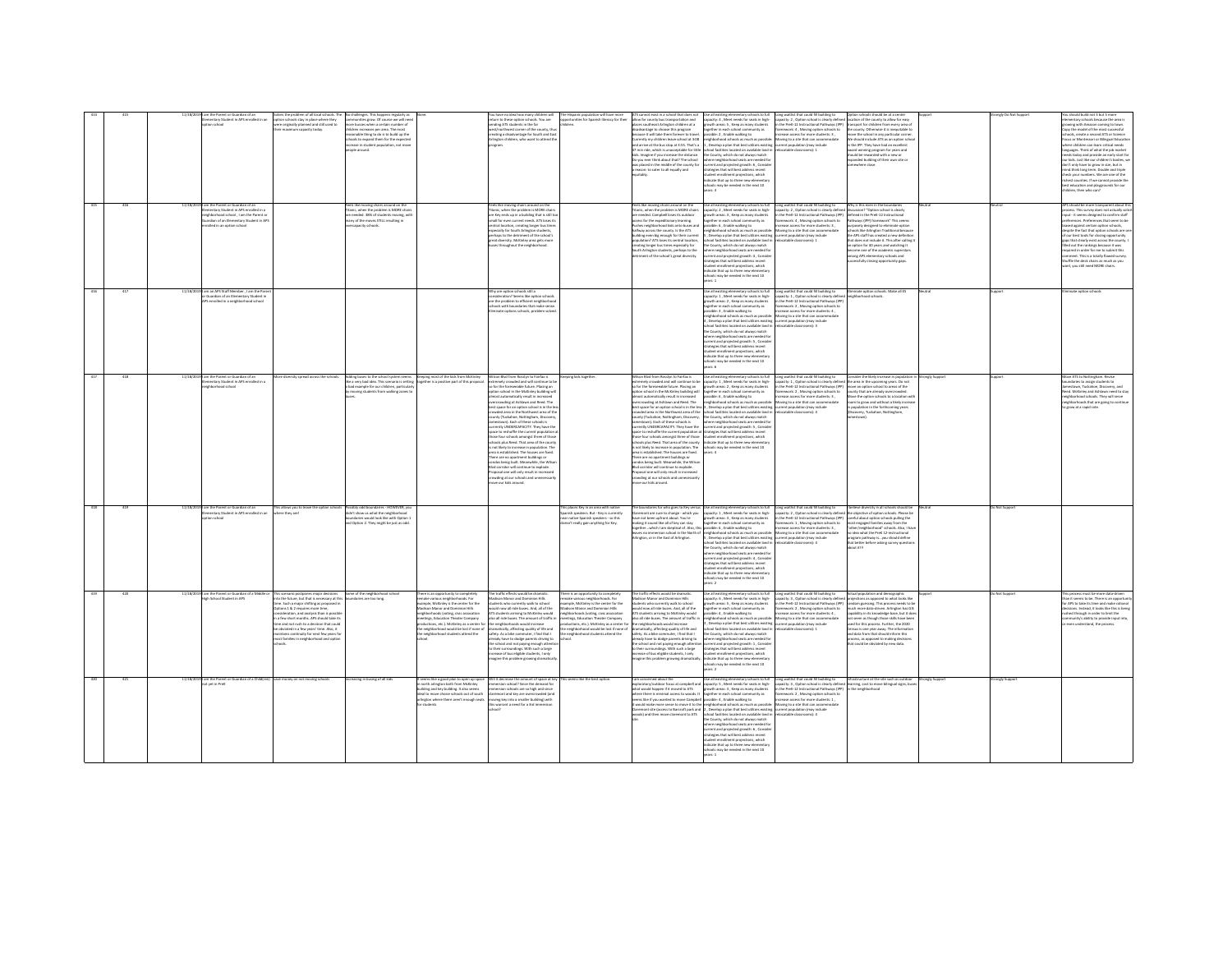|     |     |            | ie Parent or Guardian of an<br>mentary Student in APS enrolled in an<br>tion school                                                                                                                   | m of all local s<br>the prol<br>option schools stay in place where they<br>were originally olanned and still used to<br>r maximum capacity today                                                                                                                                                                                                                                                                                             | unities grow. Of course we will neer<br>ore busses when a certain number of<br>ren increases per area. The most<br>anable thing to do is to build up the<br>tools to expand them for the expected<br>.<br>rease in student population, not mov<br>ople around. |                                                                                                                                                                                                                                                                                                                                                              | eturn to these option schools. You are<br>inding ATS students in the far<br>ist/northwest corner of the county, thu<br>asting a disadvantage for South and Eas<br>rlington children, who want to attend the                                                                                                                                                                                                                                                                                                                                                                                                                                                                                                                                                                                                                                                                                                                                   | on will have mor<br>portunities for Spanish literacy for their<br><b>Hyan</b>                                                                                                                                                                                                                                                                         | not exist in a school that does not<br>allow for county bus transportation and<br>places southeast Arlington children at a<br>sadvantage to choose this program<br>cause it will take them forever to trave<br>accept to loods even inerblirty ym yttnered<br>Lanenby my Lindon move school in Julia<br>47 min ride, which is unacceptable for little<br>kids. Imagine if you increase the distance.<br>to you ever think about that? The school<br>was placed in the middle of the county for<br>reason: to cater to all equally and                                                                                                                                                                                                                                                                                  | Use all existing elementary schools to full<br>capacity: 4 , Meet needs for seats in high-<br>growth areas: 5 , Keep as many students<br>ogether in each school community as<br>ssible: 2, Enable walking to<br>neighborhood schools as much as possibly<br>1, Develop a plan that best utilizes existing<br>ichool facilities located on available land<br>the County, which do not always match<br>where neighborhood seats are needed fo<br>turrent and projected growth: 6 , Conside<br>strategies that will best address recent<br>tudent enrollment projections, which<br>idicate that up to three new elementar<br>schools may be needed in the next 10<br>aare t                                                                                                                                                                                                                                       | suld fill building to<br>capacity: 2 , Option school is clearly defined location of the county to allow for easy<br>in the PreK-12 Instructional Pathways (IPP) transport for children from every area of<br>mework: 4 , Moving option schools to<br>rease access for more students: 3 ,<br>Moving to a site that can accommodate<br>rent population (may include<br>scatable classrooms): 1                          | e county. Otherwise it is inequitable to<br>ove the school in any particular come<br>le should include ATS as an option schoo<br>in the IPP. They have had an excellent<br>award winning program for years and<br>should be rewarded with a new or<br>sanded building of their own site or                                                                                                                                                                                 |                 |               | uld build not 3 but 5 mo<br>ementary schools because the area is<br>erowing with Amazon coming to town.<br>Copy the model of the most successful<br>chools, create a second ATS or Science<br>ocus or Montessori or Bilineual Educatio<br>where children can learn critical needs<br>anguages. Think of what the job marke<br>eeds today and provide an early start for<br>our kids. Just like our children's bodies, w<br>don't only have to grow in size, but in<br>nind think long term. Double and triple<br>.<br>heck your numbers. We are one of the<br>ichest counties. If we cannot provide the<br>best education and playerounds for our<br>hildren, then who can? |
|-----|-----|------------|-------------------------------------------------------------------------------------------------------------------------------------------------------------------------------------------------------|----------------------------------------------------------------------------------------------------------------------------------------------------------------------------------------------------------------------------------------------------------------------------------------------------------------------------------------------------------------------------------------------------------------------------------------------|----------------------------------------------------------------------------------------------------------------------------------------------------------------------------------------------------------------------------------------------------------------|--------------------------------------------------------------------------------------------------------------------------------------------------------------------------------------------------------------------------------------------------------------------------------------------------------------------------------------------------------------|-----------------------------------------------------------------------------------------------------------------------------------------------------------------------------------------------------------------------------------------------------------------------------------------------------------------------------------------------------------------------------------------------------------------------------------------------------------------------------------------------------------------------------------------------------------------------------------------------------------------------------------------------------------------------------------------------------------------------------------------------------------------------------------------------------------------------------------------------------------------------------------------------------------------------------------------------|-------------------------------------------------------------------------------------------------------------------------------------------------------------------------------------------------------------------------------------------------------------------------------------------------------------------------------------------------------|------------------------------------------------------------------------------------------------------------------------------------------------------------------------------------------------------------------------------------------------------------------------------------------------------------------------------------------------------------------------------------------------------------------------------------------------------------------------------------------------------------------------------------------------------------------------------------------------------------------------------------------------------------------------------------------------------------------------------------------------------------------------------------------------------------------------|----------------------------------------------------------------------------------------------------------------------------------------------------------------------------------------------------------------------------------------------------------------------------------------------------------------------------------------------------------------------------------------------------------------------------------------------------------------------------------------------------------------------------------------------------------------------------------------------------------------------------------------------------------------------------------------------------------------------------------------------------------------------------------------------------------------------------------------------------------------------------------------------------------------|-----------------------------------------------------------------------------------------------------------------------------------------------------------------------------------------------------------------------------------------------------------------------------------------------------------------------------------------------------------------------------------------------------------------------|----------------------------------------------------------------------------------------------------------------------------------------------------------------------------------------------------------------------------------------------------------------------------------------------------------------------------------------------------------------------------------------------------------------------------------------------------------------------------|-----------------|---------------|-----------------------------------------------------------------------------------------------------------------------------------------------------------------------------------------------------------------------------------------------------------------------------------------------------------------------------------------------------------------------------------------------------------------------------------------------------------------------------------------------------------------------------------------------------------------------------------------------------------------------------------------------------------------------------|
|     | 416 |            | 11/18/2019 I am the Parent or Guardian of an<br>entary Student in APS enrolled in a<br>sighborhood school . I am the Parent of<br>antian of an Flamentary Student in APS<br>slied in an option school |                                                                                                                                                                                                                                                                                                                                                                                                                                              | els like moving chairs around on the<br>tanic, when the problem is MORE chairs<br>e needed. 38% of students movine, with<br>any of the moves STILL resulting in<br>.<br>capacity schools                                                                       |                                                                                                                                                                                                                                                                                                                                                              | els like moving chairs around on the<br>anic, when the problem is MORE chairs<br>are Key ends up in a building that is still to<br>imall for even current needs. ATS loses its<br>sentral location, creating longer bus times<br>pecially for South Arlineton students.<br>thans to the detriment of the school's<br>great diversity. McKinley area gets more<br>uses throughout the neighborhood.                                                                                                                                                                                                                                                                                                                                                                                                                                                                                                                                            |                                                                                                                                                                                                                                                                                                                                                       | eels like moving chairs around on the<br>Itanic, when the problem is MORE chairs<br>re needed. Campbell loses its outdoor<br>cess for the expeditionary learning.<br>es neighborhood kids onto buses and<br>alfway across the county. Is the ATS<br>Iding even big enough for their current<br>pulation? ATS loses its central location,<br>reating longer bus times especially for<br>with Arlington students merhans to the<br>ment of the school's great diversity.                                                                                                                                                                                                                                                                                                                                                 | together in each school community as<br>possible: 6, Enable walking to<br>neighborhood schools as much as possible.<br>. Develop a plan that best utilizes existing<br>hool facilities located on available land in<br>the County, which do not always match<br>harp naighborhood seats are needed for<br>over negroomsou was are needed to<br>prent and projected growth: 4 , Consid<br>trategies that will best address recent<br>student enrollment projections, which<br>indicate that up to three new elementary<br>chools may be needed in the next 10<br>ears 1                                                                                                                                                                                                                                                                                                                                         | Use all existing elementary schools to full Cong weitlist that could fill building to Why is this even in the boundaries<br>Capacky: 2, Meet needs for seats in highs - capacky: 2, Option school is clearly defined discussion?<br>nework: 4 . Moving option schools to<br>ease access for more students: 3,<br>Movine to a site that can accommodate<br>urrent population (may include<br>elocatable classrooms): 1 | Pathways (IPP) framework" This seams<br>osely designed to eliminate option<br>ools like Arlinaton Traditional because<br>the APS staff has repated a new definition<br>at does not include it. This after calling it<br>an option for 40 years and watching it<br>tena nea of the arademir sur<br>mong APS elementary schools and<br>isfully closing opportunity gaps.                                                                                                     |                 |               | 4PS should be more transparent about thi<br>cess. This survey does not actually soli-<br>input - it seems designed to confirm staff<br>Generated Draferennes that seem to be<br>sed against certain option schools,<br>despite the fact that option schools are or<br>of our best tools for closing opportunity<br>paps that clearly exist across the county. I<br>filled out the rankings because it was<br>misted in notar for me to schmit this<br>comment. This is a totally flawed survey.<br>Shuffle the deck chairs as much as you<br>ant you old need MORF chairs                                                                                                   |
|     |     | 11/18/     | im an APS Staff Member , I am the Par<br>Guardian of an Elementary Student in<br>enrolled in a neighborhood schoo                                                                                     |                                                                                                                                                                                                                                                                                                                                                                                                                                              |                                                                                                                                                                                                                                                                |                                                                                                                                                                                                                                                                                                                                                              | Vhy are option schools still a<br>sideration? Seams like ontion school<br>are the problem to efficient neighborhood<br>tools with boundaries that make sense.<br>inate options schools, problem solve                                                                                                                                                                                                                                                                                                                                                                                                                                                                                                                                                                                                                                                                                                                                         |                                                                                                                                                                                                                                                                                                                                                       |                                                                                                                                                                                                                                                                                                                                                                                                                                                                                                                                                                                                                                                                                                                                                                                                                        | Jse all existing elementary schools to ful<br>spacity: 1, Meet needs for seats in high-<br>owth areas: 2, Keep as many students<br>together in each school community as<br>.<br>ssible: 3 , Enable walking to<br>ishhorhood schools as much as nossible<br>Develop a plan that best utilizes existing current population (may include<br>nol farilities located on available land in<br>e County, which do not always match<br>where neighborhood seats are needed fo<br>errent and projected growth: 5 , Consid<br>rategies that will best address recent<br>tudent enrollment projections, which<br>dicate that up to three new elem<br>may be needed in the next 10<br>ears: 6                                                                                                                                                                                                                              | Long waitlist that could fill building to<br>capacity: 1, Option school is clearly defined<br>in the PreK-12 Instructional Pathways (IPP)<br>framework: 2, Moving option schools to<br>rease access for more students: 4.<br>Moving to a site that can accor<br>ratable riassmoms): 3                                                                                                                                 | Eliminate option schools. Make all ES<br>eighborhood schools                                                                                                                                                                                                                                                                                                                                                                                                               |                 |               | nate option schools                                                                                                                                                                                                                                                                                                                                                                                                                                                                                                                                                                                                                                                         |
|     | 418 |            | im the Parent or Guardian of a<br>mentary Student in APS enrolled in a<br>hborhood school                                                                                                             | e diversity spread across the schoo                                                                                                                                                                                                                                                                                                                                                                                                          | ding buses to the school system seems<br>e a very bad idea. This scenario is setting<br>ad example for our children, particular<br>wing students from walking zones                                                                                            | Keeping most of the kids from McKinley<br>ther is a positive part of this proposal                                                                                                                                                                                                                                                                           | Wilson Blvd from Rosslyn to Fairfax is<br>remely crowded and will continue to b<br>so for the foreseeable future. Placing an<br>tion school in the McKinley building wil<br>almost automatically result in increased<br>rcrowding at Ashlawn and Reed. The<br>best space for an option school is in the le<br>suded area in the Northwest area of the<br>unty (Tuckahoe, Nottingham, Discovery<br>stown). Each of these schools is<br>arrently UNDERCAPACITY. They have the<br>pace to reshuffle the current population<br>ose four schools amongst three of those<br>hools plus Reed. That area of the county<br>not likely to increase in population. The<br>area is established. The houses are food.<br>There are no apartment buildings or<br>ndos being built. Meanwhile, the Wilso<br>d corridor will continue to explode.<br>posal one will only result in increased<br>wding at our schools and unnecessarily<br>re our kids around. | eping kids together                                                                                                                                                                                                                                                                                                                                   | rikon Blyd from Rossiyn to Fairfax is<br>remely crowded and will continue to be<br>o for the foreseeable future. Placing an<br>ption school in the McKinley building will<br>ilmost automatically result in increased<br>zvercrowding at Ashlawn and Reed. The<br>grently UNDERCAPACITY. They have the<br>ice to reshuffle the current population at strategies that will best address recent<br>ose four schools amongst three of those<br>hools plus Reed. That area of the county<br>s not likely to increase in population. The<br>Irea is established. The houses are fixed.<br>here are no apartment buildings or<br>ondos being built. Meanwhile, the Wilson<br>d corridor will continue to explode.<br>posal one will only result in increases<br>owding at our schools and unnecessaril<br>ve our kids around | Use all existing elementary schools to full<br>capacity: 1, Meet needs for seats in high-<br>growth areas: 2, Keep as many students<br>together in each school community as<br>possible: 6 , Enable walking to exercise increase access for more students: 3 ,<br>neighborhood schools as much as possible: Moving to a site that can accommodate<br>ist space for an option school is in the less 3, Develop a plan that best utilizes existing current population (may include<br>rowded area in the Northwest area of the school facilities located on available land in<br>ounty (Tuckahoe, Nottingham, Discovery, the County, which do not always match<br>amestown). Each of these schools is where neighborhood s<br>current and projected erowth: 5 . Consid-<br>student enrollment projections, which<br>indicate that up to three new elementary<br>schools may be needed in the next 10<br>years: 4 | Long waitlist that could fill building to<br>capacity: 1 . Option school is clearly defined the area in the upcoming years. Do not<br>in the PreK-12 Instructional Pathways (IPP)<br>nework: 2, Moving option schools to<br>ocatable classrooms): 4                                                                                                                                                                   | Consider the Iskely increase in por<br>move an option school to areas of the<br>anty that are already overcrow<br>twe the option schools to a location wit<br>om to erow and without a likely increa-<br>opulation in the forthcoming years<br>covery. Tuckahoe. Nottineham.                                                                                                                                                                                               | angly Support   |               | e ATS to Nottingham. Revis<br>undaries to assign students to<br>restown, Tuckahoe, Discovery, and<br>ed. McKinley and Ashlawn need to sta<br>neighborhood schools. They will serve<br>wighborhoods that are going to continu<br>grow at a rapid rate.                                                                                                                                                                                                                                                                                                                                                                                                                       |
|     | 410 | 11/18/2010 | am the Parent or Guardian of an<br>entary Student in APS enrolled in an<br>ion school                                                                                                                 | his allmas you to leave the ont<br>ire they are                                                                                                                                                                                                                                                                                                                                                                                              | vlaries - HOWFUFE w<br>In't show us what the neighborhood<br>ndaries would look like with Option 1<br>d Option 2. They might be just as odd.                                                                                                                   |                                                                                                                                                                                                                                                                                                                                                              |                                                                                                                                                                                                                                                                                                                                                                                                                                                                                                                                                                                                                                                                                                                                                                                                                                                                                                                                               | tis places Key in an area with n<br>vish speakers. But - Key is currently<br>ear native Spanish speakers - so this<br>vesn't really gain anything for Key.                                                                                                                                                                                            | we not been upfront about. You're<br>aking it sound like all of key can stay<br>ther which I am skeptical of. Also, this<br>linaton, or in the East of Arlinaton.                                                                                                                                                                                                                                                                                                                                                                                                                                                                                                                                                                                                                                                      | r boundaries for who goes to Key versus Use all existing elementary schools to full<br>remont are sure to change - which you capacity: 1 , Meet needs for seats in high-<br>growth areas: 3, Keep as many students<br>together in each school community as<br>ssible: 6, Enable walking to<br>ves no immersion school in the North of neighborhood schools as much as possibl<br>C Develop a nian that hast utilizes existing promot nonclation (may include<br>located on available land<br>.<br>Nifer<br>the County, which do not always match<br>where neighborhood seats are needed for<br>current and projected growth: 4 , Consider<br>strategies that will best address recent<br>student enrollment projections, which<br>dicate that up to three new eleme<br>schools may be needed in the next 10<br>mrs:2                                                                                           | Long waitlist that could fill building to latinus diversity in all schools should be<br>capacity: 2, Option school is clearly defined the objective of option schools. Mease be<br>in the PreK-12 Instructional Pathways (IPP) caref<br>framework: 1 . Moving option schools to<br>hase access for more students: 3 .<br>Moving to a site that can accommodate                                                        | most engaged families away from the<br>neighborhood" schools. Also, I have<br>o idea what the PreK 12-instructional<br>contrady historic concerns a concern manager<br>t better before asking survey que<br>Illis aug                                                                                                                                                                                                                                                      |                 | n Ned Survivo |                                                                                                                                                                                                                                                                                                                                                                                                                                                                                                                                                                                                                                                                             |
|     |     | 11/18/20   | 19 I am the Parent or Guardian of a Mi<br>ich School Student in APS                                                                                                                                   | his scenario postpones major decisions<br>to the future, but that is necessary at this<br>se. Such a major shifting as proposed in<br>ptions 1 & 2 requires more time,<br>ideration, and analysis than is possibl<br>a few short months. APS should take its<br>me and not rush to a decision that could<br>e obviated in a few years' time. Also, it<br>aintains continuity for next few years fi<br>ost families in neighborhood and optio | Some of the neighborhood scho<br>ndaries are too long.                                                                                                                                                                                                         | There is an opportunity to completely<br>make various neighborhoods. For<br>mple, McKinley is the center for the<br>Madison Manor and Dominion Hills<br>neighborhoods (voting, civic assocation<br>provincious (viving, CIVC association<br>etings, Education Theater Company<br>ductions, etc.). McKinley as a center f<br>reighborhood students attend the | The traffic effects would be dramatic<br>dison Manor and Dominion Hills<br>dents who currently walk to school<br>suld now all ride buses. And, all of the<br>ATS students arriving to McKinkry would<br>o all ride buses. The amount of traffic is<br>neighborhoods would increase<br>the neighborhood would be lost if none of dramatically, affecting quality of life and<br>safety. As a bike commuter, I find that I<br>already have to dodge parents driving to<br>the school and not paying enough atten<br>to their surroundings. With such a large<br>increase of bus eligible students, I only<br>agine this problem growing dramaticall                                                                                                                                                                                                                                                                                             | here is an opportunity to completely<br>make various neighborhoods, for<br>mple, McKinley is the center for the<br>dison Manor and Dominion Hills<br>ishborhoods (voting, civic assocation<br>tings, Education Theater Company<br>ctions, etc.). McKinley as a center<br>he neighborhood would be lost if none of<br>neighborhood students attend the | The traffic effects would be dramatic<br>dison Manor and Dominion Hills<br>dents who currently walk to school<br>uld now all ride buses. And, all of the<br>TS students arriving to McKinley would<br>all ride buses. The amount of traffic in<br>neighborhoods would increase<br>ramatically, affecting quality of life and<br>ifety. As a bike commuter, I find that I<br>Iready have to dodge parents driving to<br>he school and not paying enough attentio<br>their surroundings. With such a large<br>crease of bus eligible students, I only                                                                                                                                                                                                                                                                    | wth areas: 5, Keep as many students<br>together in each school community as<br>ssible: 4 . Enable walking to<br>eighborhood schools as much as possible:<br>, Develop a plan that best utilizes existing<br>school facilities located on available land in<br>the County, which do not always match<br>where neighborhood seats are needed for<br>current and projected erowth: 1. Conside<br>strategies that will best address recent<br>nt enrollment projections, which<br>natine this problem erowing dramatically. Indicate that up to three new elementary<br>ols may be needed in the next 10<br>ears: 2                                                                                                                                                                                                                                                                                                | Use all existing elementary schools to full Long waitlist that could fill building to a practice of the state of the control of the control of the capacity. S.<br>in the PreK-12 Instructional Pathways (IPP)<br>framework: 2, Moving option schools to<br>crease access for more students: 4.<br>Moving to a site that can accome<br>current population (may include<br>catable classrooms): 1                      | Actual population and demographic<br>piections as opposed to what looks like<br>dom guessing. This process needs to be<br>much more data-driven. Arlington has GIS<br>epability in its knowledge base, but it doe<br>seem as though those skills have bee<br>used for this process. Further, the 2020<br>nsus is one year away. The information<br>and data from that should inform this<br>process, as opposed to making decision:<br>that could be obviated by new data. |                 | b Not Support | his process must be more data-driven<br>in it seems to be. There is an opportur<br>r APS to take its time and make ration<br>cisions. Instead, it looks like this is being<br>ushed through in order to limit the<br>nunity's ability to provide input into<br>even understand, the process.                                                                                                                                                                                                                                                                                                                                                                                |
| 420 | 421 |            | 11/18/2019 i am the Parent or Guardian of a Child(ren) save money on not moving schools                                                                                                               |                                                                                                                                                                                                                                                                                                                                                                                                                                              | increasing in busing of all kids                                                                                                                                                                                                                               | seems like a good plan to open up space<br>north arlington both from McKinley<br>uilding and key building. It also seems<br>deal to move choice schools out of south<br>rlington where there aren't enough seats<br>ar students                                                                                                                              | Will it decrease the amount of space at key This seems like the best option immersion school? Since the demand for<br>ersion schools are so high and since<br>mont and bay are no<br>wing key into a smaller building) with<br>this warrant a need for a 3rd immersion                                                                                                                                                                                                                                                                                                                                                                                                                                                                                                                                                                                                                                                                        |                                                                                                                                                                                                                                                                                                                                                       | I am concerned about the<br>what would happen if it moved to ATS<br>pods) and then move claremont to ATS                                                                                                                                                                                                                                                                                                                                                                                                                                                                                                                                                                                                                                                                                                               | remont site (access to Barcroft park and 2, Develop a plan that best utilizes existing current population (may include<br>ods) and then move claremont to ATS school facilities located on available land in relocatable classroo<br>chool facilities located on available land i<br>he County, which do not always match<br>there neighborhood seats are needed for<br>urrent and projected growth: 6, Conside<br>urrent and projected growth: 6, Conside<br>trategies that will best address recent<br>ent projections, which<br>dicate that up to three new elementar<br>hools may be needed in the next 10<br>ears 1                                                                                                                                                                                                                                                                                       | .<br>It concerned about the "Use all existing elementary schools to full "Long waitlist that could fill building to<br>Noratory/outdoor focus at campbell and capacity: 5 , Meet needs for seats in high- capacity: 3 , Option scho<br>in the PreK-12 Instructional Pathways (IPP) in the neighborhood                                                                                                                |                                                                                                                                                                                                                                                                                                                                                                                                                                                                            | trongly Support | ongly Suppo   |                                                                                                                                                                                                                                                                                                                                                                                                                                                                                                                                                                                                                                                                             |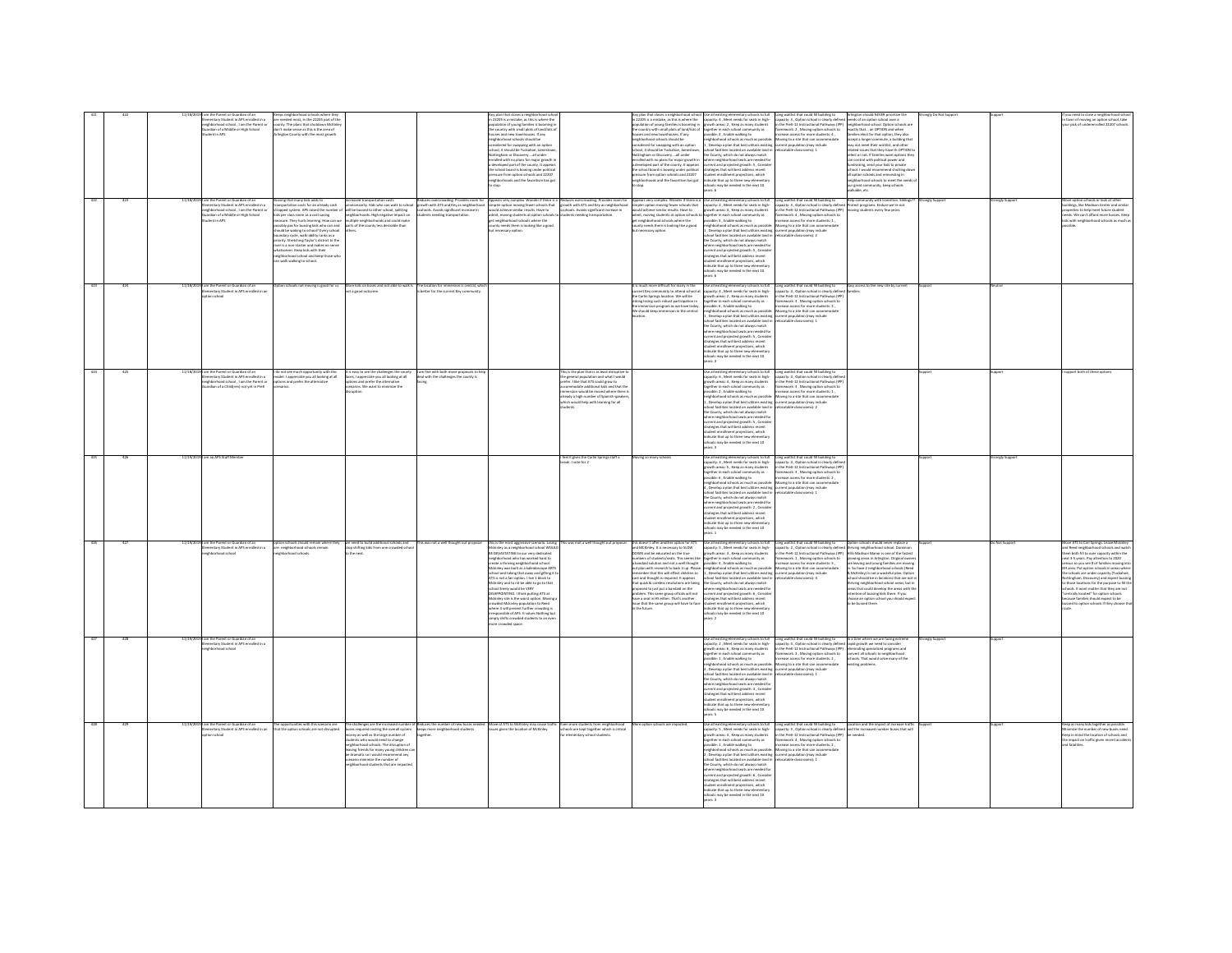|     |                 | im the Parent or Guardian of an<br>ementary Student in APS enrolled in a<br>sighborhood school , I am the Parent or     | are needed most, in the 22205 part of the<br>unty. The plans that shutdown McKink                                              |                                                                                                                                                                       |                                                                                                                           | in 22205 is a mistake, as this is where the<br>population of young families is booming in<br>the country with small plots of land/lots of                                                                                            |                                                                                                                                                    | Any plan that closes a neighborhood schoo<br>n 22205 is a mistake, as this is where the<br>opulation of young families is booming in                                                          | Use all existing elementary schools to full<br>capacity: 4 , Meet needs for seats in high-<br>growth areas: 2 , Keep as many students                                                                                                                | Long waitlist that could fill building to Arlington should NEVER prioritize the<br>capacity: 3 , Option school is clearly defined needs of an option school over a<br>in the PreK-12 Instructional Pathways (IPP) neighborhood schoo                               |                                                                                                                                                                                                                                 |             |              | f you need to close a neighborhood schos<br>n favor of moving an option school, take<br>rour pick of underenrolled 22207 schools.                                                         |
|-----|-----------------|-------------------------------------------------------------------------------------------------------------------------|--------------------------------------------------------------------------------------------------------------------------------|-----------------------------------------------------------------------------------------------------------------------------------------------------------------------|---------------------------------------------------------------------------------------------------------------------------|--------------------------------------------------------------------------------------------------------------------------------------------------------------------------------------------------------------------------------------|----------------------------------------------------------------------------------------------------------------------------------------------------|-----------------------------------------------------------------------------------------------------------------------------------------------------------------------------------------------|------------------------------------------------------------------------------------------------------------------------------------------------------------------------------------------------------------------------------------------------------|--------------------------------------------------------------------------------------------------------------------------------------------------------------------------------------------------------------------------------------------------------------------|---------------------------------------------------------------------------------------------------------------------------------------------------------------------------------------------------------------------------------|-------------|--------------|-------------------------------------------------------------------------------------------------------------------------------------------------------------------------------------------|
|     |                 | ardian of a Middle or High School<br>lent in 40%                                                                        | on't make sense as this is the area of<br>inston County with the most erowth                                                   |                                                                                                                                                                       |                                                                                                                           | uses and new townhouses. If any<br>abbrehood schools should he                                                                                                                                                                       |                                                                                                                                                    | the country with small plots of land/lots of<br>suses and new townhouses. If any<br>sighborhood schools should be                                                                             | prether in each school community as<br>ssible: 3 . Enable walking to<br>thherhood schools as much as nossible                                                                                                                                        | framework: 2, Moving option schools to<br>screase access for more students: 4.<br>Moving to a site that can accommodate<br>current population (may include<br>relocatable classrooms): 1                                                                           | exactly that an OPTION and when<br>milies elect for that option, they also<br>coupt a longer commute, a building that<br>nay not meet their wishlist, and other<br>elated issues that they have th OPTION to                    |             |              |                                                                                                                                                                                           |
|     |                 |                                                                                                                         |                                                                                                                                |                                                                                                                                                                       |                                                                                                                           | ngissumous acroom ansura are<br>insidered for swapping with an optio<br>hool, it should be Tuckahoe, Jamesto<br>ttingham or Discoveryall under<br>olled with no plans for major growth i                                             |                                                                                                                                                    | egenoemood scrioos snown be<br>ansidered for swapping with an option<br>hool, it should be Tuckahoe, Jamestown<br>sttingham or Discoveryall under<br>rolled with no plans for major erowth in | neignocenood scenocs as much as possible<br>1 , Develop a plan that best utilizes existing<br>school facilities located on available land in<br>the County, which do not always match<br>ere neighborhood seats are needed for                       |                                                                                                                                                                                                                                                                    | elect or not. If families want options the<br>bes rewog lacitical professor                                                                                                                                                     |             |              |                                                                                                                                                                                           |
|     |                 |                                                                                                                         |                                                                                                                                |                                                                                                                                                                       |                                                                                                                           | leveloped part of the county. It appear                                                                                                                                                                                              |                                                                                                                                                    | developed part of the county. It appears                                                                                                                                                      | rrent and projected erowth: S. Consid                                                                                                                                                                                                                |                                                                                                                                                                                                                                                                    | undraising, send your kids to private                                                                                                                                                                                           |             |              |                                                                                                                                                                                           |
|     |                 |                                                                                                                         |                                                                                                                                |                                                                                                                                                                       |                                                                                                                           | the school board is bowing under political<br>pressure from option schools and 22207<br>neighborhoods and the favoritism has got                                                                                                     |                                                                                                                                                    | the school board is bowing under political<br>pressure from option schools and 22.207<br>veighborhoods and the favoritism has got                                                             | return and projected grows): 3 ; comment<br>udent enrollment projections, which<br>dicate that up to three new elementary<br>ools may be needed in the next 10                                                                                       |                                                                                                                                                                                                                                                                    | school. I would recommend shutting dow<br>all option schools and reinvesting in<br>neighborhood schools to meet the needs<br>our great community, keep schools                                                                  |             |              |                                                                                                                                                                                           |
|     |                 |                                                                                                                         |                                                                                                                                |                                                                                                                                                                       |                                                                                                                           |                                                                                                                                                                                                                                      |                                                                                                                                                    |                                                                                                                                                                                               | ars: 6                                                                                                                                                                                                                                               |                                                                                                                                                                                                                                                                    | kable, etc.                                                                                                                                                                                                                     |             | ongly Suppor |                                                                                                                                                                                           |
|     |                 | am the Parent or Guardian of an<br>Hementary Student in APS enrolled in a<br>hborhood school, I am the Parent or        | ssing that many kids adds to<br>insportation costs for an already cash<br>apped system. APS raised the number of               | Increased transportation costs<br>unnecessarily. Kids who can walk to school<br>will be bussed to other school, splitting                                             | aduces overcrowding, Provides room fi<br>rowth with ATS and Key as neighborhor<br>cuhools. Avoids significant increase in | Appears very complex. Wonder if there is a Reduces overcrowding. Provides room for<br>simpler option moving fewer schools that growth with ATS and Key as neighborhood<br>would achieve similar results. Have to scuhools. Avoids si |                                                                                                                                                    | Appears very complex. Wonder if there is a<br>simpler option moving fewer schools that<br>would achieve similar results. Have to                                                              | Use all existing elementary schools to full<br>capacity: 2 , Meet needs for seats in high-<br>growth areas: 4 , Keep as many students                                                                                                                | Long waitlist that could fill building to<br>capacity: 3 , Option school is clearly define<br>in the PreK-12 Instructional Pathways (IPP)                                                                                                                          | Help community with community<br>Protect programs. Endure we're no<br>ring students every few years.                                                                                                                            |             |              | .<br>Aove option schools or look at other<br>suildings, like Madison Center and sir<br>rties to help meet future student                                                                  |
|     |                 | ardian of a Middle or High School<br>ent in APS                                                                         | ids per class room as a cost saving<br>sure. They hurts learning. How can we<br>sibly pas for bussing kids who can and         | neighborhoods. High negative impact on<br>multiple neighborhoods and could make<br>parts of the county less desirable than                                            | ints needing transportation.                                                                                              | admit, moving students at option school<br>get neighborhood schools where the<br>inty needs them is looking like a good                                                                                                              | ents needing transportation.                                                                                                                       | dmit, moving students at option schools<br>ot neighborhood schools where the<br>sunty needs them is looking like a good                                                                       | gether in each school community as<br>ossible: 3, Enable walking to<br>ighborhood schools as much as possibly                                                                                                                                        | framework: 4, Moving option schools to<br>crease access for more students: 1<br>loving to a site that can accommodate                                                                                                                                              |                                                                                                                                                                                                                                 |             |              | seeds. We can't afford more busses. Keep<br>ds with neighborhood schools as much                                                                                                          |
|     |                 |                                                                                                                         | cold be waking to school? Every school<br>sundary cycle, walk-ability ranks as a<br>ionly. Stretching Taylor's district to the |                                                                                                                                                                       |                                                                                                                           | ecessary option                                                                                                                                                                                                                      |                                                                                                                                                    | necessary option                                                                                                                                                                              | 1. Develop a plan that best utilizes existing<br>1. Develop a plan that best utilizes existing<br>school facilities located on available land in                                                                                                     | current population (may include<br>relocatable classrooms): 2                                                                                                                                                                                                      |                                                                                                                                                                                                                                 |             |              |                                                                                                                                                                                           |
|     |                 |                                                                                                                         | river is a non-starter and makes no sense<br>tspayer, Keep kids with their                                                     |                                                                                                                                                                       |                                                                                                                           |                                                                                                                                                                                                                                      |                                                                                                                                                    |                                                                                                                                                                                               | where neighborhood seats are needed for<br>current and projected growth: 5 , Consider<br>tegies that will best address recent<br>dent enrollment projections, which                                                                                  |                                                                                                                                                                                                                                                                    |                                                                                                                                                                                                                                 |             |              |                                                                                                                                                                                           |
|     |                 |                                                                                                                         | ighborhood school and keep those who<br>n walk walking to school.                                                              |                                                                                                                                                                       |                                                                                                                           |                                                                                                                                                                                                                                      |                                                                                                                                                    |                                                                                                                                                                                               | cate that up to three new ele<br>tols may be needed in the next 10                                                                                                                                                                                   |                                                                                                                                                                                                                                                                    |                                                                                                                                                                                                                                 |             |              |                                                                                                                                                                                           |
|     | $_{\text{max}}$ |                                                                                                                         |                                                                                                                                |                                                                                                                                                                       |                                                                                                                           |                                                                                                                                                                                                                                      |                                                                                                                                                    |                                                                                                                                                                                               |                                                                                                                                                                                                                                                      |                                                                                                                                                                                                                                                                    | Easy access to the new site by current                                                                                                                                                                                          |             |              |                                                                                                                                                                                           |
|     |                 | 11/18/2019 I am the Parent or Guardian of an<br>Elementary Student in APS enrolled in an<br>option school               |                                                                                                                                | otion schools not moving is good for us. More kids on buses and not able to walk is The location for immersion is central, which<br>not a good outcome.               |                                                                                                                           |                                                                                                                                                                                                                                      |                                                                                                                                                    | t is much more difficult for many in the<br>current Key community to attend school at<br>the Carlin Springs location. We will be                                                              | Use all existing elementary schools to full<br>capacity: 4 , Meet needs for seats in high-<br>growth areas: 2 , Keep as many students                                                                                                                | Long waitlist that could fill building to<br>capacity: 4 , Option school is clearly define<br>in the PreK-12 Instructional Pathways (IPP)                                                                                                                          |                                                                                                                                                                                                                                 |             |              |                                                                                                                                                                                           |
|     |                 |                                                                                                                         |                                                                                                                                |                                                                                                                                                                       |                                                                                                                           |                                                                                                                                                                                                                                      |                                                                                                                                                    | isking losing such robust participation in<br>e immersion program as we have today.<br>We should keep immersion in the central                                                                | together in each school community as<br>possible: 6 , Enable walking to<br>eighborhood schools as much as possible                                                                                                                                   | framework: 3, Moving option schools to<br>crease access for more students: 2<br>Moving to a site that can accommodate                                                                                                                                              |                                                                                                                                                                                                                                 |             |              |                                                                                                                                                                                           |
|     |                 |                                                                                                                         |                                                                                                                                |                                                                                                                                                                       |                                                                                                                           |                                                                                                                                                                                                                                      |                                                                                                                                                    |                                                                                                                                                                                               | Develop a plan that best utilizes existing current population (may include<br>pol facilities located on available land is<br>ool facilities located on available land<br>: County, which do not always match<br>ere neighborhood seats are needed fo | relocatable classrooms) 1                                                                                                                                                                                                                                          |                                                                                                                                                                                                                                 |             |              |                                                                                                                                                                                           |
|     |                 |                                                                                                                         |                                                                                                                                |                                                                                                                                                                       |                                                                                                                           |                                                                                                                                                                                                                                      |                                                                                                                                                    |                                                                                                                                                                                               | urrent and projected growth: S., Conside<br>trategies that will best address recent                                                                                                                                                                  |                                                                                                                                                                                                                                                                    |                                                                                                                                                                                                                                 |             |              |                                                                                                                                                                                           |
|     |                 |                                                                                                                         |                                                                                                                                |                                                                                                                                                                       |                                                                                                                           |                                                                                                                                                                                                                                      |                                                                                                                                                    |                                                                                                                                                                                               | .<br>udent enrollment projections, which<br>dicate that up to three new elementa                                                                                                                                                                     |                                                                                                                                                                                                                                                                    |                                                                                                                                                                                                                                 |             |              |                                                                                                                                                                                           |
| 424 | 425             | 11/18/2019 I am the Parent or Guardian of an                                                                            |                                                                                                                                |                                                                                                                                                                       |                                                                                                                           |                                                                                                                                                                                                                                      | his is the plan that is as least disruptive to                                                                                                     |                                                                                                                                                                                               | hools may be needed in the next 10<br>ars: 3                                                                                                                                                                                                         |                                                                                                                                                                                                                                                                    |                                                                                                                                                                                                                                 |             |              | sport both of these option                                                                                                                                                                |
|     |                 | ntary Student in APS enrolled in a<br>eighborhood school , I am the Parent c<br>uardian of a Child(ren) not yet in PreK | do not see much opportunity with this<br>rodel. I appreciate you all looking at all<br>ns and prefer the altern                | It is easy to see the challenges the county<br>faces, I appreciate you all looking at all<br>options and prefer the alternative<br>scenarios. We want to minimize the | I am fine with both move proposals to help<br>deal with the challenges the county is                                      |                                                                                                                                                                                                                                      | lation and what I would<br>e general population and write connect<br>efer. I like that ATS could grow to<br>commodate additional kids and that the |                                                                                                                                                                                               | Use all existing elementary schools to full<br>capacity: 6 , Meet needs for seats in high-<br>why. o , were reeds for seasoning<br>wth areas: 4 , Keep as many student<br>wther in each school community as<br>sible: 2 , Enable walking to          | Long waitlist that could fill building to<br>capacity: 4, Option school is clearly defin<br>ispacity. 4, update school is county use<br>it the PreK-12 Instructional Pathways (I<br>ramework: 3 , Moving option schools t<br>ncrease access for more students: 1 , |                                                                                                                                                                                                                                 |             |              |                                                                                                                                                                                           |
|     |                 |                                                                                                                         |                                                                                                                                |                                                                                                                                                                       |                                                                                                                           |                                                                                                                                                                                                                                      | ersion would be moved where there is<br>eady a high number of Spanish speaker<br>tich would help with learning for all                             |                                                                                                                                                                                               | eighborhood schools as much as possible: Moving to a site that can accom<br>, Develop a plan that best utilizes existing current population (may include                                                                                             | Movine to a site that can accommodate                                                                                                                                                                                                                              |                                                                                                                                                                                                                                 |             |              |                                                                                                                                                                                           |
|     |                 |                                                                                                                         |                                                                                                                                |                                                                                                                                                                       |                                                                                                                           |                                                                                                                                                                                                                                      |                                                                                                                                                    |                                                                                                                                                                                               | s located on available land is<br>ed families<br>noor raciities iocated on available land<br>e County, which do not always match<br>here neighborhood seats are needed fo                                                                            | ratable classrooms) 2                                                                                                                                                                                                                                              |                                                                                                                                                                                                                                 |             |              |                                                                                                                                                                                           |
|     |                 |                                                                                                                         |                                                                                                                                |                                                                                                                                                                       |                                                                                                                           |                                                                                                                                                                                                                                      |                                                                                                                                                    |                                                                                                                                                                                               | urrent and projected growth: 5, Conside<br>trategies that will best address recent                                                                                                                                                                   |                                                                                                                                                                                                                                                                    |                                                                                                                                                                                                                                 |             |              |                                                                                                                                                                                           |
|     |                 |                                                                                                                         |                                                                                                                                |                                                                                                                                                                       |                                                                                                                           |                                                                                                                                                                                                                                      |                                                                                                                                                    |                                                                                                                                                                                               | udent enrollment projections, which<br>.<br>Scate that up to three new elementar<br>tools may be needed in the next 10                                                                                                                               |                                                                                                                                                                                                                                                                    |                                                                                                                                                                                                                                 |             |              |                                                                                                                                                                                           |
|     |                 | am an APS Staff Memb                                                                                                    |                                                                                                                                |                                                                                                                                                                       |                                                                                                                           |                                                                                                                                                                                                                                      | feel it gives the Carlin Springs staff a                                                                                                           | wing so many schoo                                                                                                                                                                            | se all existing elementary schools to full                                                                                                                                                                                                           | Long waitlist that could fill building to                                                                                                                                                                                                                          |                                                                                                                                                                                                                                 |             | ongly Suppe  |                                                                                                                                                                                           |
|     |                 |                                                                                                                         |                                                                                                                                |                                                                                                                                                                       |                                                                                                                           |                                                                                                                                                                                                                                      | eak. I vote for 2                                                                                                                                  |                                                                                                                                                                                               | pacity: 3 . Meet needs for seats in high-<br>why. 2, were meas to reason<br>wth areas: 5 , Keep as many stude<br>wher in each school community a<br>sible: 6 , Enable walking to                                                                     | capacity: 4 . Option school is clearly defin<br>Capacity, 4, Option Island is comply defined<br>In the PreK-12 Instructional Pathways (IPP<br>Increase access for more students: 2                                                                                 |                                                                                                                                                                                                                                 |             |              |                                                                                                                                                                                           |
|     |                 |                                                                                                                         |                                                                                                                                |                                                                                                                                                                       |                                                                                                                           |                                                                                                                                                                                                                                      |                                                                                                                                                    |                                                                                                                                                                                               | .<br>neighborhood schools as much as possible: Moving to a site that can accom<br>4 , Develop a plan that best utilizes existing current population (may include                                                                                     | Moving to a site that can accommodat                                                                                                                                                                                                                               |                                                                                                                                                                                                                                 |             |              |                                                                                                                                                                                           |
|     |                 |                                                                                                                         |                                                                                                                                |                                                                                                                                                                       |                                                                                                                           |                                                                                                                                                                                                                                      |                                                                                                                                                    |                                                                                                                                                                                               | hoof facilities located on available land in refocatable classrooms): 1<br>e County, which do not always match                                                                                                                                       |                                                                                                                                                                                                                                                                    |                                                                                                                                                                                                                                 |             |              |                                                                                                                                                                                           |
|     |                 |                                                                                                                         |                                                                                                                                |                                                                                                                                                                       |                                                                                                                           |                                                                                                                                                                                                                                      |                                                                                                                                                    |                                                                                                                                                                                               | examp, when as not aways maximized<br>rerent and projected growth: 2 , Consider<br>ategies that will best address recent                                                                                                                             |                                                                                                                                                                                                                                                                    |                                                                                                                                                                                                                                 |             |              |                                                                                                                                                                                           |
|     |                 |                                                                                                                         |                                                                                                                                |                                                                                                                                                                       |                                                                                                                           |                                                                                                                                                                                                                                      |                                                                                                                                                    |                                                                                                                                                                                               | dent enrollment projections, which<br><b>Scate that up to three new elementar</b><br>Of trees adt ni habean ad yant to                                                                                                                               |                                                                                                                                                                                                                                                                    |                                                                                                                                                                                                                                 |             |              |                                                                                                                                                                                           |
| 426 |                 | am the Parent or Guardian of an                                                                                         | n schools should remain where they                                                                                             | we need to build additional schools and                                                                                                                               | his was not a well thought out proposal                                                                                   | this is the most aggressive scenario. Losing This was mot a well thought out proposal                                                                                                                                                |                                                                                                                                                    | this doesn't offer another option for ATS                                                                                                                                                     | all existing elementary schools to full                                                                                                                                                                                                              | Long waitlist that could fill building to                                                                                                                                                                                                                          | ption schools should never replace a                                                                                                                                                                                            |             | Not Support  | yve ATS to Carl Springs. Leave Mckink                                                                                                                                                     |
|     |                 | mentary Student in APS enrolled in a<br>Numbered school                                                                 | re, neishborhood schools remain<br>shood schools                                                                               | itop shifting kids from one crowded scho<br>he next                                                                                                                   |                                                                                                                           | kinky as a neighborhood school WOULD<br><b>IE DEVASTATING</b> to our very dedicated<br>seighborhood who has worked hard to                                                                                                           |                                                                                                                                                    | ind MCKinley. It is necessary to SLOW<br>.<br>20WN and be educated on the true<br>rumbers of students/seats. This seems like                                                                  | apacity: S . Meet needs for seats in high-<br>wth areas: 3, Keep as many students<br>ether in each school community as                                                                                                                               | Long Wanter froces to the similar space of the state of the state of the state capacity 2, Option school is completed to the Peter S21 finds that the first control of the Peter S21 finds of the state of the state of the s                                      |                                                                                                                                                                                                                                 |             |              | ind Reed neighborhood schools and watc<br>em both fill to over capacity within the<br>est 3-5 years. Pay attention to 2020                                                                |
|     |                 |                                                                                                                         |                                                                                                                                |                                                                                                                                                                       |                                                                                                                           | gnoomood wno nas worked nard to<br>ate a thriving neighborhood school.<br>kinley was built as a kaleidoscope ART<br>chool and taking that away and gifting it to                                                                     |                                                                                                                                                    | surnoes or studenty seats. This seems like<br>I bandaid solution and not a well thought<br>sut plan with research to back it up. Please<br>temember that this will effect children so         | ogener in each school community as<br>eighborhood schools as much as possible:<br>eighborhood schools as much as possible:<br>, Develop a plan that best utilizes existing                                                                           | urrent population (may include                                                                                                                                                                                                                                     | Hills-Madison Manor is one of the fastest<br>growing areas in Arlington. Criginal owner:<br>are leaving and young families are moving<br>in. So have 2 neighborhood schools (Reed<br>& McKinley) is not a wasteful plan. Option |             |              | ext 3-5 years. <i>vay a</i> ctembon to 2020<br>insus so you see # of families moving in<br>H area. Put option schools in area <mark>s</mark> whe<br>schools are under capacity (Tuckahoe, |
|     |                 |                                                                                                                         |                                                                                                                                |                                                                                                                                                                       |                                                                                                                           | ATS is not a fair option. I live 1 block to<br>kinkry and to nit be able to go to that<br>ool freely would be VERY                                                                                                                   |                                                                                                                                                    | are and thought is required. It appears<br>hat quick & careless resolutions are being                                                                                                         | chool facilities located on available land in<br>the County, which do not always match                                                                                                                                                               | vlocatable classrooms): 4                                                                                                                                                                                                                                          | chool should be in locations that are not in<br>iving neighborhood school areas, but in<br>as that could develop the areas with th                                                                                              |             |              | ottineham. Discovery) and expect bussi-<br>hose locations for the purpose to fill th<br>wels it went matter that they are not                                                             |
|     |                 |                                                                                                                         |                                                                                                                                |                                                                                                                                                                       |                                                                                                                           | ison meery would be vicer<br>APPOINTING. I think putting ATS at<br>kinley site is the worst option. Moving<br>suded Mckinley population to Reed                                                                                      |                                                                                                                                                    | proposed to just put a bandaid on the<br>problem. This same group of kids will not<br>have a seat in HS either. That's another<br>sue that the same group will have to face                   | here neighborhood seats are needed for<br>rrent and projected growth: 6 , Consider<br>rategies that will best address recent<br>dent enrollment projections, which                                                                                   |                                                                                                                                                                                                                                                                    | reas that could develop the areas with<br>itention of bussing kids there. If you<br>hoose an option school you should exp<br>be bussed there.                                                                                   |             |              | entrally located" for option schools<br>cause families should expect to be<br>issed to option schools if they choose                                                                      |
|     |                 |                                                                                                                         |                                                                                                                                |                                                                                                                                                                       |                                                                                                                           | where it will present further crowding is<br>ponsible of APS. It solves Nothing but                                                                                                                                                  |                                                                                                                                                    | the future.                                                                                                                                                                                   | .<br>dicate that up to three new elementary<br>hools may be needed in the next 10<br>$-2$                                                                                                                                                            |                                                                                                                                                                                                                                                                    |                                                                                                                                                                                                                                 |             |              |                                                                                                                                                                                           |
|     |                 |                                                                                                                         |                                                                                                                                |                                                                                                                                                                       |                                                                                                                           | rresponsibie or APS. It solves howing or<br>Jimply shifts crowded students to an eve<br>more crowded space.                                                                                                                          |                                                                                                                                                    |                                                                                                                                                                                               |                                                                                                                                                                                                                                                      |                                                                                                                                                                                                                                                                    |                                                                                                                                                                                                                                 |             |              |                                                                                                                                                                                           |
|     |                 | <b>9 Lam the Parent or Guardian of an</b><br>mentary Student in APS enrolled in a<br>hood school                        |                                                                                                                                |                                                                                                                                                                       |                                                                                                                           |                                                                                                                                                                                                                                      |                                                                                                                                                    |                                                                                                                                                                                               | Use all existing elementary schools to full<br>pacity: 2, Meet needs for seats in high-                                                                                                                                                              | Long waitlist that could fill building to                                                                                                                                                                                                                          | In a time where we are facing extrem                                                                                                                                                                                            | enely Suppo |              |                                                                                                                                                                                           |
|     |                 |                                                                                                                         |                                                                                                                                |                                                                                                                                                                       |                                                                                                                           |                                                                                                                                                                                                                                      |                                                                                                                                                    |                                                                                                                                                                                               | becky. 2, week reeds for seast in right<br>gether in each school community as<br>saible: 1 , Enable walking to                                                                                                                                       | capacity: 4, Option school is clearly defined rapid growth we need to consider<br>in the Pret-12 Instructional Pathways (IPP) eliminating specialized programs and<br>framework: 3, Moving option schools to<br>increase access for mor                            |                                                                                                                                                                                                                                 |             |              |                                                                                                                                                                                           |
|     |                 |                                                                                                                         |                                                                                                                                |                                                                                                                                                                       |                                                                                                                           |                                                                                                                                                                                                                                      |                                                                                                                                                    |                                                                                                                                                                                               | eighborhood schools as much as possible<br>Develop a plan that best utilizes existing current population (may include<br>nol farilities located on available land in                                                                                 | Moving to a site that can accommodate<br>referatable classrooms): 1                                                                                                                                                                                                | xisting problems.                                                                                                                                                                                                               |             |              |                                                                                                                                                                                           |
|     |                 |                                                                                                                         |                                                                                                                                |                                                                                                                                                                       |                                                                                                                           |                                                                                                                                                                                                                                      |                                                                                                                                                    |                                                                                                                                                                                               | con racrimes rocated on available ranc<br>County, which do not always match<br>ere neighborhood seats are needed f                                                                                                                                   |                                                                                                                                                                                                                                                                    |                                                                                                                                                                                                                                 |             |              |                                                                                                                                                                                           |
|     |                 |                                                                                                                         |                                                                                                                                |                                                                                                                                                                       |                                                                                                                           |                                                                                                                                                                                                                                      |                                                                                                                                                    |                                                                                                                                                                                               | rrent and projected growth: 4, Consider<br>ategies that will best address recent<br>dent enrollment projections, which<br><b>Scate that un to three new elect</b>                                                                                    |                                                                                                                                                                                                                                                                    |                                                                                                                                                                                                                                 |             |              |                                                                                                                                                                                           |
|     |                 |                                                                                                                         |                                                                                                                                |                                                                                                                                                                       |                                                                                                                           |                                                                                                                                                                                                                                      |                                                                                                                                                    |                                                                                                                                                                                               | sected in the next 10                                                                                                                                                                                                                                |                                                                                                                                                                                                                                                                    |                                                                                                                                                                                                                                 |             |              |                                                                                                                                                                                           |
|     |                 | am the Parent or Guardian of an<br>mentary Student in APS enrolled in an<br>on school                                   | he opportunities with this scenario are<br>at the option schools are not disrupted.                                            | ses required costing the overall system beeps more neighborhood students                                                                                              | he challenges are the increased number of Reduces the number of new buses needed                                          | Move of ATS to McKinley may cause traffi-<br>ues then the location of McKinley.                                                                                                                                                      | (ven more students from neighborhoor<br>hools are loost together which is critical                                                                 | cotion schools are impacted                                                                                                                                                                   | se all existing elementary schools to full<br>pacity: S. Meet needs for seats in high-                                                                                                                                                               | Long waitlist that could fill building to<br>capacity: 3, Option school is clearly defined and the increased number buses that will<br>in the PreK-12 Instructional Pathways (IPP) be needed.                                                                      | Location and the impact of increase traff                                                                                                                                                                                       |             |              | rep as many kids together as possibl<br>timize the number of new buses need                                                                                                               |
|     |                 |                                                                                                                         |                                                                                                                                | ney as well as the large number of<br>dents who would need to change<br>phonhood schools. The disruption of                                                           |                                                                                                                           |                                                                                                                                                                                                                                      |                                                                                                                                                    |                                                                                                                                                                                               | why, J., week meas to seas in right<br>wth areas: 4 , Keep as many students<br>sible: 1 , Enable walking to                                                                                                                                          | se vres-12 instructional vatmways<br>sework: 4 , Moving option schools<br>ease access for more students: 2 ,                                                                                                                                                       |                                                                                                                                                                                                                                 |             |              | explore the member Of Few Dutes Reed<br>Fep in mind the location of schools and<br>We impact on traffic given recent accider<br>fatalities.                                               |
|     |                 |                                                                                                                         |                                                                                                                                | aving friends for many young children ca<br>e dramatic so I would recommend any<br>ario minimize the number of                                                        |                                                                                                                           |                                                                                                                                                                                                                                      |                                                                                                                                                    |                                                                                                                                                                                               | ighborhood schools as much as possible: Moving to a site that can accom<br>, Develop a plan that best utilizes existing - current population (may include<br>pol facilities located on available land in                                             | Moving to a site that can accommodat<br>locatable classrooms): 1                                                                                                                                                                                                   |                                                                                                                                                                                                                                 |             |              |                                                                                                                                                                                           |
|     |                 |                                                                                                                         |                                                                                                                                | borhood students that are im-                                                                                                                                         |                                                                                                                           |                                                                                                                                                                                                                                      |                                                                                                                                                    |                                                                                                                                                                                               | re County, which do not always match<br>re neighborhood seats are needed for<br>were emigroom noon attats are needed to:<br>rrent and projected growth: 6 , Conside<br>ategies that will best address recent                                         |                                                                                                                                                                                                                                                                    |                                                                                                                                                                                                                                 |             |              |                                                                                                                                                                                           |
|     |                 |                                                                                                                         |                                                                                                                                |                                                                                                                                                                       |                                                                                                                           |                                                                                                                                                                                                                                      |                                                                                                                                                    |                                                                                                                                                                                               | tudent enrollment projections, which                                                                                                                                                                                                                 |                                                                                                                                                                                                                                                                    |                                                                                                                                                                                                                                 |             |              |                                                                                                                                                                                           |
|     |                 |                                                                                                                         |                                                                                                                                |                                                                                                                                                                       |                                                                                                                           |                                                                                                                                                                                                                                      |                                                                                                                                                    |                                                                                                                                                                                               | .<br>dicate that up to three new elementary<br>hools may be needed in the next 10<br>ars: 3                                                                                                                                                          |                                                                                                                                                                                                                                                                    |                                                                                                                                                                                                                                 |             |              |                                                                                                                                                                                           |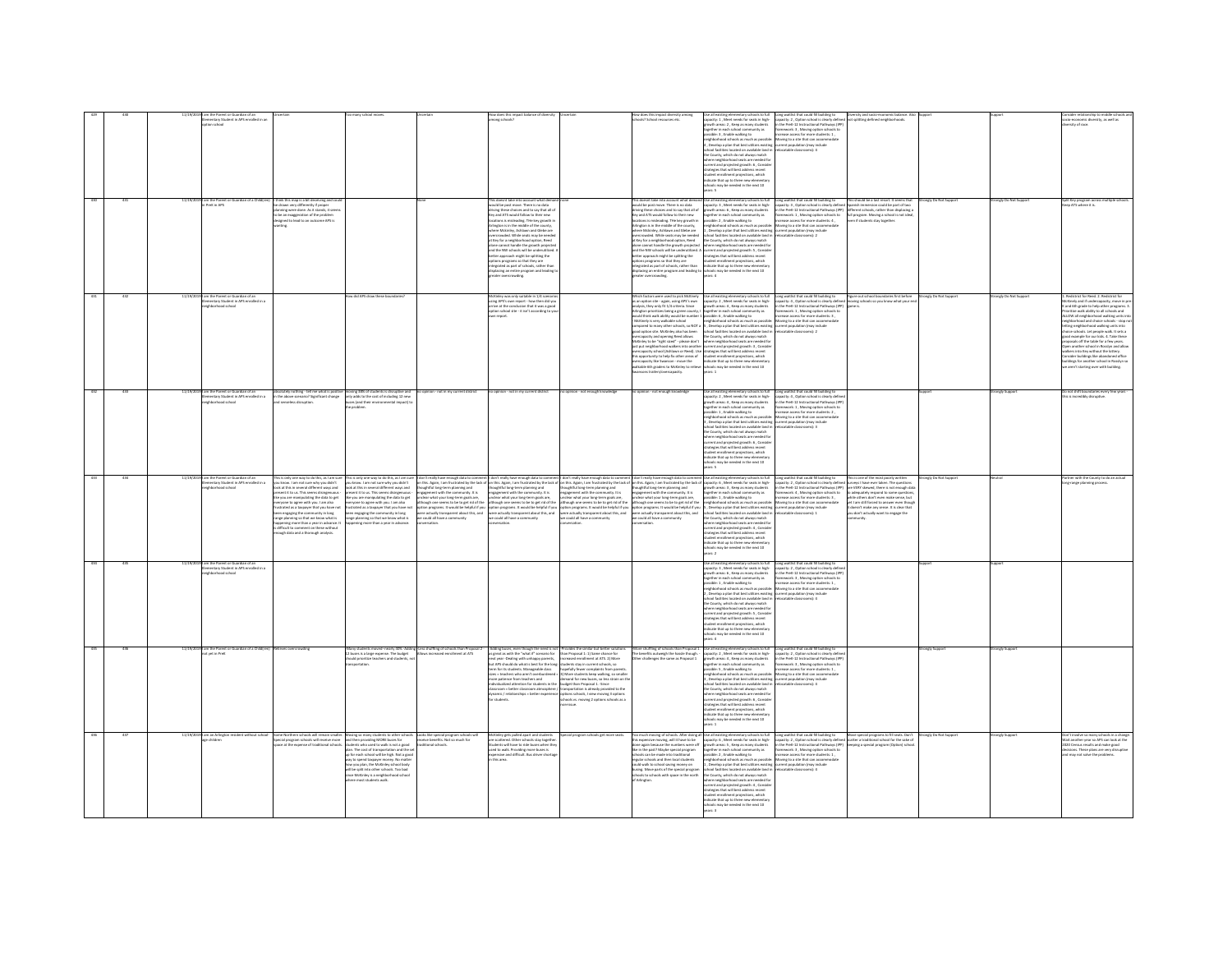|     |          | entary Student in APS ens<br>on school<br>11/19/2019 I am the Parent or Guardian of a Child(ren) I think this map is a bit deceiving and c<br>In PreK in APS |                                                                                                                                                                                                                                                                                                                                                                                                                                                                                                                                                                                                   |                                                                                                                                                                                                                                                                                                                                                                                                                                                     |                                                                              | .<br>This doesnt take into account what demar<br>would be post move. There is no data                                                                                                                                                                                                                                                                                                                                                                                                                                                                                                                                                                                            |                                                                                                                                                                                                                    | ools? School resources ets<br>.<br>This doesnt take into account what dema<br>would be post move. There is no data                                                                                                                                                                                                                                                                                               | llut at ide<br>Use all ensiting elementary schools to full<br>capacity: 1, Meet needs for seats in high-<br>growth areas: 2, Keep as many students<br>together in each school community as<br>together in each schools as much as possible:<br>neighborhood<br>, Develop a plan that best utilizes existing current population (may include<br>chool facilities located on available land in refocatable classrooms): 4<br>chool facilities located on available land in<br>the County, which do not always match<br>the County, which do not always match<br>there neighborhood seats are needed for<br>urrent and projected growth: 6, Consider<br>trategies that will best address recent<br>tudeet enrollment projections, which<br>tudiest enrollment project<br>d Use all existing elementary schools to full<br>capacity: 3 , Meet needs for seats in high- | Long waitlist that could fill building to<br>capacity: 2, Option school is clearly defined<br>in the PreK-22 Instructional Pathways (PP)<br>framework: 3, Moving option schools to<br>increase access for more students: 1,<br>Moving to a si<br>Long waitlist that could fill building to This should be a last resort. It seems that<br>capacity: 3 , Option school is clearly defined Spanish immersion could be part of two |                                                                                                                                                                                                                                                                                                                                                        | tronely Do Not Support | Strongly Do Not Support      | nic diversity, as well as<br>encontents.<br>Irsity of race<br>plit Key program across multiple :<br>aep ATS where it is.                                                                                                                                                                                                                                                                                                                                                                                                                                                                                                                       |
|-----|----------|--------------------------------------------------------------------------------------------------------------------------------------------------------------|---------------------------------------------------------------------------------------------------------------------------------------------------------------------------------------------------------------------------------------------------------------------------------------------------------------------------------------------------------------------------------------------------------------------------------------------------------------------------------------------------------------------------------------------------------------------------------------------------|-----------------------------------------------------------------------------------------------------------------------------------------------------------------------------------------------------------------------------------------------------------------------------------------------------------------------------------------------------------------------------------------------------------------------------------------------------|------------------------------------------------------------------------------|----------------------------------------------------------------------------------------------------------------------------------------------------------------------------------------------------------------------------------------------------------------------------------------------------------------------------------------------------------------------------------------------------------------------------------------------------------------------------------------------------------------------------------------------------------------------------------------------------------------------------------------------------------------------------------|--------------------------------------------------------------------------------------------------------------------------------------------------------------------------------------------------------------------|------------------------------------------------------------------------------------------------------------------------------------------------------------------------------------------------------------------------------------------------------------------------------------------------------------------------------------------------------------------------------------------------------------------|--------------------------------------------------------------------------------------------------------------------------------------------------------------------------------------------------------------------------------------------------------------------------------------------------------------------------------------------------------------------------------------------------------------------------------------------------------------------------------------------------------------------------------------------------------------------------------------------------------------------------------------------------------------------------------------------------------------------------------------------------------------------------------------------------------------------------------------------------------------------|---------------------------------------------------------------------------------------------------------------------------------------------------------------------------------------------------------------------------------------------------------------------------------------------------------------------------------------------------------------------------------------------------------------------------------|--------------------------------------------------------------------------------------------------------------------------------------------------------------------------------------------------------------------------------------------------------------------------------------------------------------------------------------------------------|------------------------|------------------------------|------------------------------------------------------------------------------------------------------------------------------------------------------------------------------------------------------------------------------------------------------------------------------------------------------------------------------------------------------------------------------------------------------------------------------------------------------------------------------------------------------------------------------------------------------------------------------------------------------------------------------------------------|
|     |          |                                                                                                                                                              | plemminery unwinting in proper<br>to be an exaggeration of the problem<br>designed to lead to an outcome APS is                                                                                                                                                                                                                                                                                                                                                                                                                                                                                   | na did APC draw these hounda                                                                                                                                                                                                                                                                                                                                                                                                                        |                                                                              | wows we posse choices and to say that all of<br>driving these choices and to say that all of<br>Key and ATS would follow to their new<br>locations is misleading. The key growth in<br>Arlington is in the middle of the county,<br>where Mckinley, Ashlawn and Glebe are<br>rowded. While seats may be neede<br>it Key for a neighborhood option. Reed<br>one cannot handle the growth projecter<br>nd the NW schools will be underutilized.<br>etter approach might be splitting the<br>ptions programs so that they are<br>tegrated as part of schools, rather than<br>tegrated as part of schools, rather than<br>isplacing an entire program and leading t<br>covercrowding |                                                                                                                                                                                                                    | wouse we peak models and to say that all of<br>hing these choices and to say that all of<br>Ney and ATS would follow to their new<br>locations is misleading. The key growth in<br>Arlington is in the middle of the county,<br>ahere Mckinley, Ashlawn and Glebe are<br>rercrowded. While seats may be needed<br>it Key for a neighborhood cotion. Reed                                                         | the County, which do not always match<br>at Kay for a neutrinochood orders, the<br>ed $$\tt C\&$$ and the strength control and the area above)<br>and a also example and the strength control and the strength of the strength of the strength of the strength of the strength                                                                                                                                                                                                                                                                                                                                                                                                                                                                                                                                                                                     | Separation Associates the team in the $\frac{1}{2}$ -space $\frac{1}{2}$ , $\frac{1}{2}$ appears the mean on control and the space of the space of the space of the space of the space of the space of the space of the space of the space                                                                                                                                                                                      |                                                                                                                                                                                                                                                                                                                                                        |                        |                              | Berkstriet for Road 2. Rodstriet for                                                                                                                                                                                                                                                                                                                                                                                                                                                                                                                                                                                                           |
|     |          | 1911 am the Parent or Guardian of an<br>Elementary Student in APS enrolle<br>Ineighborhood school<br>n<br>Ned in a                                           |                                                                                                                                                                                                                                                                                                                                                                                                                                                                                                                                                                                                   |                                                                                                                                                                                                                                                                                                                                                                                                                                                     |                                                                              | McKinley was only suitable in 1/4 scenarios<br>using APS's own report - how then did you<br>arrive at the conclusion that it was a good<br>option school site - it isn't according to you                                                                                                                                                                                                                                                                                                                                                                                                                                                                                        |                                                                                                                                                                                                                    | ilkable 6th graders to McKinley to reliev<br>sons trailers/memanarity                                                                                                                                                                                                                                                                                                                                            | schools may be needed in the next 10<br>wars: 1                                                                                                                                                                                                                                                                                                                                                                                                                                                                                                                                                                                                                                                                                                                                                                                                                    | Which future one is such to publish the adding to the distinguished by the sign of the control the signal point of the signal point of the signal point of the signal point of the signal point of the signal point of the si                                                                                                                                                                                                   | Figure out school boundaries first before Strongly Do Not Support<br>moving schools so you know what your end                                                                                                                                                                                                                                          |                        | .<br>Strongly Do Not Support | 1. Redistrict for Roed. 2. Redistrict for<br>McKinniy and if undercapacity, move in pr<br>K and Oth grade to help other programs. 3<br>Prioritize walk ability to all schools and<br>ALLOW all neighborhood walking units into<br>neighborhoo<br>letting neighborhood walking units into<br>choice schools. Let people walk. It sets a<br>od example for our kids. 4. Take these<br>our example for but kids for a few years.<br>pen another school in Rosslyn and allow<br>alkers into Key without the lottery.<br>onsider buildings like abandoned office<br>aldings for another school in Rosslyn so<br>aren't starting over with building. |
|     |          | l am the Parent or Guardian of an<br>Elementary Student in APS enrolled in a<br>rhood school                                                                 | absolutely nothing - tell me what is positiv<br>in the above scenario? Significant change<br>and senseless disruption.                                                                                                                                                                                                                                                                                                                                                                                                                                                                            | e moving 38% of students is disruptive and<br>only adds to the cost of including 12 new<br>buses (and their environmental impact) to<br>problem.                                                                                                                                                                                                                                                                                                    | sinion - not in my current district                                          | no opinion - not in my current district                                                                                                                                                                                                                                                                                                                                                                                                                                                                                                                                                                                                                                          | no opinion - not enough knowledge                                                                                                                                                                                  | opinion - not enough knowledge                                                                                                                                                                                                                                                                                                                                                                                   | Use all existing elementary schools to full<br>capacity: 2 , Meet needs for seats in high-<br>growth areas: 4 , Keep as many students<br>together in each school community as<br>possible: 1, Enable walking to<br>neighborhood schools as much as possible: Moving to a site that can accommodate<br>, Develop a plan that best utilizes existing current population (may include<br>chool facilities located on available land in refocatable classrooms): 3<br>County, which as not aways match<br>are neighborhood seats are needed for<br>rent and projected growth: 6 , Conside<br>stegies that will best address recent<br>tudent enrollment projections, which<br>rdicate that up to three new elementar<br>ools may be needed in the next 10                                                                                                              | Long waitlist that could fill building to<br>capacity: 4 , Option school is clearly define<br>in the PreK-12 Instructional Pathways (IPF<br>framework: 1, Moving option schools to<br>ncrease access for more students: 2,                                                                                                                                                                                                      |                                                                                                                                                                                                                                                                                                                                                        |                        | angly Supp                   | s not shift boundaries every few ye<br>is is incredibly disruptive.                                                                                                                                                                                                                                                                                                                                                                                                                                                                                                                                                                            |
|     |          | i the Parent or Guardian of an<br>nentary Student in APS enrolled in a<br>hborhood school                                                                    | This is only one way to do this, as I am sure<br>you know. I am not sure why you didn't<br>look at this in several different ways and<br>present it to us. This seems disingenuous -<br>like you are manipulating the data to get<br>everyone to agree with you. I am also<br>frustrated as a taxpayer that you have not<br>been engaging the community in long<br>weaven to apply the contract of the care of the care of the care of the care of the care of the care of the care of the care of the care of the care of the care of the care of the care of the care of the care of the care o | his is only one way to do this, as I am sure<br>ou know. I am not sure why you didn't<br>ook at this in several different ways and<br>resent it to us. This seems disingenuous -<br>ke you are manipulating the data to get<br>ryone to agree with you. I am also<br>ustrated as a taxpayer that you have not<br>sen engaging the community in long<br>nge planning so that we know what is<br>uppening more than a year in advance.                |                                                                              | $\begin{minipage}[t]{0.99\textwidth} \begin{minipage}[t]{0.99\textwidth} \begin{minipage}[t]{0.99\textwidth} \begin{minipage}[t]{0.99\textwidth} \begin{minipage}[t]{0.99\textwidth} \begin{minipage}[t]{0.99\textwidth} \begin{minipage}[t]{0.99\textwidth} \begin{minipage}[t]{0.99\textwidth} \begin{minipage}[t]{0.99\textwidth} \begin{minipage}[t]{0.99\textwidth} \begin{minipage}[t]{0.99\textwidth} \begin{minipage}[t]{0.99\textwidth} \begin{minipage}[t]{0.99\textwidth$<br>ersation.                                                                                                                                                                                |                                                                                                                                                                                                                    |                                                                                                                                                                                                                                                                                                                                                                                                                  | neighborhood schools as much as possible: Moving to a site that can accommodate<br>sunno mutures none ou remains match<br>the County, which do not always match<br>where neighborhood seats are needed for<br>cerrent and projected growth: 4 , Consider<br>strategies that will best address recent<br>student enrollment projections, which<br>indicate that up to three new elementar<br>ools may be needed in the next 10<br>are 2                                                                                                                                                                                                                                                                                                                                                                                                                             | Long waitlist that could fill building to<br>capacity: 2 , Option school is clearly define<br>in the Prett-12 Instructional Pathways (PP)<br>firmwark: 4 , Moving option schools to<br>increase access for more students: 3 ,                                                                                                                                                                                                   | his is one of the most poorly written<br>urveys I have ever taken. The questions<br>re VERT slowed, there is not enough dat<br>to adequately respond to some questions<br>while others don't even make sense, but<br>yet I am still forced to answer even though<br>t doesn't make any sense. It is clear that<br>ou don't actually want to eneare the | angly Do Not Suppo     |                              | irtner with the County to do an actual<br>ng-range planning process.                                                                                                                                                                                                                                                                                                                                                                                                                                                                                                                                                                           |
|     |          | l am the Parent or Guardian of an<br>Elementary Student in APS enrolled in a<br>neighborhood school                                                          |                                                                                                                                                                                                                                                                                                                                                                                                                                                                                                                                                                                                   |                                                                                                                                                                                                                                                                                                                                                                                                                                                     |                                                                              |                                                                                                                                                                                                                                                                                                                                                                                                                                                                                                                                                                                                                                                                                  |                                                                                                                                                                                                                    |                                                                                                                                                                                                                                                                                                                                                                                                                  | ie all existing elementary schools to full<br>pacity: 3 , Meet needs for seats in high-<br>owth areas: 6 , Keep as many students<br>together in each school community as<br>possible: 1 , Enable walking to<br>neighborhood schools as much as possible: Moving to a site that can accommodate<br>, Develop a plan that best utilizes existing current population (may include<br>chool facilities located on available land in relocatable classrooms): 4<br>e County, which do not always match<br>the County, which do not always match<br>where neighborhood seats are needed for<br>current and projected growth: 5, Conside<br>stranegies that will best address recent<br>student enrollment projections, which<br>indicate that up to thre<br>ools may be needed in the next 10                                                                            | Long waitlist that could fill building to<br>capacity: 2 , Option school is clearly define<br>in the PreK-12 Instructional Pathways (IPF<br>nework: 3 , Moving option schools to<br>ease access for more students: 1 ,                                                                                                                                                                                                          |                                                                                                                                                                                                                                                                                                                                                        |                        |                              |                                                                                                                                                                                                                                                                                                                                                                                                                                                                                                                                                                                                                                                |
|     |          | l am the Parent or Guardian of a Child(ren) Relieves over<br>not yet in PreK                                                                                 |                                                                                                                                                                                                                                                                                                                                                                                                                                                                                                                                                                                                   | any students moved-nearly 40%-Addin<br>buses is a large expense. The budget<br>suld prioritize teachers and students, not<br>sportation.                                                                                                                                                                                                                                                                                                            | ,<br>ishuffling of schools than Proposal<br>ws increased enrollment at ATS   | -Adding buses, even though the need is not. <i>Provides</i> the similar but better solution as with the "wheat if" seemands or $\alpha$ " than $\alpha$ " pairs at a new chance for the new state of next pairs and $\alpha$ and $\alpha$ is a next<br>sizes - teachers who aren't overburdened - 3) More students keep walking, so smalle<br>more patience from teachers and<br>.<br>assroom = better classroom atmosphere / transportation is already provided to the<br>mamic / relationships = better experience options schools, I view moving 3 options                                                                                                                    | sore patience from teachers and demand for new buses, so less strain on the district of the buses, so less strain on the students in the budget than Proposal 1. -Since<br>hools vs. moving 2 options schools as a | -More shuffling of schools than Proposal<br>The benefits outweigh the hassle though<br>Other challenges the same as Proposal 1                                                                                                                                                                                                                                                                                   | lse all existing elementary schools to full<br>apacity: 2 , Meet needs for seats in high-<br>rowth areas: 4 , Keep as many students<br>together in each school community as<br>possible: 5 , Enable walking to<br>neighborhood schools as much as possible:<br>l, Develop a plan that best utilizes existing current population (may include<br>chool facilities located on available land in relocatable classrooms): 4<br>the County, which do not always match<br>ere neighborhood seats are needed fo<br>where neighborhood seats are newoen ro<br>surrent and projected growth: 6, Consider<br>transgies that will best address recent<br>student enrollment projections, which<br>indicate that up to three new elementary<br>indicate that up to th<br>ools may be needed in the next 10                                                                    | Long waitlist that could fill building to<br>capacity: 2, Option school is clearly define<br>in the PreK-12 Instructional Pathways (IPP)<br>framework: 3, Moving option schools to<br>increase access for more students: 1,<br>increase acces<br>Moving to a site that can accommodate                                                                                                                                          |                                                                                                                                                                                                                                                                                                                                                        | ngly Suppor            |                              |                                                                                                                                                                                                                                                                                                                                                                                                                                                                                                                                                                                                                                                |
| 436 | 11/19/20 | I am an Arlington resident without school                                                                                                                    | $\label{eq:1} \begin{minipage}{0.9\linewidth} \textbf{Some Noether methods will remain smaller.} \begin{minipage}{0.9\linewidth} \textbf{Special program schools will receive more space at the expense of traditional schools.} \end{minipage}$                                                                                                                                                                                                                                                                                                                                                  | Moving so many students to other schools<br>and then providing MORE buses for<br>students who used to walk is not a good<br>plan. The cost of transportation and the set<br>up for each school will be high. Not a good<br>up for each school<br>way to spend taxpayer money. No matter<br>how you plan, the McKinley school body<br>will be split into other schools. Too bad<br>ice McKinley is a neighborhood school<br>here most students walk. | Looks like special program schools will<br>receive benefits. Not so much for | .<br>McKinley gets pulled apart and students<br>are scattered. Other schools stay together.<br>are scattered. Other schools stay together.<br>Students will have to ride buses when they<br>used to walk. Providing more buses is<br>expensive and difficult. Bus driver shortage<br>this area.                                                                                                                                                                                                                                                                                                                                                                                  | pecial program schools get more seats.                                                                                                                                                                             | Too much moving of schools. After doing all<br>this expensive moving, will it have to be<br>done again because the numbers were off<br>the in the past? Maybe special program<br>schools can be made into traditional<br>egular schools and then local students<br>no yenom gnivaa loorlas of aliaw blud<br>susing. Move parts of the special program<br>ichools to schools with space in the north<br>Arlinaton | all Que all esisting demonstrary schools to full<br>$\begin{minipage}{0.9\textwidth} \begin{tabular}{ l c } \hline & \multicolumn{1}{ c }{0.9\textwidth} \begin{tabular}{ c } \hline & \multicolumn{1}{ c }{0.9\textwidth} \begin{tabular}{ c } \hline & \multicolumn{1}{ c }{0.9\textwidth} \begin{tabular}{ c } \hline & \multicolumn{1}{ c }{0.9\textwidth} \begin{tabular}{ c } \hline & \multicolumn{1}{ c }{0.$<br>the County, which do not always match<br>ere neighborhood seats are needed fo<br>where neighborhood seats are needed to<br>current and projected growth -4 , Consider<br>strategies that will best address recent<br>student enrollment projections, which<br>indicate that up to three new elementary<br>schools may be neede                                                                                                            | Long waitlist that could fill building to Move special programs to fill seats. Don't<br>capacity: 2 , Option school is clearly defined scatter a traditional school for the sake of<br>capacity: 2 , Option school is clearly defined<br>in the PreK-12 Instructional Pathways (IPP)<br>framework: 3 , Moving option schools to<br>increase access for more students: 1 ,                                                       | ing a special program (Option) sch                                                                                                                                                                                                                                                                                                                     | ronaly Do Not Support  |                              | on't involve so many schools in a chang<br>Vit another vear so APS can look at the<br>it another year so APS can look at the<br>to Census results and make good<br>tisions. These plans are very disruptiv<br>I may not solve the problems.                                                                                                                                                                                                                                                                                                                                                                                                    |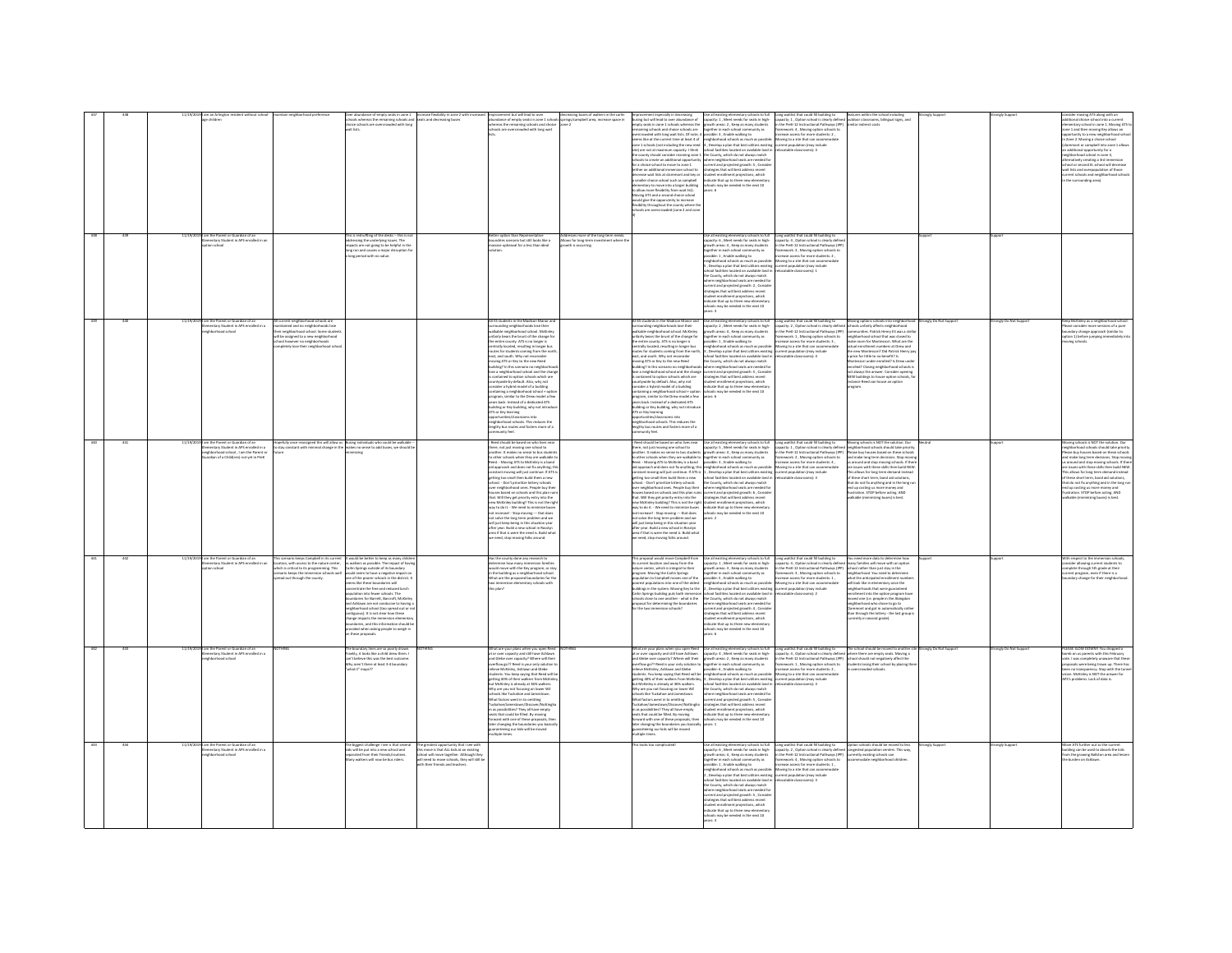|  |                                                                                                                                                           |                                                                                                                                                                                                                                                                                                                                                                                                                                                                                                                                                                                                                                                                                                                                                                                                                                                                                     | lance of empty seats in zone 1 increase flexibility in zone 2 with increased                                                                                                              |                                                                                                                                                                                                                                                                                                                                                                                                                                                                                                                                                                                                                                                                                                                                                                                                                                                                                                                                                                                                   |                                                                            |                                                                                                                                                                                                                                                                                                                                                                                                                                                                                                                                                                                                                                                                                                                                                                                                                                                                                                                                          | Use all existing elementary schools to full Long waitlist that could fill building to                                                                                                                                                                                                                                                                                                                                                                                                                                                                                                                                                                                                                                                                                                                                                                                                                                |                                                                                                                                                                                                                                                                                                                                                                    |                                                                                                                                                                                                                                                                                                                                                                                                                                                                                                                               | ingly Suppor          |                       | er moving ATS along with an                                                                                                                                                                                                                                                                                                                                                                                                                                                                                                                 |
|--|-----------------------------------------------------------------------------------------------------------------------------------------------------------|-------------------------------------------------------------------------------------------------------------------------------------------------------------------------------------------------------------------------------------------------------------------------------------------------------------------------------------------------------------------------------------------------------------------------------------------------------------------------------------------------------------------------------------------------------------------------------------------------------------------------------------------------------------------------------------------------------------------------------------------------------------------------------------------------------------------------------------------------------------------------------------|-------------------------------------------------------------------------------------------------------------------------------------------------------------------------------------------|---------------------------------------------------------------------------------------------------------------------------------------------------------------------------------------------------------------------------------------------------------------------------------------------------------------------------------------------------------------------------------------------------------------------------------------------------------------------------------------------------------------------------------------------------------------------------------------------------------------------------------------------------------------------------------------------------------------------------------------------------------------------------------------------------------------------------------------------------------------------------------------------------------------------------------------------------------------------------------------------------|----------------------------------------------------------------------------|------------------------------------------------------------------------------------------------------------------------------------------------------------------------------------------------------------------------------------------------------------------------------------------------------------------------------------------------------------------------------------------------------------------------------------------------------------------------------------------------------------------------------------------------------------------------------------------------------------------------------------------------------------------------------------------------------------------------------------------------------------------------------------------------------------------------------------------------------------------------------------------------------------------------------------------|----------------------------------------------------------------------------------------------------------------------------------------------------------------------------------------------------------------------------------------------------------------------------------------------------------------------------------------------------------------------------------------------------------------------------------------------------------------------------------------------------------------------------------------------------------------------------------------------------------------------------------------------------------------------------------------------------------------------------------------------------------------------------------------------------------------------------------------------------------------------------------------------------------------------|--------------------------------------------------------------------------------------------------------------------------------------------------------------------------------------------------------------------------------------------------------------------------------------------------------------------------------------------------------------------|-------------------------------------------------------------------------------------------------------------------------------------------------------------------------------------------------------------------------------------------------------------------------------------------------------------------------------------------------------------------------------------------------------------------------------------------------------------------------------------------------------------------------------|-----------------------|-----------------------|---------------------------------------------------------------------------------------------------------------------------------------------------------------------------------------------------------------------------------------------------------------------------------------------------------------------------------------------------------------------------------------------------------------------------------------------------------------------------------------------------------------------------------------------|
|  | e children                                                                                                                                                | ait lists.                                                                                                                                                                                                                                                                                                                                                                                                                                                                                                                                                                                                                                                                                                                                                                                                                                                                          | thools whereas the remaining schools and seats and decreasing buses<br>holce schools are overcrowded with long                                                                            | Improvement but will lead to over<br>abundance of empty seats in zone 1 schools springs/campbell area, increase space in<br>whereas the remaining schools and choice acone 2<br>collected sea our contents of the choice acone 2<br>schools are overcrowded with long wait                                                                                                                                                                                                                                                                                                                                                                                                                                                                                                                                                                                                                                                                                                                        |                                                                            | exercis such contracts and the new reed $\begin{bmatrix} 4 \\ 6 \end{bmatrix}$ . Develop a plan that best utilizes exist<br>site) are not at maximum capacity. I think school facilities located on available land<br>the county should consider rezonin<br>sither an additional immersion school to<br>smaller choice school such as campbell<br><b>dementary to move into a larger building</b><br>o allow more flexibility from wait list).<br>community and a second choice school<br>tould give the opporutnity to increase<br>exibility throughout the county where the<br>thools are overcrowded (zone 2 and zone                                                                                                                                                                                                                                                                                                                 | Improvement especially in decreasing Use all existing elementary schools to full busing but will lead to over abundance of $\sim$ clapscity; $1$ , Meets meets for seats in thigh-central controls of $\sim$ experimental in the e<br>eems like at the current time at least 4 of neighborhood schools as much as possible: Moving to a site that can accommodate<br>4, Develop a plan that best utilizes existing<br>school facilities located on available land in<br>chools to create an additional opportunity suhere neighborhood seats are needed for<br>or a choice school to move to zone 1 current and projected growth: 5 , Conside<br>strategies that will best address recent<br>rcrease wait lists at claremont and key or student enrollment projections, which<br>smaller choice school such as campbell indicate that up to three new elementary<br>schools may be needed in the next 10<br>years: 6 | capacity: 1, Option school is clearly defined cutdoor classrooms, bilingual signs, and<br>in the PreK-12 Instructional Pathways (IPP) similar indirect costs<br>framework: 4 , Moving option schools to<br>increase access for more students: 2 ,<br>urrent population (may include<br>elocatable classrooms): 3                                                   |                                                                                                                                                                                                                                                                                                                                                                                                                                                                                                                               |                       |                       | itional choice school into a current<br>nentary school in zone 1. Moving ATS to<br>zone 1 and then moving Key allows an<br>unity to a new neighborhood schoo<br>Zone 2. Movine a choice school<br>aremost or campbell into zone 1 allows<br>additional opportunity for a<br>ighborhood school in zone 3,<br>rnatively creating a 3rd immersion<br>ool or second EL school will decrease<br>wait lists and overpopulation of those<br>rent schools and neighborhood school<br>the surrounding area                                           |
|  | m the Parent or Guardian of an<br>11/10/2<br>tary Student in APS enrolled in an<br>ion school                                                             | is reshuffling of the decks -- this is no<br>dressing the underlying issues. The<br>rpacts are not going to be helpful in the<br>ng run and causes a major disruption fo<br>ong period with no value.                                                                                                                                                                                                                                                                                                                                                                                                                                                                                                                                                                                                                                                                               |                                                                                                                                                                                           | tter option than Representative<br>ndries scenario but still looks like a<br>sive upheaval for a less than ideal                                                                                                                                                                                                                                                                                                                                                                                                                                                                                                                                                                                                                                                                                                                                                                                                                                                                                  | sses more of the long-term needs<br>ows for long-term in<br>h is occurring |                                                                                                                                                                                                                                                                                                                                                                                                                                                                                                                                                                                                                                                                                                                                                                                                                                                                                                                                          | 2se all existing elementary schools to full<br>apacity: 6, Meet needs for seats in high<br>capacity: 6 , novet heeds for seats in night-<br>growth areas: 4 , Keep as many students<br>together in each school community as<br>possible: 1 , Enable walking to<br>neighborhood schools as much as possible<br>neighborhood schools as mu<br>, Develop a plan that best utilizes existing current population (may include<br>ool facilities located on available land in<br>the County, which do not always match<br>ere neighborhood seats are needed fo<br>where neighborhood seats are needed to<br>current and projected growth: 2, Consider<br>strategies that will best addess recent<br>student enrollment projections, which<br>indicate that up to three new elementary<br>schools may be needed<br>ears: 3                                                                                                  | ong waitlist that could fill building to<br>ang winning ratio Colora in Dansey of definitions<br>the PreK-12 Instructional Pathways (IPF<br>amework: 3 , Moving option schools to<br>crease access for more students: 2 ,<br>oving to a site that can accommodate<br>ocatable classrooms): 1                                                                       |                                                                                                                                                                                                                                                                                                                                                                                                                                                                                                                               |                       |                       |                                                                                                                                                                                                                                                                                                                                                                                                                                                                                                                                             |
|  | am the Parent or Guardian of an<br>11/19/20<br>ntary Student in APS enrolled in a<br>chborhood school                                                     | current neighborhood schools are<br>-<br>Intained and no neighborhoods lose<br>Ir neighborhood school. Some studen<br>the assigned to a new neighborhood<br>hool however no neighborhoods<br>empletely lose their neighborhood sche<br>empletely lose their neighborhood sche                                                                                                                                                                                                                                                                                                                                                                                                                                                                                                                                                                                                       |                                                                                                                                                                                           | <b>VI ES students in the Madison Manor and</b><br>Il ES students in the Madison Manor and<br>arrounding neighborhood sinool. McKinley<br>alkable neighborhood school. McKinley<br>nfairly bears the brunt of the change for<br>se entire county. ATS is no longer is<br>intraily located, resul<br>routes for students coming from the nor<br>east, and south. Why not reconsider<br>moving ATS or Key to the new Reed<br>suilding? In this scenario no neighborh<br>.<br>In the an intervention of school and the change<br>of contained to option schools which are<br>.<br>ntywide by default. Also, why not<br>sider a hybrid model of a building<br>consider a neighborhood school + option<br>program, similar to the Drew model a few<br>years back. Instead of a dedicated ATS<br>building or Key building, why not introde<br>ATS or Key learning<br>oms into<br>ortunities/class<br>ishborhood schools. This reduces the<br>lengthy bus routes and fosters more of a<br>community feel. |                                                                            | Il ES students in the Madison Manor and<br>rrounding neighborhoods lose their<br>alkable neighborhood school. McKinley<br>nfairly bears the brunt of the change for<br>mainy deals the brunt of the change for<br>he entire county. ATS is no longer is<br>entrally located, resulting in longer bus<br>subes for students coming from the north,<br>east, and south. Why not reconsider<br>moving ATS or Key to the new Reed<br>building? In this scenario no neighborh<br>ts contained to option schools which are<br>countywide by default. Also, why not<br>consider a hybrid model of a building<br>containing a neighborhood school + option<br>program, similar to the Drew model a few<br>years back. Instead of<br>building or Key building, why not introduc<br>ATS or Key learning<br>opportunities/classro<br>www.intn<br>ishborhood schools. This reduces the<br>engthy bus routes and fosters more of a<br>community feel. | Use all existing elementary schools to full<br>spacity: 2 , Meet needs for seats in high-<br>powth areas: 4 , Keep as many students<br>together in each school community as<br>possible: 1 , Enable walking to<br>neighborhood schools as much as possible:<br>3 , Develop a plan that best utilizes existing<br>3 , Develop a plan that best utilizes existing<br>school facilities located on available land in<br>the County, which do not always match<br>where neighborhood seats are needed for<br>building if this scealar to neglibationals, where exophabitood sets are needered to<br>constant of the change current and projected growth 5, Consider<br>this continued to option schedule with the surface scenario continued by d<br>years: 6                                                                                                                                                            | Long waitlist that could fill building to<br>.<br>Lapacity: 2 , Option school is clearly defined:<br>n the PreK-12 Instructional Pathways (IPP)<br>mework: 1, Moving option schools to<br>rease access for more students: 3<br>pving to a site that can accommodate<br>current population (may include<br>catable classrooms): 4                                   | Moving options schools into neighborhoor<br>ools unfairly affects neighborhood<br>nmunities. Patrick Henry ES was a stell<br>hammed: Patrick Hinry La Williams<br>of room for Montessori. What are the<br>lal enrollment numbers at Drew and<br>new Montessori? Did Patrick Henry p<br>a price for little to no benefit? Is<br>sori under enrolled? Is Drew und<br>i zloorita boortod faish prizolis in<br>ot always the answer. Consider opening<br>IEW buildings to house option schools, f<br>nce Reed can house an option | ronely Do Not Support | rongly Do Not Support | reo McKinley as a neighborhood schoo<br>se consider more versions of a pure<br>undary change approach (similar to<br>sion 1) before jumping immediately<br>ing schools.                                                                                                                                                                                                                                                                                                                                                                     |
|  | am the Parent or Guardian of an<br>lementary Student in APS enrolled in a<br>ghborhood school, I am the Parent or<br>lian of a Childfren) not vet in Prel | .<br>sefully once reassigned this will allow us <b>Busing individuals who could be walkable</b><br>tay constant with minimal change in the makes no sense to add buses, we should<br>izine                                                                                                                                                                                                                                                                                                                                                                                                                                                                                                                                                                                                                                                                                          |                                                                                                                                                                                           | eed should be based on who live<br>there, not just moving one school to<br>another. It makes no sense to bus student<br>to other schools when they are walkable t<br>Reed. - Movine ATS to McKinley is a band<br>aid approach and does not fix anything; this<br>constant moving will just continue. If ATS is<br>Comman moving with post continues in a new<br>school. - Don't priorities lottery schools<br>over neighborhood ones. People buy their<br>houses based on schools and this plan ruin<br>that. Will they get priority entry into the<br>new McKinley building? This is not the right<br>way to do it. - We need to minimize buse<br>t increase! - Stop movine --- that does<br>ot solve the long term problem and we<br>will just keep being in this situation year<br>after year. Build a new school in Rosslyn<br>area if that is were the need is. Build what<br>need, stop moving folks around.                                                                                |                                                                            | here, not just moving one school to<br>Reed. - Moving ATS to McKinley is a band<br>way to do it. - We need to minimize buses<br>not increase! - Stop moving --- that does<br>not solve the long term problem and we<br>need, stop moving folks around.                                                                                                                                                                                                                                                                                                                                                                                                                                                                                                                                                                                                                                                                                   | Use all existing elementary schools to full<br>capacity: 5 , Meet needs for seats in high-<br>nother. It makes no sense to bus students - growth areas: 4 , Keep as many students<br>o other schools when they are walkable to - together in each school community as<br>possible: 3, Enable walking to<br>.<br>Id approach and does not fix anything: this meighborhood schools as much as possible:<br>onstant moving will just continue. If ATS is 1, Develop a plan that best utilizes existing<br>consider moveg will paid conframe. A PLS is 1, Develop in pain that between sentences and<br>performance performance in the constant of the performance of the<br>straight and the straighted larger straighted in the control of th<br>Indicate that up to three new elementary<br>schools may be needed in the next 10<br>years: 2                                                                          | .<br>Long waitlist that could fill building to<br>capacity: 1 , Option school is clearly define<br>in the PreK-12 Instructional Pathways (IPP)<br>framework: 2, Moving option schools to<br>rease access for more students: 4.<br>loving to a site that can accommodate<br>arrent population (may include<br>ocatable classrooms): 3                               | Moving schools is NOT the solution. Our<br>ghborhood schools should take priorit<br>se buy houses based on these school<br>d make long term decisions. Stop movi<br>around and stop moving schools. If the<br>ssues with these skills then build NEW<br>allows for long term demand instea<br>is more to may get the the share of the state of the state of the state of the state of the state of the state of the state of the state of the state of the state of the state of the state of the state of the state of the   |                       |                       | ving schools is NOT the solution. Our<br>Haorhood schools should take priority<br>ase buy houses based on these schools<br>make long term decisions. Stop movin<br>around and stop movine schools. If then<br>ssues with these skills then build NEV<br>allows for long term demand instea<br>his allows for long term demand instead<br>I these short term, band ald solutions,<br>hat do not fix anything and in the long ru<br>nd up costing us more money and<br>sutration. STOP before acting. AND<br>sultable (minimizing buses) is b |
|  | I am the Parent or Guardian of an<br>ntary Student in APS enrolled in an<br>tion school                                                                   | is scenario keeps Campbell in its current<br>t would be better to keep as many chile<br>cation, with access to the nature center<br>hich is critical to its programming. This<br>walkers as possible. The impact of have<br>וס בשקווה אותו . השנים עם כי ביום.<br>Carlin Springs outside of its boundary<br>nario keeps the in<br>and speem to have a negative impact on<br>and diseem to have a negative impact on<br>see of the poorer schools in the district. It<br>seems like these boundaries will<br>concentrate the free and reduced lunch<br>ad out through the county.<br>pulation into fewer schools. The<br>undaries for Barrett, Barcroft, McKirle<br>nd Ashlawn are not conducive to having<br>eighborhood school (too spread out or<br>onliguous). It is not clear how these<br>ange impacts the immersion ele<br>undaries, and this information s<br>hese proposals | ided when asking people to weigh in                                                                                                                                                       | as the county done any research to<br>mine how many imm<br>rsion familie<br>uld move with the Key program, or star<br>the building as a neighb<br>tne ousantg as a neighborhood school.<br>hat are the proposed boundaries for the<br>o immersion elementary schools with<br>plan?                                                                                                                                                                                                                                                                                                                                                                                                                                                                                                                                                                                                                                                                                                                |                                                                            | his proposal would move Campbell from<br>The particular distance description. The ad determination and the determination of the local policies of the state of the state of the state of the state of the state of the state of the state of the state of the state of<br>roposal for determining the boundaries<br>Colonia noissami nut runt                                                                                                                                                                                                                                                                                                                                                                                                                                                                                                                                                                                            | Use all existing elementary schools to full<br>where neighborhood seats are needed for<br>current and projected growth: 4, Consid<br>strategies that will best address recent<br>student enrollment projections, which<br>tuneyes one will best access receive<br>tudent enrollment projections, which<br>chools may be needed in the next 10<br>ses: 6                                                                                                                                                                                                                                                                                                                                                                                                                                                                                                                                                              | Long waitlist that could fill building to Tou need more data to determine how<br>capacity: 4 , Option school is clearly defined many families will move with an option<br>in the PreK-12 Instructional Pathways (PP) school rather t<br>Environment is a Moving option schools to<br>previous access for more students: 1<br>toving to a site that can accommodate | screen were compared to determine<br>might orhood. You need to determine<br>what the anticipated enrollment numb<br>will look like in elementary once the<br>mightorhoods that were guaranteed<br>enrollment into the option program have<br>moved one (i.e. people in the Abingdon<br>eighborhood who chose to go to<br>remont and got in automatically rathe<br>an through the lottery - the last group<br>ently in second grade)                                                                                           |                       |                       | respect to the immersion scho<br>ider allowing current students to<br>plete through 5th grade at their<br>rent program, even if there is a<br>undary change for their neighbor                                                                                                                                                                                                                                                                                                                                                              |
|  | I am the Parent or Guardian of an<br>11/19/20<br>entary Student in APS enrolled in a<br>thorhood school                                                   | he boundary lines are so poorly drawn.<br>ankly, it looks like a child drew them.<br>t believe this was the best out<br>hy aren't there at least 3-4 boundary<br>that it" maps??                                                                                                                                                                                                                                                                                                                                                                                                                                                                                                                                                                                                                                                                                                    |                                                                                                                                                                                           | What are your plans when you open Reed<br>at or over capacity and still have Ashlawn<br>d Glebe over capacity? Where will their<br>or under over tapacity venter will use<br>the McKinley, Ashlawn and Glebe<br>udents. You keep saying that Reed will be<br>getting 40% of their walkers from McKin<br>but McKinley is already at 36% walkers.<br>Why are you not focusing on lower W2<br>ools like Tuckahoe and Jamestows<br>What factors went in to omitting<br>Turkshna/tame<br>is possibilities? They all have empt<br>measurements in the filled. By moving<br>forward with one of these proposals, the<br>later changing the boundaries you basic<br>guaranteeing our kids will be moved<br>dtiple times.                                                                                                                                                                                                                                                                                  |                                                                            | Vhat are your plans when you open Reed<br>at or over capacity and still have Ashlawn<br>Why are you not focusing on lower WZ<br>schools like Tuckahoe and Jamestown.<br>What factors went in to omitting<br>urkahne/temestrean/Discover/Nominaha<br>as possibilities? They all have empty<br>eats that could be filled. By moving<br>orward with one of these proposals, th<br>ater changing the boundaries you basis<br>er changing the boundaries you basically<br>aranteeing our kids will be moved<br>ultiple times.                                                                                                                                                                                                                                                                                                                                                                                                                 | Use all existing elementary schools to full Long waitlist that could fill building to<br>capacity: 4, Meet needs for seats in high- capacity: 4, Option school is clearly define<br>of the acceptance of the low-stokes of space<br>for a finite sympathy and the sympathy of the sympathy of the sympathy<br>constraints of the sympathy of the sympathy of the sympathy of the<br>sympathy sympathy and the sympathy of<br>the County, which do not always match<br>where neighborhood seats are needed for<br>current and projected growth: 5, Consider<br>strategies that will best address recent<br>student enrollment projections, which<br>indicate that up to three new elements<br>schools may be needed in the next 10<br>years: 1                                                                                                                                                                        | the PreK-12 Instructional Pathways (IPP)<br>amework: 1, Moving option schools to<br>serease access for more students: 2,<br>toving to a site that can accommodate                                                                                                                                                                                                  | The school should be moved to another site<br>here there are empty seats. Moving a<br>col should not negatively affect the<br><b>lents losing their school by placing</b><br>vercrowded schools.                                                                                                                                                                                                                                                                                                                              | ronely Do Not Suppor  | ronely Do Not Support | LEASE SLOW DOWN!! You dropped a<br>nb on us parents with this February<br>e. I was completely unaware that the<br>posals were being trawn up. There has<br>in no transparency. Stop with the tunn<br>on. McKinley is NOT the answer for<br>S's problems. Lack of data is.                                                                                                                                                                                                                                                                   |
|  | am the Parent or Guardian of an<br>11/19/20<br>entary Student in APS enrolled in<br>hond school                                                           | bienest challenge I see is that sev-<br>.<br>ds will be put into a new school and<br>parated from their friends/routines.<br>ry walkers will now be bus riders                                                                                                                                                                                                                                                                                                                                                                                                                                                                                                                                                                                                                                                                                                                      | e greatest opportunity that I see with<br>mous is that AII kids at an existing<br>hool will move together. Alt<br>need to move schools, they will still it<br>their friends and teachers. |                                                                                                                                                                                                                                                                                                                                                                                                                                                                                                                                                                                                                                                                                                                                                                                                                                                                                                                                                                                                   |                                                                            | is looks too complicated                                                                                                                                                                                                                                                                                                                                                                                                                                                                                                                                                                                                                                                                                                                                                                                                                                                                                                                 | Use all existing elementary schools to full<br>:<br>papacity: 6 , Meet needs for seats in high-<br>powth areas: 4 , Keep as many students<br>together in each school community as<br>possible: 1 , Enable walking to<br>neighborhood schools as much as possible:<br>: , Develop a plan that best utilizes existing eurrent population (may include<br>chool facilities located on available land in relocatable classrooms): 3<br>the County, which do not always match<br>where neighborhood seats are needed for<br>urrent and projected erowth: 5 . Consig<br>trategies that will best address recent<br>cracegoes true will best accoress recent<br>itsdent enrollment projections, which<br>indicate that up to three new elemental<br>ichools may be needed in the next 10                                                                                                                                    | Long waitlist that could fill building to<br>.<br>spacity: 2 , Option school is clearly defined<br>the PreK-12 Instructional Pathways (IPP)<br>Famework: 4, Moving option schools to<br>ncrease access for more students: 1,<br>Moving to a site that can accommodate                                                                                              | tion schools should be moved to less<br>gested population centers. This way,<br>rently existing schools can<br>todate neighborhood children                                                                                                                                                                                                                                                                                                                                                                                   | onaly Support         | onely Support         | ret ATS further out so the current<br>over Ara nature but so the carreirs<br>siding can be used to absorb the kids<br>on the growing Ballston area and less<br>e burden on Ashlawn.                                                                                                                                                                                                                                                                                                                                                         |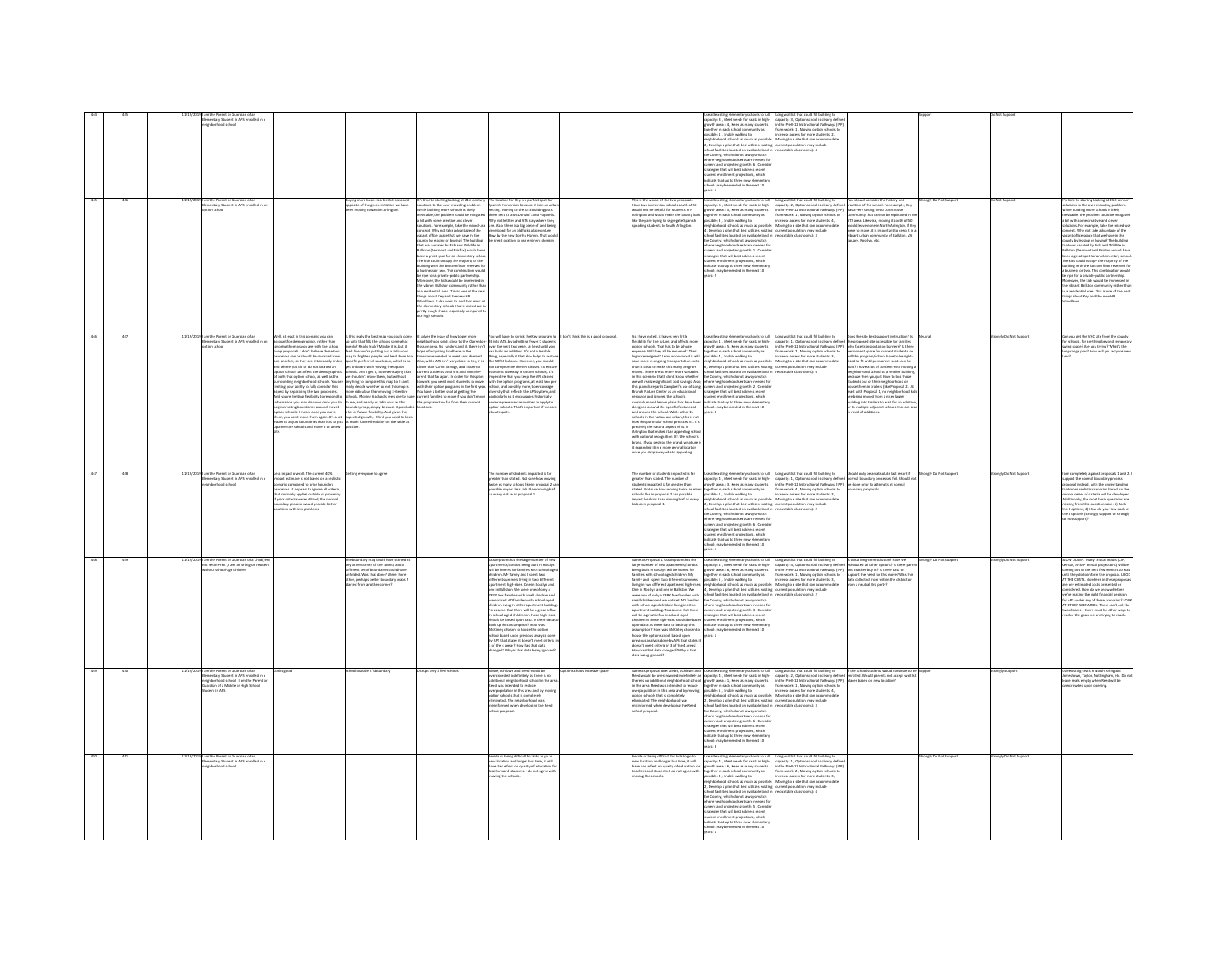|                  |         | entary Student in APS enrolled in a<br>hood school                                                                                 |                                                                                                                                                                                                                                                                                                                                                                                                                                                                                                                                                                                                                                                                                                                                                                                                                                                                                                                                                                                                                                                                                                                                                                                                                                                                                                                                                                                                                                                                                                                                                                                                                                                                                                               |                                                                                                                                                                                                                                                                                                                                                                                                                                                                                                                                                                                                                                                                                                                                                                                                                                                                                                                                                                                                                                                                                                                                                                                                                                                                                                                                           |                                     |                                                                                                                                                                                                                                                                                                                                                                                                                                                                                                                                                                                                                                                                                                                                                                                                                                                                                                                                                                                                                                                                                                                                                                | tary schools to full<br>apacity: 3 , Meet needs for seats in high-<br>rowth areas: 4 , Keep as many students<br>together in each school community as<br>possible: 1 , Enable walking to<br>wighborhood schools as much as possible: Moving to a site that can accommodate<br>wave the state of the best utilizes existing current population (may include<br>chool facilities located on available land in redocatable classrooms): 4<br>he County, which do not always match<br>ie County, which do not always match<br>there neighborhood seats are needed for<br>treent and projected growth: 6 , Consider<br>trategies that will best address recent<br>udent enrollment projections, which<br>dicate that up to three new                                                                                                                              | that could fill building to<br>capacity: 3 , Option school is clearly define<br>in the PreK-12 Instructional Pathways (IPP<br>framework: 1, Moving option schools to<br>increase access for more students: 2,                                                                                                                                                                                                                                                                                                                                                                                                                                                                                                                                                                                                                                                                             |                    |                     |                                                                                                                                                                                                                                                                                                                                                                                                                                                                                                                                                                                                                                                                                                                                                                                                              |
|------------------|---------|------------------------------------------------------------------------------------------------------------------------------------|---------------------------------------------------------------------------------------------------------------------------------------------------------------------------------------------------------------------------------------------------------------------------------------------------------------------------------------------------------------------------------------------------------------------------------------------------------------------------------------------------------------------------------------------------------------------------------------------------------------------------------------------------------------------------------------------------------------------------------------------------------------------------------------------------------------------------------------------------------------------------------------------------------------------------------------------------------------------------------------------------------------------------------------------------------------------------------------------------------------------------------------------------------------------------------------------------------------------------------------------------------------------------------------------------------------------------------------------------------------------------------------------------------------------------------------------------------------------------------------------------------------------------------------------------------------------------------------------------------------------------------------------------------------------------------------------------------------|-------------------------------------------------------------------------------------------------------------------------------------------------------------------------------------------------------------------------------------------------------------------------------------------------------------------------------------------------------------------------------------------------------------------------------------------------------------------------------------------------------------------------------------------------------------------------------------------------------------------------------------------------------------------------------------------------------------------------------------------------------------------------------------------------------------------------------------------------------------------------------------------------------------------------------------------------------------------------------------------------------------------------------------------------------------------------------------------------------------------------------------------------------------------------------------------------------------------------------------------------------------------------------------------------------------------------------------------|-------------------------------------|----------------------------------------------------------------------------------------------------------------------------------------------------------------------------------------------------------------------------------------------------------------------------------------------------------------------------------------------------------------------------------------------------------------------------------------------------------------------------------------------------------------------------------------------------------------------------------------------------------------------------------------------------------------------------------------------------------------------------------------------------------------------------------------------------------------------------------------------------------------------------------------------------------------------------------------------------------------------------------------------------------------------------------------------------------------------------------------------------------------------------------------------------------------|-------------------------------------------------------------------------------------------------------------------------------------------------------------------------------------------------------------------------------------------------------------------------------------------------------------------------------------------------------------------------------------------------------------------------------------------------------------------------------------------------------------------------------------------------------------------------------------------------------------------------------------------------------------------------------------------------------------------------------------------------------------------------------------------------------------------------------------------------------------|-------------------------------------------------------------------------------------------------------------------------------------------------------------------------------------------------------------------------------------------------------------------------------------------------------------------------------------------------------------------------------------------------------------------------------------------------------------------------------------------------------------------------------------------------------------------------------------------------------------------------------------------------------------------------------------------------------------------------------------------------------------------------------------------------------------------------------------------------------------------------------------------|--------------------|---------------------|--------------------------------------------------------------------------------------------------------------------------------------------------------------------------------------------------------------------------------------------------------------------------------------------------------------------------------------------------------------------------------------------------------------------------------------------------------------------------------------------------------------------------------------------------------------------------------------------------------------------------------------------------------------------------------------------------------------------------------------------------------------------------------------------------------------|
|                  | 11/19/2 | .<br>Siementary Student in APS enrolled in an<br>Elementary Student in APS enrolled in an<br>on school                             | uying more buses is a terrible idea and<br>pposite of the green initiative we have<br>ving toward in Arlinetor                                                                                                                                                                                                                                                                                                                                                                                                                                                                                                                                                                                                                                                                                                                                                                                                                                                                                                                                                                                                                                                                                                                                                                                                                                                                                                                                                                                                                                                                                                                                                                                                | It's time to starting looking at 21st century<br>solutions to the over crowding problem.<br>The location for Key is a perfect spot for<br>anish Immersion because it is in an urb<br>le building more schools is likely<br>ritable, the problem could be mitieate<br>bit with some creative and clever<br>Why not let Key and ATS stay where they<br>tions. For example, take the mixed-<br>are. Also, there is a big piece of land being<br>.<br>Incept. Why not take advantage of the<br>Icant office space that we have in the<br>developed for an old folks place on Lee<br>Hwy by the new Dorthy Hamm. That woul<br>great location to use eminent domai<br>vacant office space that we have in the<br>county by leasing or buying? The building<br>that was vacated by fish and Wildlife in<br>thatson (Vermont and fairfiel would have<br>been a great spot for an elementary school<br>The bids could<br>a business or two. This combination would<br>be ripe for a private-public partnership.<br>Moreover, the kids would be immersed in<br>he vibrant Ballston community rather than<br>n a residential area. This is one of the neat<br>hings about Key and the new HB<br>.<br>Noodlawn. I also want to add that most o<br>he elementary schools I have visited are i<br>retty rough shape, especially cor<br>ur high schools. |                                     | This is the worse of the two proposals.<br>Have two immersion schools south of 50<br>would not be helpful for students in N<br>finaton and would make the county look<br>ke they are trying to segregate Spanish<br>aking students to South Arlineton.                                                                                                                                                                                                                                                                                                                                                                                                                                                                                                                                                                                                                                                                                                                                                                                                                                                                                                         | Use all existing elementary schools to full Long waitlist that could fill building to<br>capacity: 6, Meet needs for seats in high- capacity: 2, Option school is clearly defin<br>owth areas: S., Keep as many students<br>parther in each school community as<br>sible: 3 . Enable walking to<br>eighborhood schools as much as possible:<br>,<br>Nevelop a plan that best utilizes existin<br>pol facilities located on available land i<br>County, which do not always match<br>ore country, wents to each state and the valid for consideration of contract and projected growth: 1, Consider<br>strategies that will best address recent<br>strategies that will best address recent<br>stadent enrollment projection                                                                                                                                 | You should consider the history and<br>tradition of the school. For example, Key<br>in the PreK-12 Instructional Pathways (IPP)<br>has a very strong tie to Courthouse<br>framework: 1 . Moving option schools to<br>mmunity that cannot be reglicated in ti<br>screase access for more students: 4.<br>ATS area. Likewise, moving it south of 50<br>Moving to a site that can accommodate<br>uld leave none in North Arlinaton. If Ke<br>-<br>-<br>urrent population (may include<br>relocatable classrooms): 3<br>were to move, it is important to keep it in<br>vibrant urban community of Ballston. VA<br>are, Rosslyn, etc.                                                                                                                                                                                                                                                          | ongly Do Not Suppo | lo Not Support      | t's time to starting looking at 21st centu<br>iclutions to the over crowding problem.<br>tile building more schools is likely<br>vitable, the problem could be mities<br>a bit with some creative and clever<br>ions. For example, take the mixed-u<br>solutions. For example, take the mixed-sole<br>concept. Why not take advantage of the vacant office space that we have in the<br>country by leasing or to ying? The building<br>formulation of the space that we have in the that was<br>ilding with the bottom floor reserved f<br>a business or two. This combination would<br>be ripe for a private-public partnership.<br>foreover, the kids would be immersed in<br>the vibrant Ballston community rather that<br>n a residential area. This is one of the nea<br>lings about Key and the new HB |
|                  |         | im the Parent or Guardian of an<br>mentary Student in APS enrolled in a<br>n schoo                                                 | his really the best map you could come<br>Well, at least in this scenario you can<br>count for demographics, rather than<br>noring them as you are with the school<br>p with that fills the schools somewhat<br>venly? Really truly? Maybe it is, but it<br>wap proposals. I don't believe these two<br>leels like you're putting out a ridiculous<br>ses can or should be divorced from<br>up to frighten people and lead them to a<br>secific preferred conclusion, which is to<br>one another, as they are intrinsically linke<br>nd where you do or do not located an<br>t on board with moving the option<br>nd where you do or do not located an<br>ption school can affect the demographics<br>f both that option school, as well as the<br>prounding neighborhood schools. You an<br>miting your ability to fully consider this<br>ppect by separating<br>tools. And I get it, not even saying that<br>shouldn't move them, but without<br>we shouldn't move them, but without any<br>phape to compare this map to, I can't seally decide whether or not this map is<br>none ridiculous than moving 3-6 entire<br>scarce ridiculous than moving 3-6 entire huge<br>come, and nearly<br>And you're limiting flexibility to respond to<br>information you may discover once you do<br>begin creating boundaries around moved<br>boundary map, simply because it precludes<br>a lot of future flexibility. And given the<br>expected growth, I think you need to keep<br>option schools. I mean, once you move<br>them, you can't move them again. It's a lot<br>rasier to adjust boundaries than it is to pick, as much future flexibility on the table at<br>in an entire schools and move it to a new | t solves the issue of how to get more<br>You will have to shrink the Key program to<br>neighborhood seats close to the Clarendon- fit into ATS, by admitting fewer K student<br>Rosslyn area. As I understand it, there isn't over the next two years, at least until you<br>hope of acquiring land here in the can build a<br>timeframe needed to meet seat demand.<br>thing, especially if that also helps to restor<br>the 50/50 balance. However, you should<br>Also, while ATS isn't very close to Key, it is<br>Also, while ATS in the very close to Key, it is considered to close than Cariis Springs, and closer to current students. And ATS and McGinley are avery that for apart. In order for this plan on work, you need most student<br>not compromise the VPI classes. To ensure<br>It compromise the VPI classes. To ensure<br>concenic diversity in option schools, it's<br>perative that you keep the VPI classes<br>th the option programs, at least two pe<br>hool, and possibly more, to encourage<br>ensity that reflects<br>rticularly as it encourages historically<br>derrepresented minorities to apply to<br>tion schools. That's important if we ca<br>bout equity.                                                                                                                                          | fon't think this is a good proposal | As I have noted, it leaves very little<br>sibility for the future, and affects more<br>on schools. That has to be a huge<br>ense. Will they all be renamed? Their<br>liw fi beonivnoonu ms I Sbenskelber apr<br>e more in ongoing transportation costs<br>han it costs to make this many program<br>noves. There are so many more variables<br>n this scenario that I don't know whether<br>tris scenario triat i don't know writerier<br>e will realize significant cost savings. Also,<br>is plan disregards Campbell's use of Long<br>ranch Nature Center as an educational<br>visource and ignores the school's<br>curriculum and lesson plans that have been<br>designed around the specific features at<br>and around the school. While other EL<br>ools in the nation are urban, this is no<br>ow this particular school practices EL It's<br>recisely the natural aspect of EL in<br>rlington that makes it an appealing schor<br>ith national recognition. It's the school's<br>rand. If you destroy the brand, what use<br>expanding it in a more central location<br>expanding it in a more central location<br>ice you strip away what's appealing | Use all existing elementary schools to full<br>capacity: 1 , Meet needs for seats in high-<br>growth areas: 5 , Keep as many students<br>together in each school community as<br>possible: 4, Enable walking to<br>neighborhood schools as much as possible: Moving to a site that can accommodate<br>.<br>5. Develop a plan that best utilizes existing exerent population (may include<br>ichool facilities located on available land in refocatable classrooms): 4<br>5, Diversion is plan that bent utilizes sensitive properties to<br>calculate for available land in the County, which do not always match<br>the County, which do not always match<br>$\alpha_1$ where neighborhood seats are needed for<br>g<br>student enrollment projections, which<br>indicate that up to three new elementa<br>schools may be needed in the next 10<br>wars: 3 | Long waithist that could fill building to Does the site best support instruction? Is<br>capacity: 1, Option school is clearly defined the proposed site accessible for families<br>in the PreK-12 Instructional Pathways (IPP) who f<br>framework: 2, Moving option schools to<br>rmanent space for current students, or<br>will the program/school have to be right<br>sized to fit until permanent seats can be<br>built? I have a lot of concern with moving<br>neighborhood school to a smaller buildin<br>use then you just have to bus those<br>cause train you just newe to ous those<br>idents out of their neighborhood or<br>use them in trailers (like Proposal 2). Al<br>st with Proposal 1, no neighborhood ki<br>are being moved from a nicer larger<br>building into trailers to wait for an addition<br>or to multiple adjacent schools that are al:<br>need of additions |                    | ongly Do Not Suppo  | an you get the VHC site from the county<br>or schools, for anything beyond tempora<br>wing space? Are you trying? What's the<br>ong-range plan? How will you acquire ne                                                                                                                                                                                                                                                                                                                                                                                                                                                                                                                                                                                                                                      |
|                  |         | m the Parent or Guardian of an<br>mentary Student in APS enrolled in a                                                             | impact overall. The current 40%<br>act estimate is not based on a realist<br>ing everyone to agre<br>impute instimuous in the touch boundary<br>speciesiss. It appears to spine boundary<br>processes. It appears to ignore all criteris<br>that normally applies outside of proximit<br>if prior criteria were utilized, the normal<br>fignior cr<br>undary process would provide better<br>utions with less problems.                                                                                                                                                                                                                                                                                                                                                                                                                                                                                                                                                                                                                                                                                                                                                                                                                                                                                                                                                                                                                                                                                                                                                                                                                                                                                       | number of students impacted i<br>iter than stated. Not sure how r<br>uoer trian states. Not sure now moving<br>ice as many schools like in proposal 2 c<br>sible impact less kids than moving hall<br>many kids as in proposal 1.                                                                                                                                                                                                                                                                                                                                                                                                                                                                                                                                                                                                                                                                                                                                                                                                                                                                                                                                                                                                                                                                                                         |                                     | number of students impacted is far<br>ater than stated. The number of<br>present man states. I me mumeer or<br>students impacted is far greater than<br>stated. Not sure how moving twice as many<br>schools like in proposal 2 can possible<br>mpact less kids than moving half as many<br>ds as in proposal 1.                                                                                                                                                                                                                                                                                                                                                                                                                                                                                                                                                                                                                                                                                                                                                                                                                                               | the County, which do not always match<br>where neighborhood seats are needed for<br>current and projected growth: 6, Conside<br>strategies that will best address recent<br>tudent enrollment projections, which<br>idicate that up to three new elementa<br>a needed in the next 10                                                                                                                                                                                                                                                                                                                                                                                                                                                                                                                                                                        | One all ensiting elementary schools to full . Gong weithst that could it to<br>string the space $\tau$ , show through the space $\tau$ , shows<br>that the space is a simple space in a significant to the space of the<br>space is easily d<br>suld only be an absolute last resort<br>rmal boundary processes fail. Shoul-<br>be done prior to attempts at norma<br>be done prior to attempts at norma<br>lary proposal:                                                                                                                                                                                                                                                                                                                                                                                                                                                                | engly Do Not Suppe | ingly Do Not Supp   | completely against proposals 1 and<br>ort the normal boundary process<br>upport the mornium tourist process<br>that more realistic scenarios based on the<br>hat more realistic scenarios based on the<br>scenal series of criteria will be developed<br>Additionally, the most basic questions are<br>missing from this questionnaire: 1) Rank<br>the 3 options, 2) How do you view each of<br>the 3 options (strongly support to strong)<br>firepour ton a                                                                                                                                                                                                                                                                                                                                                 |
|                  |         | m the Parent or Guardian of a Chi<br>it yet in PreK , I am an Arlington re                                                         | e boundary map could have started a<br>y other corner of the county and a<br>ferent set of boundaries could have<br>folded. Was that done? Were there<br>er, perhaps better boundary maps<br>rted from another corner?                                                                                                                                                                                                                                                                                                                                                                                                                                                                                                                                                                                                                                                                                                                                                                                                                                                                                                                                                                                                                                                                                                                                                                                                                                                                                                                                                                                                                                                                                        | Assumption that the large number of new<br>apartments/condos being built in Rosslyn<br>will be homes for families with school-ages<br>children. My family and I spent two<br>s living in two differen<br>spartment high-rises. One in Rosslyn and<br>one in Ballston. We were one of only a<br>ItY few families with small children and<br>e noticed NO families with school-aged<br>children living in either apartment bu<br>assume that there will be a great influ-<br>chool-aged children in these high<br>uld be based upon data. Is there<br>should be used upon basic.<br>The state of the state of the state of the state of the state of the state<br>of the state of the state of the state of the state of the state of the state<br>by APS that states it doesn't meet criteri<br>3 of the 4 areas? How has that data<br>changed? Why is that data being ignor                                                                                                                                                                                                                                                                                                                                                                                                                                                               |                                     | lame as Proposal 1 Assumption that the<br>arge number of new apartments/condos<br>seing built in Rosslyn will be homes for<br>ilies with school-aged children. My<br>amily and I spent two different summers<br>iving in two different apartment high-rises<br>One in Rosslyn and one in Ballston, We<br>ere one of only a VERY few families with<br>mall children and we noticed NO families<br>with school-aged children living in either<br>ment building. To assume that there<br>partmern server <sub>ty</sub><br>ril be a great influx in school-aged<br>hildre <u>n in these high-rises should be based</u><br>ill be a great influx in school-aged<br>videon in these high-rises should be based<br>pon data. Is there data to back up this<br>surreption? How was McKinley chosen to<br>sureption? How was McKinley chosen to<br>revious analysis done by<br>doesn't meet criteria in 3 of the 4 areas?<br>fow has that data changed? Why is that<br>Sa being ignored?                                                                                                                                                                                | Use all existing elementary schools to full<br>capacity: 2 , Meet needs for seats in high-<br>growth areas: 6 , Keep as many students<br>together in each school community as<br>possible: 5 , Enable walking to<br>neighborhood schools as much as possible:<br>4. Develop a plan that best utilizes existing current population (may include<br>school facilities located on available land i<br>somost racuruses sociales on verainates interested<br>where neighborhood seats are needed for<br>where neighborhood seats are needed for<br>strategies that will best address recent<br>distance in the best address recent<br>distance needm<br>indicate that up to three new el<br>is may be needed in the next 10                                                                                                                                     | Long waitlist that could fill building to<br>capacity: 4, Option school is clearly defined<br>in the PreK-12 Instructional Pathways (PP)<br>Is this a long-term solution? Have we<br>deshausted all other options? Is there pa<br>and teacher buy in? Is there data to<br>framework: 1, Moving option schools to<br>increase access for more students: 3,<br>support the need for this move? Was th<br>a collected from within the district o<br>Moving to a site that can accommodate<br>m a neutral 3rd party?<br>catable classrooms): 2                                                                                                                                                                                                                                                                                                                                                |                    | ongly Do Not Su     | OW DOWN. Many critical inputs (CIP,<br>nsus, AFSAP annual projections) will be<br>ming out in the next few months so wai<br>until they do to inform the proposal. LOOK<br>AT THE COSTS. Nowhere in these proposals<br>are any estimated costs presented or<br>dered. How do we know whether<br>we're making the right financial decision<br>for APS under any of these scenarios? LO<br>T OTHER SCENARIOS. There can't only be<br>choices - there must be other ways<br>olve the goals we are trying to read                                                                                                                                                                                                                                                                                                 |
|                  |         | ntary Student in APS enrolled in a<br>Northeast school 1 am the Darent of<br>.<br>ardian of a Middle or High School<br>dent in APS |                                                                                                                                                                                                                                                                                                                                                                                                                                                                                                                                                                                                                                                                                                                                                                                                                                                                                                                                                                                                                                                                                                                                                                                                                                                                                                                                                                                                                                                                                                                                                                                                                                                                                                               | sruot only a few scl<br>.<br>ebe, Ashlawn and Reed would be<br>rercrowded indefinitely as there is no<br>overcrowded indefinitely as there is no<br>additional neighborhood school in the as<br>Reed was intended to reduce<br>overpopulation in this area and by<br>proving elements that is completely<br>eliminated. The neighborhood was<br>misinform<br>ool proposal.                                                                                                                                                                                                                                                                                                                                                                                                                                                                                                                                                                                                                                                                                                                                                                                                                                                                                                                                                                |                                     |                                                                                                                                                                                                                                                                                                                                                                                                                                                                                                                                                                                                                                                                                                                                                                                                                                                                                                                                                                                                                                                                                                                                                                | here neighborhood seats are needed for<br>urrent and projected growth: 6, Consid<br>strategies that will best address recent<br>int enrollment projections, which<br>indicate that up to three new elementary<br>ots may be needed in the next 10<br>$-1$                                                                                                                                                                                                                                                                                                                                                                                                                                                                                                                                                                                                   |                                                                                                                                                                                                                                                                                                                                                                                                                                                                                                                                                                                                                                                                                                                                                                                                                                                                                           |                    |                     | isting seats in North Arlington:<br>town. Tavlor. Nottineham. etc. Do :<br>ve seats empty when Reed will be                                                                                                                                                                                                                                                                                                                                                                                                                                                                                                                                                                                                                                                                                                  |
| $\overline{450}$ |         | am the Parent or Guardian of an<br>lementary Student in APS enroll<br>.<br>Bad in a                                                |                                                                                                                                                                                                                                                                                                                                                                                                                                                                                                                                                                                                                                                                                                                                                                                                                                                                                                                                                                                                                                                                                                                                                                                                                                                                                                                                                                                                                                                                                                                                                                                                                                                                                                               | eside of being difficult for kids to go to<br>ew location and longer bus time, it will<br>ave bad effect on quality of education<br>ichers and students. I do not agree with<br>aving the schools.                                                                                                                                                                                                                                                                                                                                                                                                                                                                                                                                                                                                                                                                                                                                                                                                                                                                                                                                                                                                                                                                                                                                        |                                     | veside of being difficult for kids to go to<br>vew location and longer bus time, it will<br>ave bad effect on quality of education fo<br>achers and students. I do not agree with<br>sving the schools.                                                                                                                                                                                                                                                                                                                                                                                                                                                                                                                                                                                                                                                                                                                                                                                                                                                                                                                                                        | One all ensiting elementary schools to full<br>$\begin{array}{ll} \text{One all consider the model of the building to}\\ \text{the definition of the model.} \end{array} \begin{minipage}{.45\textwidth} \begin{minipage}{.45\textwidth} \begin{minipage}{.45\textwidth} \begin{minipage}{.45\textwidth} \begin{minipage}{.45\textwidth} \begin{minipage}{.45\textwidth} \begin{minipage}{.45\textwidth} \begin{minipage}{.45\textwidth} \begin{minipage}{.45\textwidth} \begin{minipage}{.45\textwidth} \$<br>the County, which do not always match<br>here neighborhood seats are needed for<br>urrent and projected erowth: 5 . Consid<br>trategies that will best address recent<br>itudent enrollment projections, which<br>dicate that up to three new elements<br>chools may be needed in the next 10                                                |                                                                                                                                                                                                                                                                                                                                                                                                                                                                                                                                                                                                                                                                                                                                                                                                                                                                                           | angly Do Not Suppe | rongly Do Not Suppo |                                                                                                                                                                                                                                                                                                                                                                                                                                                                                                                                                                                                                                                                                                                                                                                                              |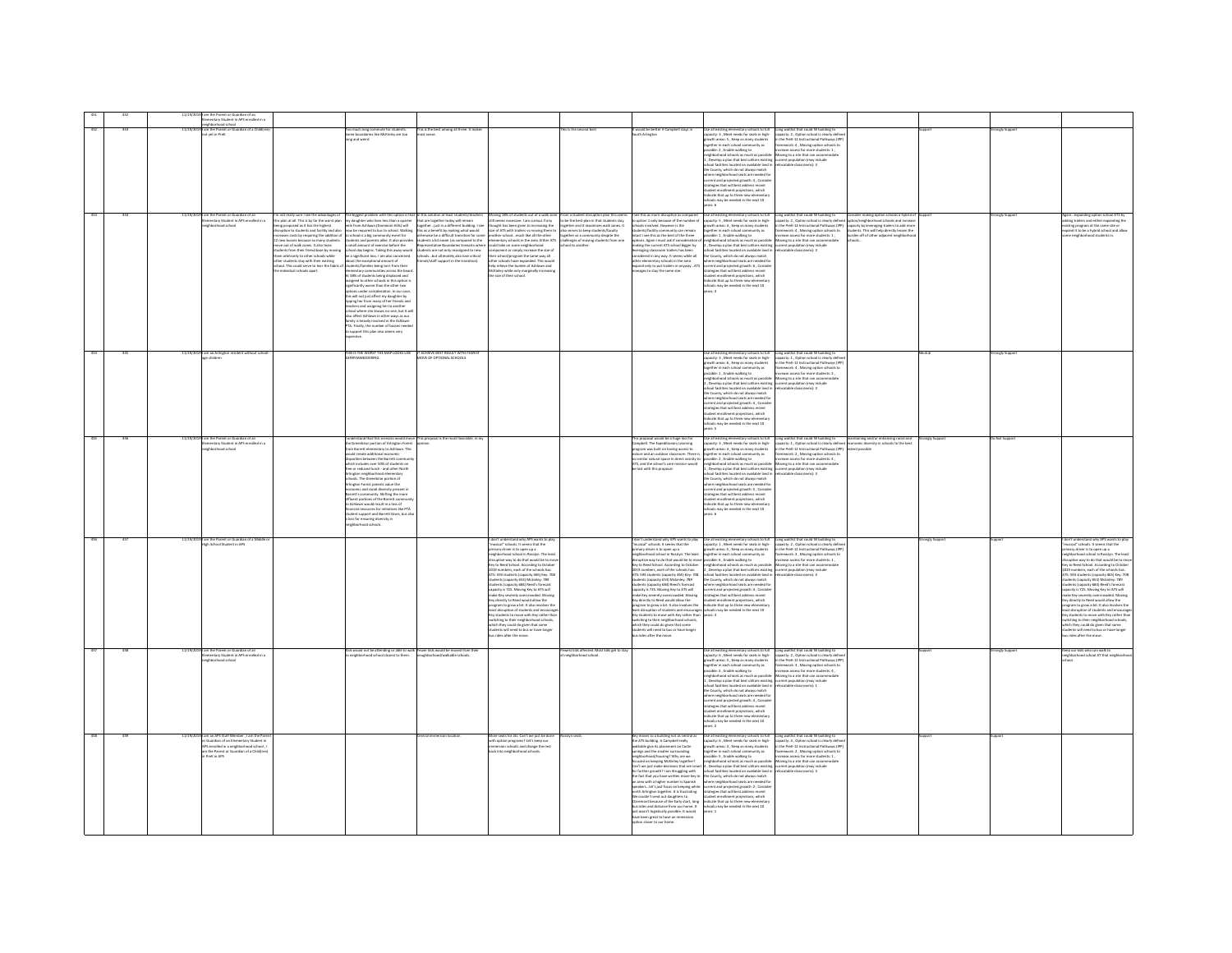|     |     |          | n the Parent or Guardian of an                                                                                                                                                        |                                                                                                                                                                                                                                                                                                                                                                                                                                                                                                                                                        |                                                                                                                                                                                                                                                                                                                                                                                                                                                                                                                                                                                                                                                                                                                                                                                                                                                                                                                                                                                                                                                                                                                                                                                                                                                                                                                                                                                     |                                                                                                                                                                                                                                                                                                                                                                                                                                                                                                                                                                                                                                                                                                                                                                                                                                                                                                                           |                                                                                                                                                                                                                                                                  |                                                                                                                                                                                                                                                                                                                                                                                                                                                                                                                                                                                                                                                                                                                                           |                                                                                                                                                                                                                                                                                                                                                                                                                                                                                                                                                                                                                                                                                                                                                                                                                                                           |                                                                                                                                                                                                                                                                                                                                     |                                                                                                                                                                                                                            |              |                                                                                                                                                                                                                                                                                                                                                                                                                                                                                                                                                                                                                                                                                                                                                                                                 |
|-----|-----|----------|---------------------------------------------------------------------------------------------------------------------------------------------------------------------------------------|--------------------------------------------------------------------------------------------------------------------------------------------------------------------------------------------------------------------------------------------------------------------------------------------------------------------------------------------------------------------------------------------------------------------------------------------------------------------------------------------------------------------------------------------------------|-------------------------------------------------------------------------------------------------------------------------------------------------------------------------------------------------------------------------------------------------------------------------------------------------------------------------------------------------------------------------------------------------------------------------------------------------------------------------------------------------------------------------------------------------------------------------------------------------------------------------------------------------------------------------------------------------------------------------------------------------------------------------------------------------------------------------------------------------------------------------------------------------------------------------------------------------------------------------------------------------------------------------------------------------------------------------------------------------------------------------------------------------------------------------------------------------------------------------------------------------------------------------------------------------------------------------------------------------------------------------------------|---------------------------------------------------------------------------------------------------------------------------------------------------------------------------------------------------------------------------------------------------------------------------------------------------------------------------------------------------------------------------------------------------------------------------------------------------------------------------------------------------------------------------------------------------------------------------------------------------------------------------------------------------------------------------------------------------------------------------------------------------------------------------------------------------------------------------------------------------------------------------------------------------------------------------|------------------------------------------------------------------------------------------------------------------------------------------------------------------------------------------------------------------------------------------------------------------|-------------------------------------------------------------------------------------------------------------------------------------------------------------------------------------------------------------------------------------------------------------------------------------------------------------------------------------------------------------------------------------------------------------------------------------------------------------------------------------------------------------------------------------------------------------------------------------------------------------------------------------------------------------------------------------------------------------------------------------------|-----------------------------------------------------------------------------------------------------------------------------------------------------------------------------------------------------------------------------------------------------------------------------------------------------------------------------------------------------------------------------------------------------------------------------------------------------------------------------------------------------------------------------------------------------------------------------------------------------------------------------------------------------------------------------------------------------------------------------------------------------------------------------------------------------------------------------------------------------------|-------------------------------------------------------------------------------------------------------------------------------------------------------------------------------------------------------------------------------------------------------------------------------------------------------------------------------------|----------------------------------------------------------------------------------------------------------------------------------------------------------------------------------------------------------------------------|--------------|-------------------------------------------------------------------------------------------------------------------------------------------------------------------------------------------------------------------------------------------------------------------------------------------------------------------------------------------------------------------------------------------------------------------------------------------------------------------------------------------------------------------------------------------------------------------------------------------------------------------------------------------------------------------------------------------------------------------------------------------------------------------------------------------------|
|     |     | 11/19/20 | Elementary Student in APS enrolled in a<br>neighborhood school<br>I am the Parent or Guardian of a Child(ren<br>not yet in PreK                                                       |                                                                                                                                                                                                                                                                                                                                                                                                                                                                                                                                                        | This is the best among all three. It makes                                                                                                                                                                                                                                                                                                                                                                                                                                                                                                                                                                                                                                                                                                                                                                                                                                                                                                                                                                                                                                                                                                                                                                                                                                                                                                                                          |                                                                                                                                                                                                                                                                                                                                                                                                                                                                                                                                                                                                                                                                                                                                                                                                                                                                                                                           | is is the second best                                                                                                                                                                                                                                            | It would be better if Campbell stays in<br>South Arlington                                                                                                                                                                                                                                                                                                                                                                                                                                                                                                                                                                                                                                                                                | Use all existing elementary schools to full                                                                                                                                                                                                                                                                                                                                                                                                                                                                                                                                                                                                                                                                                                                                                                                                               |                                                                                                                                                                                                                                                                                                                                     |                                                                                                                                                                                                                            | nely Suppo   |                                                                                                                                                                                                                                                                                                                                                                                                                                                                                                                                                                                                                                                                                                                                                                                                 |
|     |     |          |                                                                                                                                                                                       | briew bos an                                                                                                                                                                                                                                                                                                                                                                                                                                                                                                                                           | o much long commute for students.<br>ne boundaries like McKinley are too<br>st sense                                                                                                                                                                                                                                                                                                                                                                                                                                                                                                                                                                                                                                                                                                                                                                                                                                                                                                                                                                                                                                                                                                                                                                                                                                                                                                |                                                                                                                                                                                                                                                                                                                                                                                                                                                                                                                                                                                                                                                                                                                                                                                                                                                                                                                           |                                                                                                                                                                                                                                                                  |                                                                                                                                                                                                                                                                                                                                                                                                                                                                                                                                                                                                                                                                                                                                           | pacity: 3, Meet needs for seats in high-<br>owth areas: S . Keep as many students<br>gether in each school community as<br>ssible: 2 . Enable walking to<br>hherbood schools as much as nossible<br>gnoomood schools as much as possible:<br>Develop a plan that best utilizes existing<br>hool facilities located on available land in<br>e County, which do not always match<br>vere neighborhood seats are needed fo<br>rrent and projected growth: 4 , Conside<br>trategies that will best address recent<br>tudent enrollment projections, which<br>dicate that up to three new elementary<br>ools may be needed in the next 10<br>20.98                                                                                                                                                                                                             | Long waitlist that could fill building to<br>capacity: 2 , Option school is clearly defin<br>in the PreK-12 Instructional Pathways (IP)<br>.<br>nework: 4 , Moving option schools to<br>ease access for more students: 1 ,<br>Moving to a site that can accome<br>g current population (may include<br>n relocatable classrooms): 3 |                                                                                                                                                                                                                            |              |                                                                                                                                                                                                                                                                                                                                                                                                                                                                                                                                                                                                                                                                                                                                                                                                 |
|     |     |          | l am the Parent or Guardian of an<br>Slementary Student in APS enrolled in a<br>seighborhood school                                                                                   | I'm not really sure I see the advantages of<br>his plan at all. This is by far the worst plan<br>being proposed as it has the highest<br>fisruption to students and facility and also<br>trenaies costs by requiring the addition of<br>2 new busses because so many students<br>ove out of walk zones. It also tears<br>dents from their friend base by movin<br>them arbitrarily to other schools while<br>other students stay with their existing<br>hool. This could serve to tear the fabri<br>individual schools agart<br>poort this plan also r | If in this solution at least students/teachers<br>that are together today will remain<br>tegetherjust in a different building. I see<br>this as a benefit by making what would<br>otherwise be a difficult transition for some<br>otherwi<br>The hyggest problem with this coption is that in this solution at least students/headers. The my diagonal problem is the main of the my diagonal students of the my diagonal problem in the my diagonal problem is the model<br>small amount of exercise before the<br>hool day begins. Taking this away would<br><b>Representative Boundaries Scenario where</b><br>Representative Boundaries Scenario where<br>schoolsbut ultimately also lose critical<br>friends/staff support in the transition).<br>e a significant loss. I am also concerned<br>to truoms is noitonal amount of<br>dents/families being torn from their<br>stommerivers serig communities aeross the board<br>Mamerican communities aeross the board<br>14 SBS of students being displaced and<br>sissipped to other schools in this option is<br>gigificantly worse than the other two<br>phons under c<br>pping her from many of her friends and<br>hers and assigning her to anothe<br>hool where she knows no-one, but it wi<br>lso affect Ashlawn in other ways as our<br>tily is heavily involved in the Ashlawn<br>A. Finally, the number of busses need | Moving 185 of students out of a walk zone<br>still seems excessive. I am curious if any<br>still seems excessive. I am curious if any<br>shought has been glown to increasing them to<br>another schoolmuch like all the other<br>nentary schools in the area. Either ATS<br>could take on some neighborhood<br>component or simply increase the size of<br>their school/program the same way all<br>other schools have expanded. This would<br>prelieve the burden of Ashlawn and<br>.<br>:Kinley while only marginally incre<br>: size of their school.                                                                                                                                                                                                                                                                                                                                                                 | From a student disruption plan this seem<br>to be the best plan in that students stay<br>together and it maximizes walk zones. It<br>liso serves to keep students/faculty<br>oppther as a community despite the<br>challenges of moving stude<br>ool to another. | I see this as more disruptive as compared<br>to option 1 only because of the number of<br>schools involved. However is the<br>students/facility community can remain<br>intact i see this as the best of the three<br>ptions. Again 1 must ask if consideration o<br>vaking the current ATS school bigger by<br>leveraging classroom trailers has been<br>considered in any way. It seems while all<br>other elementary schools in the area<br>pand only to put trailers in anywayATS<br>sees to stay the same size.                                                                                                                                                                                                                      | ise all existing elementary schools to full<br>spacity: 5 , Meet needs for seats in high-<br>rowth areas: 4 , Keep as many students<br>together in each school community as<br>possible: 1 , Enable walking to<br>.<br>neighborhood schools as much as possible<br>2 , Develop a plan that best utilizes existing current population (may include<br>school facilities located on available land in relocatable classrooms): 3<br>the County, which do not always match<br>where neighborhood seats are needed for<br>current and projected growth: 6, Consid-<br>trategies that will best address recent<br>tudent enrollment projections, which<br>udent enrolment projections, which<br>dicate that up to three new element<br>hools may be needed in the next 10                                                                                      | Long waitlist that could fill building to<br>capacity: 2, Option school is clearly defined<br>in the PreK-12 Instructional Pathways (PP)<br>firm-wand: 4, Moving option schools to<br>increase access for more students: 1,<br>Moving to a site that can accommodate                                                                | stion/neighborhood schools and increase<br>pacity by leveraging trailers to add more<br>udents. This will help directly lessen the<br>arden off of other adjacent neighborhoor<br>arden off of other adjacent neighborhoor | ingly Suppo  | ainexpanding option school ATS b<br>ding trailers and either expanding th<br>sting program at the same site or<br>ind it to be a hybrid school and allo                                                                                                                                                                                                                                                                                                                                                                                                                                                                                                                                                                                                                                         |
| 454 | 455 |          | I am an Arlington resident without schoo                                                                                                                                              |                                                                                                                                                                                                                                                                                                                                                                                                                                                                                                                                                        | HIS IS THE WORST THE MAP LOOKS LIKE<br>IT ACHIEVE BEST RESULT WITH FEWEST                                                                                                                                                                                                                                                                                                                                                                                                                                                                                                                                                                                                                                                                                                                                                                                                                                                                                                                                                                                                                                                                                                                                                                                                                                                                                                           |                                                                                                                                                                                                                                                                                                                                                                                                                                                                                                                                                                                                                                                                                                                                                                                                                                                                                                                           |                                                                                                                                                                                                                                                                  |                                                                                                                                                                                                                                                                                                                                                                                                                                                                                                                                                                                                                                                                                                                                           | Use all existing elementary schools to full capacity: $3$ , Meet needs for seats in high-<br>growth areas: $6$ , Keep as mary students<br>together in each school community as<br>possible: $3$ , Fnable walking to<br>possible: $3$ , Fnable<br>eighborhood schools as much as possible: Moving to a site that can accommodate<br>, Develop a plan that best utilizes existing current population (may include<br>ool facilities located on available land is<br>the County, which do not always match<br>here neighborhood seats are needed for<br>rrent and projected growth: 4, Consid-<br>arrenges that will best address recent<br>tadent enrollment projections, which<br>tadent enrollment projections, which<br>dicate that up to three new elementar<br>chools may be needed in the next 10<br>rs: S                                            | Long waitlist that could fill building to<br>capacity: 1, Option school is clearly defining the Prest-22 Instructional Pathways (IP)<br>transverses 2. A moving option schools to<br>increase access for more students: 2,<br>catable classrooms): 3                                                                                |                                                                                                                                                                                                                            | ingly Suppor |                                                                                                                                                                                                                                                                                                                                                                                                                                                                                                                                                                                                                                                                                                                                                                                                 |
|     |     |          | m the Parent or Guardian of an<br>mentary Student in APS enrolled in a<br>Input boorhodrin                                                                                            | oss for ensuring diversity in<br>ishborhood schools.                                                                                                                                                                                                                                                                                                                                                                                                                                                                                                   | and that this scenario would mo<br>This proposal is the most<br>Greenbriar portion of Arlington Forest<br>on Barrett elementary to Ashlawn. This<br>uld create additional economic<br>arities between the Barrett comm<br>igarities between the Barrett community<br>signification of SMS of students on<br>the or reduced lunch - and other North<br>lington neighborhood slementary<br>fington Forest parents wake the<br>ingtos fronts parents was concerned to the<br><br><b>Buent portions of the Barrett come</b><br>Ashlawn would result in a loss of<br>ncial resources for initiatives like PTA<br>dent support and Barrett Gives, but all                                                                                                                                                                                                                                                                                                                                                                                                                                                                                                                                                                                                                                                                                                                                 |                                                                                                                                                                                                                                                                                                                                                                                                                                                                                                                                                                                                                                                                                                                                                                                                                                                                                                                           |                                                                                                                                                                                                                                                                  | his proposal would be a huge loss fo<br><b>Lampbell</b> . The Expeditionary Learning<br>program was built on having access to<br>nature and an outdoor classroom. There is<br>p similar natural space in direct vicinity to<br>.<br>XTS, and the school's core mission would<br>be lost with this proposal.                                                                                                                                                                                                                                                                                                                                                                                                                               | pacity: 3, Meet needs for seats in high-<br>owth areas: 4 . Keep as many students<br>ogether in each school community as<br>ssible: 2 . Enable walking to<br>vanum: a , Enazee wanung to<br>eighborhood schools as much as possible:<br>, Develop a plan that best utilizes existing<br>The process were distinguished in the Scott Science<br>Scott facilities located on available land is<br>4 County, which do not always match<br>were neighborhood seats are needed for<br>were ned and ordinate<br>rrent and projected growth: S , Conside<br>ategies that will best address recent<br>ent enrollment projections, which<br>dicate that up to three new elementary<br>ools may be needed in the next 10<br>ars: 6                                                                                                                                  | Long waitlist that could fill building to<br>capacity: 1, Option school is clearly defined<br>in the PreK-12 Instructional Pathways (IPP)<br>framework: 2, Moving option schools to<br>rease access for more students: 4 .<br>Moving to a site that can accom<br>current population (may include<br>tion (may include               | staining and/or enhancing racial and<br>angly Suppor<br>nomic diversity in schools to the best<br>sidiacos trest                                                                                                           |              |                                                                                                                                                                                                                                                                                                                                                                                                                                                                                                                                                                                                                                                                                                                                                                                                 |
|     |     |          | l am the Parent or Guardian of<br>High School Student in APS                                                                                                                          |                                                                                                                                                                                                                                                                                                                                                                                                                                                                                                                                                        |                                                                                                                                                                                                                                                                                                                                                                                                                                                                                                                                                                                                                                                                                                                                                                                                                                                                                                                                                                                                                                                                                                                                                                                                                                                                                                                                                                                     | i don't understand why APS wants to play<br>"musical" schools. It seems that the<br>primary driver is to open up a<br>seighborhood school in Rosslyn. The least<br>disruptive way to do that would be to mo<br>Key to Reed School. According to October<br>2019 numbers, each of the schools has:<br>ATS: 593 students (capacity 465) Key: 708<br>students (capacity 653) Mckinley: 789<br><b>Sants (canarity 684) Bearl's from</b><br>steems (capacry toes) meet a stresself<br>pachy is 725. Moving Key to ATS will<br>ske Key severely overcrowded. Moving<br>y directly to Reed would allow the<br>ogram to grow a bit. It also involves the<br>ogram to grow a bit. It also inv<br>disruption of students and encourag<br>Key students to move with Key rather tha<br>tching to their neighborhood schools<br>sich they could do eiven that some<br>dents will need to bus or have longer<br>s rides after the move. |                                                                                                                                                                                                                                                                  | itand why APS wants to pl<br>I don't understand why APS wants to play<br>"musical" schools. It seems that the<br>primary driver is to open up a<br>neighborhood school in Rosslyn. The least<br>Key to Reed School. According to October<br>019 numbers, each of the schools has:<br>2003 members, each of the schools has:<br>ATL: 503 students (capacity 465) Key: 708<br>ATL: 503 students (capacity 465) Key: 708<br>students (capacity 653) Medicine Students<br>students (capacity 654) Reads forecast<br>capacity is 725. M<br>Key students to move with Key rather that<br>vitching to their neighborhood schools,<br>which they could do aiven that some<br>itudents will need to bus or have longe<br>bus rides after the move. | Use all existing elementary schools to full capacity: $1$ , Meet needs for seats in high-growth areas: $S$ , Keep as many students together in each school community as<br>-<br>Hisruptive way to do that would be to move possible: 6 , Enable walking to receive access for more students: 1<br>Gry to Reed School. According to October religiborhood schools as much as possible: Moving to a site that can<br>2. Develop a plan that best utilizes existing current population (may include<br>school facilities located on available land in<br>the County, which do not always match<br>the County, which do mot almays match<br>the county which consider for the match of the current and projected growth:<br>$4$ , Consider for the state and projected growth:<br>$4$ , Consider<br>studient enrollment projections, which<br>stu<br>years: 3 | Long waitlist that could fill building to<br>capacity: 2 , Option school is clearly defin<br>in the PreK-12 Instructional Pathways (IP<br>framework: 3, Moving option schools to<br>atable classrooms): 4                                                                                                                           | ongly Supp                                                                                                                                                                                                                 |              | d why APS wants to pl<br>usical" schools. It seems that the<br>mary driver is to open up a<br>ighborhood school in Rosslyn. The least<br>uptive way to do that would be to mo<br>iry to Reed School. According to October<br>19 numbers, each of the schools has:<br>.<br>IS: 593 students (capacity 465) Key: 708<br>tudents (capacity 653) Mckinley: 789<br>lents (ranarity 684) Bearl's freera<br>scity is 725. Moving Key to ATS will<br>ke Key severely overcrowded. Moving<br>y directly to Reed would allow the<br>gram to grow a bit. It also involves the<br>disruption of students and encourag<br>y students to move with Key rather tha<br>ching to their neighborhood schools<br>ich they could do aiven that some<br>dents will need to bus or have longe<br>rides after the move |
|     |     |          | im the Parent or Guardian of an<br>ementary Student in APS enrolled in a<br>rhood school                                                                                              |                                                                                                                                                                                                                                                                                                                                                                                                                                                                                                                                                        | not be attending or able to wall                                                                                                                                                                                                                                                                                                                                                                                                                                                                                                                                                                                                                                                                                                                                                                                                                                                                                                                                                                                                                                                                                                                                                                                                                                                                                                                                                    |                                                                                                                                                                                                                                                                                                                                                                                                                                                                                                                                                                                                                                                                                                                                                                                                                                                                                                                           | west kids affected. Most kids get t<br>neighborhood school.                                                                                                                                                                                                      |                                                                                                                                                                                                                                                                                                                                                                                                                                                                                                                                                                                                                                                                                                                                           | lse all existing elementary schools to full<br>apacity: 6 , Meet needs for seats in high-<br>growth areas: S , Keep as many students<br>together in each school community as<br>.<br>ossible: 3 , Enable walking to<br>eighborhood schools as much as possible<br>, Develop a plan that best utilizes existing current population (may include<br>hool facilities located on available land in<br>he County, which do not always match<br>here neighborhood seats are needed for<br>rrent and projected growth: 4 , Consic<br>rategies that will best address recent<br>wever and will be a state of the model<br>and the direction of the state of the state that up to three new elementary<br>chools may be needed in the next 10<br>are 2                                                                                                             | Long waitlist that could fill building to<br>capacity: 2 , Option school is clearly define<br>in the PreK-12 Instructional Pathways (IPF<br>framework: 3 , Moving option schools to<br>increase access for more students: 4,<br>Moving to a site that can accommodat<br>ocatable classrooms): 1                                     |                                                                                                                                                                                                                            |              | ep our kids who can walk to<br>ighborhood school AT that neighbori                                                                                                                                                                                                                                                                                                                                                                                                                                                                                                                                                                                                                                                                                                                              |
|     |     |          | I am an APS Staff Member , I am the Par<br>or Guardian of an Elementary Student in<br>PS enrolled in a neighborhood school.<br>n the Parent or Guardian of a Childfren<br>PreK in APS |                                                                                                                                                                                                                                                                                                                                                                                                                                                                                                                                                        | entral immersion locatic                                                                                                                                                                                                                                                                                                                                                                                                                                                                                                                                                                                                                                                                                                                                                                                                                                                                                                                                                                                                                                                                                                                                                                                                                                                                                                                                                            | More seats for ats. Can't we just be do:<br>with option programs? Let's keep our<br>immersion schools and change the rest<br>ck into neighborhood sc                                                                                                                                                                                                                                                                                                                                                                                                                                                                                                                                                                                                                                                                                                                                                                      | in seat                                                                                                                                                                                                                                                          | Key moves to a building not as central as<br>the ATS building, Is Campbell really<br>alkable give its placement on Carlin<br>springs and the smaller surrounding<br>.<br>We couldn't send out daughters to<br>Claremont because of the Early start, long<br>us rides and distance from our home. It<br>just wasn't logistically possible. It would<br>have been great to have an immersion<br>option closer to our home.                                                                                                                                                                                                                                                                                                                  | Use all existing elementary schools to full<br>capacity: 6 , Meet needs for seats in high-<br>growth areas: 3 , Xeep as many students<br>together in each school community as<br>spreage and the method constants of the<br>presentation of the constant of the constant of the constant of the<br>specific constant of the constant of the constant of the constant of the<br>specific constant of the constant of the<br>an area with a higher number is Spanish where neighborhood seats are needed for<br>speakerslet's just focus on keeping white current and projected growth: 2, Conside<br>north Arlington together. It is frustrating. strategies<br>student enrollment projections, which<br>indicate that up to three new elementary<br>chools may be needed in the next 10<br>$2 - 1$                                                        | Long waitlist that could fill building to<br>capacity: 4, Option school is clearly define<br>in the PreK-12 Instructional Pathways (IPP)<br>framework: 2, Moving option schools to<br>students: 1.                                                                                                                                  |                                                                                                                                                                                                                            |              |                                                                                                                                                                                                                                                                                                                                                                                                                                                                                                                                                                                                                                                                                                                                                                                                 |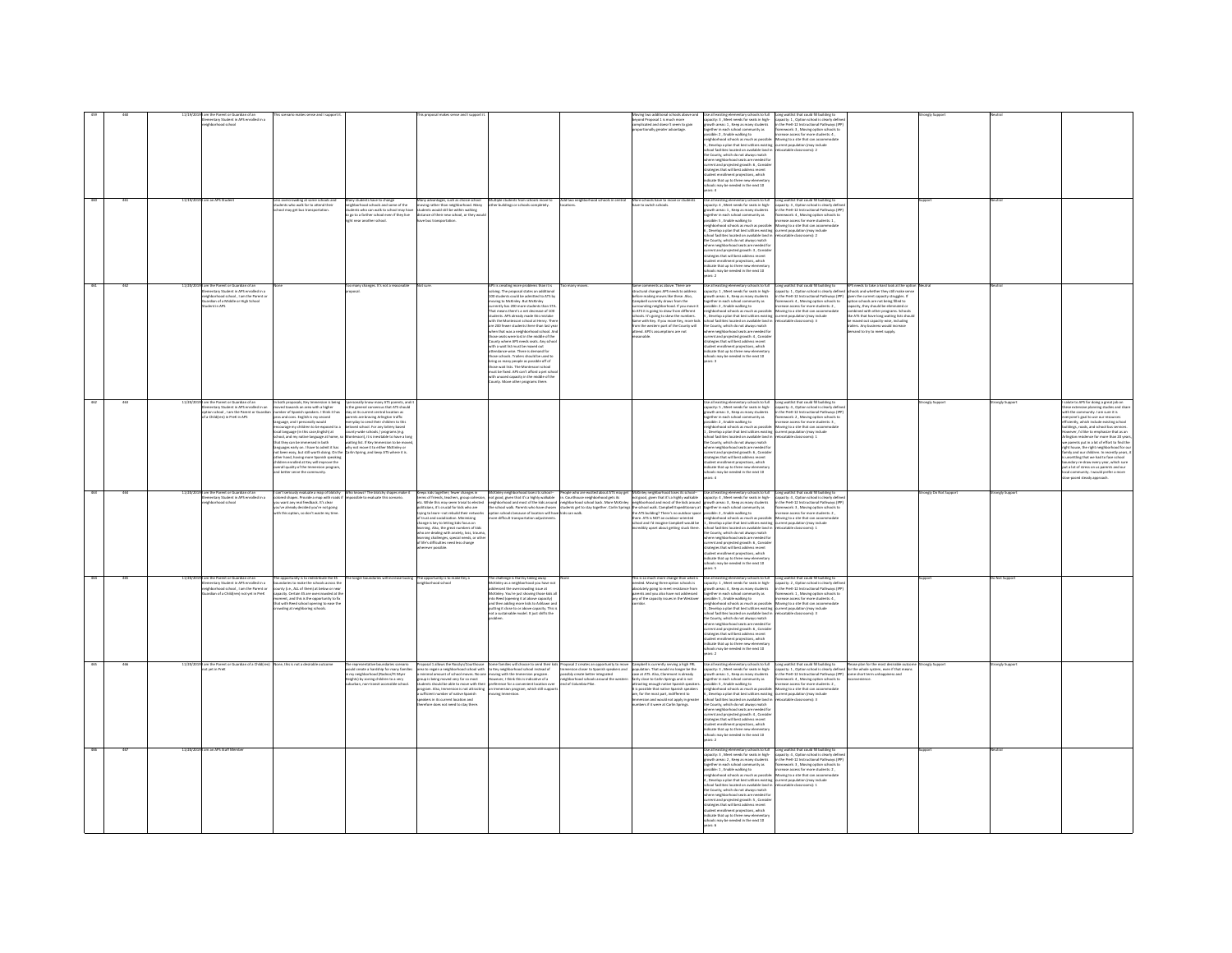| 460 | 261 |          | the Parent or Guardian of an<br>hertary Student in APS enrolled in a<br>hhodeand cheol<br>11/19/2019   am an APS Student                                                                |                                                                                                                                                                                                                                                                                                                                                                                                                                                                                                                                                                                                                                                                     |                                                                                                                                                                                                                                                                                                                                                                                                                                                                                                      |                                                                                                                                                                                                                                                                                                                                                                                                       |                                                                                                                                                                                                                                                                                                                                                                                                                                                                                                                                                                                                                                                                                                                                                                                                                                                                                             |                                                                                 | Moving two additional schoots above a<br>beyond Proposal 1 is much more<br>complicated and doesn't seem to gain<br>ortionally greater advantage.                                                                                                                                                                                                                                                                                 | ie all existing elementary schools to full<br>pacity: 3 , Meet needs for seats in high-<br>owth areas: 1 , Keep as many students<br>together in each school community as<br>possible: 2 , Enable walking to<br>eighborhood schools as much as possible: Moving to a site that can accommodat<br>, Develop a plan that best utilizes existing current population (may include<br>chool facilities located on available land in relocatable classrooms): 2<br>he County, which do not always match<br>examp, when as not aways maximized<br>nere neighborhood seats are needed for<br>ategies that will best address recent<br>ident enrollment projections, which<br>Ecate that up to three new elementary<br>ools may be needed in the next 10<br>rs.4                                                                                                                                                                                                                                                                                                                                                                                                                                                                                                                | Long waitlist that could fill building to<br>capacity: 1, Option school is clearly define<br>in the PreK-12 Instructional Pathways (IPE<br>framework: 3, Moving option schools to<br>increase access for more students: 4,                                                                                                                                                                                                                                                                                                                                                                                                                                                                                                                                                                                    |                                                                                                                                                                                                                                                                                                                                                                                                                 |                       |               |                                                                                                                                                                                                                                                                                                                                                                                                                                                                                                                                                                                                                                                                                                             |
|-----|-----|----------|-----------------------------------------------------------------------------------------------------------------------------------------------------------------------------------------|---------------------------------------------------------------------------------------------------------------------------------------------------------------------------------------------------------------------------------------------------------------------------------------------------------------------------------------------------------------------------------------------------------------------------------------------------------------------------------------------------------------------------------------------------------------------------------------------------------------------------------------------------------------------|------------------------------------------------------------------------------------------------------------------------------------------------------------------------------------------------------------------------------------------------------------------------------------------------------------------------------------------------------------------------------------------------------------------------------------------------------------------------------------------------------|-------------------------------------------------------------------------------------------------------------------------------------------------------------------------------------------------------------------------------------------------------------------------------------------------------------------------------------------------------------------------------------------------------|---------------------------------------------------------------------------------------------------------------------------------------------------------------------------------------------------------------------------------------------------------------------------------------------------------------------------------------------------------------------------------------------------------------------------------------------------------------------------------------------------------------------------------------------------------------------------------------------------------------------------------------------------------------------------------------------------------------------------------------------------------------------------------------------------------------------------------------------------------------------------------------------|---------------------------------------------------------------------------------|----------------------------------------------------------------------------------------------------------------------------------------------------------------------------------------------------------------------------------------------------------------------------------------------------------------------------------------------------------------------------------------------------------------------------------|-----------------------------------------------------------------------------------------------------------------------------------------------------------------------------------------------------------------------------------------------------------------------------------------------------------------------------------------------------------------------------------------------------------------------------------------------------------------------------------------------------------------------------------------------------------------------------------------------------------------------------------------------------------------------------------------------------------------------------------------------------------------------------------------------------------------------------------------------------------------------------------------------------------------------------------------------------------------------------------------------------------------------------------------------------------------------------------------------------------------------------------------------------------------------------------------------------------------------------------------------------------------------|---------------------------------------------------------------------------------------------------------------------------------------------------------------------------------------------------------------------------------------------------------------------------------------------------------------------------------------------------------------------------------------------------------------------------------------------------------------------------------------------------------------------------------------------------------------------------------------------------------------------------------------------------------------------------------------------------------------------------------------------------------------------------------------------------------------|-----------------------------------------------------------------------------------------------------------------------------------------------------------------------------------------------------------------------------------------------------------------------------------------------------------------------------------------------------------------------------------------------------------------|-----------------------|---------------|-------------------------------------------------------------------------------------------------------------------------------------------------------------------------------------------------------------------------------------------------------------------------------------------------------------------------------------------------------------------------------------------------------------------------------------------------------------------------------------------------------------------------------------------------------------------------------------------------------------------------------------------------------------------------------------------------------------|
|     |     |          |                                                                                                                                                                                         | iss overcrowding at some schools and<br>tudents who walk far to attend their                                                                                                                                                                                                                                                                                                                                                                                                                                                                                                                                                                                        | fany students have to change<br>eighborhood schools and some of the<br>procession associates and accre of the<br>go to a farther school even if they live<br>the near another school.                                                                                                                                                                                                                                                                                                                |                                                                                                                                                                                                                                                                                                                                                                                                       | $\lambda_{\rm OPE}$ starsings, with a distribution of shall plasted for an unitary controller stars in the stars in the stars in the stars in the stars of the stars of the stars of the stars of the stars of the stars of the stars                                                                                                                                                                                                                                                                                                                                                                                                                                                                                                                                                                                                                                                       |                                                                                 |                                                                                                                                                                                                                                                                                                                                                                                                                                  | .<br>Use all existing elementary schools to full<br>capacity: 4 , Meet needs for seats in high-<br>supervisor as a mean an experimental control of the Marian Communications of the Prefix State Institutional Pathways (IPP)<br>Interference is a main students of the Prefix State Institutional Pathways (IPP)<br>Interference in th<br>.<br>Develop a plan that best utilizes existing current population (may include<br>hool facilities located on available land in relocatable classrooms): 2<br>the County, which do not always match<br>here neighborhood seats are needed for<br>urrent and projected erowth: 3 . Consig<br>announce process provides recent<br>trategies that will best address recent<br>tudent enrollment projections, which<br>clicate that up to three new elementar<br>chools may be needed in the next 10                                                                                                                                                                                                                                                                                                                                                                                                                           | Long waitlist that could fill building to<br>capacity: 3 , Option school is clearly defin                                                                                                                                                                                                                                                                                                                                                                                                                                                                                                                                                                                                                                                                                                                     |                                                                                                                                                                                                                                                                                                                                                                                                                 |                       |               |                                                                                                                                                                                                                                                                                                                                                                                                                                                                                                                                                                                                                                                                                                             |
|     |     |          | am the Parent or Guardian of an<br>mentary Student in APS enrolled in a<br>irhborhood school . I am the Parent of<br>rdian of a Middle or High School                                   |                                                                                                                                                                                                                                                                                                                                                                                                                                                                                                                                                                                                                                                                     | o many changes. It's not a reasonable                                                                                                                                                                                                                                                                                                                                                                                                                                                                | Not sure                                                                                                                                                                                                                                                                                                                                                                                              | 4/5 is creating more problems than it is<br>solving. The proposal states an addition<br>00 students could be admitted to ATS by<br>.<br>wing to McKinley. But McKinley<br>rrently has 200 more students than STA.<br>currently has 200 more students than 3TA.<br>That means there's a net decrease of 100<br>students. APS already made this mistake<br>with the Mondessori school at Henry. There<br>are 200 fewers students there than last year<br>when that w<br>unty where APS needs seats. Any schoo<br>th a wait list must be maxed out<br>dance-wise. There is demand for<br>incia schools. Trailers should be used to<br>trig as many people as possible off of<br>trig as many people as possible off of<br>tose wait lists. The Montessor school<br>sust be fixed. APS can't afford a pet school<br>th unused capacity in the middle of the<br>unty. Move other programs there. | many move                                                                       | Same comments as above. There are<br>tructural changes APS needs to addres:<br>refore making moves like these. Also.<br>amobell currently draws from the<br>Camposis currentsy graves morn tree<br>surrounding neighborhood. If you move it<br>to ATS it is going to slow the numbers.<br>sime with Key. If you move Key, more kids.<br>rom the western part of the County will<br>ittend. APS's assumptions are not<br>sonable. | Se all existing elementary schools to full<br>pacity: 1, Meet needs for seats in high-<br>owth areas: 6 . Keep as many students<br>gether in each school community as<br>ssible: 2, Enable walking to<br>possible: 2, tratele walking to<br>neighborhood schools as much as possible: Moss possible: 16<br>5, Develop a plan that best utilizes existing cur<br>school facilities Iocaned on available land in met<br>theo County, which do not<br>urrent and projected growth: 4, Conside<br>strategies that will best address recent<br>tudent enrollment projections, which<br>dicate that up to three new elementar<br>ols may be needed in the next 10<br>llu) of <i>idooks</i> vish                                                                                                                                                                                                                                                                                                                                                                                                                                                                                                                                                                             | Long waitlist that could fill building to<br>capacity: 1 , Option school is clearly define<br>in the PreK-12 Instructional Pathways (IPP)<br>.<br>Iramework: 4 , Moving option schools to<br>increase access for more students: 2 ,<br>Moving to a site that can accommodate<br>surrent population (may include<br>elocatable classrooms): 3                                                                                                                                                                                                                                                                                                                                                                                                                                                                  | APS needs to take a hard look at the optic<br>ools and whether they still make se<br>in the current capacity strumles. If<br>on schools are not being filled to<br>city, they should be elin<br>anavi re<br>combined with other programs. Schools<br>like ATS that have long waiting lists should<br>be maxed out capacity-wise, including<br>ilers. Any business would increase<br>mand to try to meet supply. | onaly Support         |               |                                                                                                                                                                                                                                                                                                                                                                                                                                                                                                                                                                                                                                                                                                             |
|     |     |          | m the Parent or Guardian of an<br>en use racent or quantum or am<br>ementary Student in APS enrolled in an<br>stion school , I am the Parent or Guardia<br>ia Child(ren) in PreK in APS | oth proposals. Key Im<br>In both proposals, Key Immersion is being<br>mored towards an area with a higher<br>number of Spanish speakers. I think it has<br>gros and cons. English is my second<br>language, and I personally would<br>encourage my children to be expo<br>ichool, and my native language at home, si<br>that they can be immersed in both<br>quares early on. I have to admit it has<br>.<br>been easy, but still worth doing. On the<br>er hand, having more Spanish speaking<br>ther hand, having more Spansih speaking<br>illdren enrolled at Key will improve the<br>verall quality of the Immersion program,<br>id better serve the community. | nally know many ATS parents, as<br>was general consensus that ATS should<br>be general consensus that ATS should<br>rents are braving Arlington traffic<br>eryday to send their children to this<br>eryday to send their children to this<br>loved school. For any lottery based<br>ounty-wide schools / programs (e.g.<br>tessori), it is inevitable to have a lon<br>vaiting list. If Key Immersion to be mov<br>why not move it to either McKinley or<br>larlin Spring, and keep ATS where it is. |                                                                                                                                                                                                                                                                                                                                                                                                       |                                                                                                                                                                                                                                                                                                                                                                                                                                                                                                                                                                                                                                                                                                                                                                                                                                                                                             |                                                                                 |                                                                                                                                                                                                                                                                                                                                                                                                                                  | ou an external personnel as a state of the state in high-pointh areas: 3 , Keep as many students<br>apacity: 5 , Meet needs for seats in high-pointh areas: 3 , Keep as many students<br>agether in each school community as<br>ossible<br>osisme», a "susere wareng on the possible: Moving to a site that can accommodate<br>is ghoshood schools as much as possible: Moving to a site that can accommodate<br>chool facilities located on available land in , relocatable cl<br>he County, which do not always match<br>here neighborhood seats are needed for<br>rrent and projected growth: 6 , Consid<br>ategies that will best address recent<br>trategues trust will best address recent<br>tudent enrollment projections, which<br>idicate that up to three new elementary<br>thools may be needed in the next 10                                                                                                                                                                                                                                                                                                                                                                                                                                            | Long waitlist that could fill building to<br>Japacity: 4 . Ontion collistic limit<br>capacity: 4, Option school is clearly define<br>in the PreK-12 Instructional Pathways (IPE<br>framework: 2, Moving option schools to<br>increase access for more students: 3,                                                                                                                                                                                                                                                                                                                                                                                                                                                                                                                                            |                                                                                                                                                                                                                                                                                                                                                                                                                 |                       |               | the to APS for doing a great job on<br>ng.com/<br>Hudies and shar<br>se extensive planning studies and sha<br>the community. I am sure it is<br>tyone's goal to use our resources<br>ciently, which include existing school<br>ildings, roads, and school bus services.<br>neever, I'd like to emphasize that as an<br>rlington residence for more than 20 years<br>w parents put in a lot of effort to find the<br>ht house, the right neighborhood for o<br>ily and our children. In recently years,<br>nsettling that we had to face school<br>boundary re-draw every year, which sur<br>put a lot of stress on us parents and our<br>local community. I would prefer a more<br>w-paced steady approach. |
|     |     | 11/30/30 | 19 I am the Parent or Guardian of an<br>mentary Student in APS enrolled in a<br>and school                                                                                              | can't seriously evaluate a map of blotchy<br>.<br>I want any real feedback. It's clear<br>want any real feedback. It's clear                                                                                                                                                                                                                                                                                                                                                                                                                                                                                                                                        | Who knows? The blotchy shapes make it<br>colbia to avaluate this cranario.                                                                                                                                                                                                                                                                                                                                                                                                                           | Keeps kids together: fewer changes in<br>.<br>terms of friends, teachers, group cohesion,<br>etc. While this may seem trivial to elected                                                                                                                                                                                                                                                              | McKinley neighborhood loses its school-<br>tot good, given that it's a highly walkable<br>seighborhood and most of the kids around<br>school walk. Parents who have choses<br>tion schools because of location will ha                                                                                                                                                                                                                                                                                                                                                                                                                                                                                                                                                                                                                                                                      | .<br>Courthouse neighborhood gets its<br>eighborhood school back. More McKinley | People who are excited about ATS may get<br>In. Courthouse neighborhood gets its<br>Inc. Courthouse neighborhood gets its<br>Inct good, given that it's a highly walkable                                                                                                                                                                                                                                                        | Use all existing elementary schools to full Long waitlist that could fill building to<br>capacity: 4 , Meet needs for seats in high- capacity: 4 , Option school is clearly defin<br>$\frac{1}{2}$ and $\frac{1}{2}$ and $\frac{1}{2}$ and $\frac{1}{2}$ and $\frac{1}{2}$ and $\frac{1}{2}$ and $\frac{1}{2}$ are a mean of the state of the state and a mean of the state of the state of the state of the state of the state of the state o<br>$\label{thm:main} \begin{minipage}{0.9\textwidth} \begin{tabular}{p{0.85\textwidth}} \hline \textbf{R} & \textbf{R} & \textbf{R} & \textbf{R} & \textbf{R} & \textbf{R} & \textbf{R} & \textbf{R} & \textbf{R} & \textbf{R} & \textbf{R} & \textbf{R} & \textbf{R} & \textbf{R} & \textbf{R} & \textbf{R} & \textbf{R} & \textbf{R} & \textbf{R} & \textbf{R} & \textbf{R} & \textbf{R} & \textbf{R} & \textbf{R} & \textbf{R} & \textbf{$                                                                                                                                                                                                                                                                                                                                                                          | in the PreK-12 Instructional Pathways (IP<br>sework: 3 , Moving option schools to<br>ease access for more students: 2 ,                                                                                                                                                                                                                                                                                                                                                                                                                                                                                                                                                                                                                                                                                       |                                                                                                                                                                                                                                                                                                                                                                                                                 | rangly Do Not Support | onely Support |                                                                                                                                                                                                                                                                                                                                                                                                                                                                                                                                                                                                                                                                                                             |
|     |     |          |                                                                                                                                                                                         | .<br>u've already decided you're not going<br>th this option, so don't waste my time                                                                                                                                                                                                                                                                                                                                                                                                                                                                                                                                                                                |                                                                                                                                                                                                                                                                                                                                                                                                                                                                                                      | etc. While this may seem trivial to electe<br>politicians, it's crucial for kids who are<br>trying to learn-not rebuild their network<br>of trust and socialization. Minimizing<br>change is loy to letting kids focus on<br>learning. Also,<br>who are dealing with anxiety, loss, traum<br>earning challenges, special needs, or othe<br>of life's difficulties need less change<br>rever possible. | e difficult transportation adjuste                                                                                                                                                                                                                                                                                                                                                                                                                                                                                                                                                                                                                                                                                                                                                                                                                                                          |                                                                                 | ichool and I'd imagine Campbell would be<br>ncredibly upset about getting stuck there.                                                                                                                                                                                                                                                                                                                                           | the County, which do not always match<br>where neighborhood seats are needed for<br>urrent and projected erowth: 6. Consid-<br>atesies that will best address recent<br>a margress areas and projections, which<br>takent encollment projections, which<br>relicate that up to three new elementar<br>choots may be needed in the next 10<br>wars: 5                                                                                                                                                                                                                                                                                                                                                                                                                                                                                                                                                                                                                                                                                                                                                                                                                                                                                                                  |                                                                                                                                                                                                                                                                                                                                                                                                                                                                                                                                                                                                                                                                                                                                                                                                               |                                                                                                                                                                                                                                                                                                                                                                                                                 |                       |               |                                                                                                                                                                                                                                                                                                                                                                                                                                                                                                                                                                                                                                                                                                             |
|     |     |          | am the Parent or Guardian of an<br>mentary Student in APS enrolled in a<br>ighborhood school, I am the Parent or<br>dian of a Childfren) not vet in Pref                                | w opportunity is to redistribute the ES<br>ndaries to make the schools across th<br>unty (i.e., ALL of them) at below or near<br>sacity. Certain ES are overcrowded at th<br>nent, and this is the opportunity to fi<br>at with Reed school opening to ease th<br>ling at neighboring schor                                                                                                                                                                                                                                                                                                                                                                         | onger boundaries will increase busing The opportunity is to make Key a                                                                                                                                                                                                                                                                                                                                                                                                                               | theorhood school                                                                                                                                                                                                                                                                                                                                                                                      | The challenge is that by taking away<br>Xirley as a neighborhood you have no<br>dressed the overcrowding issue at<br>.<br>cKinley. You're just shoving those kids al<br>to Reed (opening it at above capacity)<br>d then adding more kids to Ashlawn an<br>ting it close to or above capacity."<br>ting it close to or above capacity."<br>t a sustainable model. It just shifts                                                                                                                                                                                                                                                                                                                                                                                                                                                                                                            |                                                                                 | his is so much more change than what i<br>needed. Moving three option schools is<br>absolutely going to meet resistance from<br>arents and you also have not addressed<br>iny of the capacity issues in the Westown                                                                                                                                                                                                              | Use all existing elementary schools to full<br>apacity: 1, Meet needs for seats in high-<br>rowth areas: 4, Keep as many students<br>ogether in each school community as<br>strategies that will best address recent<br>udent enrollment projections, which<br>dicate that up to three new elementary<br>not may be needed in the next 10<br>$\cdots$                                                                                                                                                                                                                                                                                                                                                                                                                                                                                                                                                                                                                                                                                                                                                                                                                                                                                                                 | Long waitlist that could fill building to<br>capacity: 2 , Option school is clearly define<br>in the PreK-12 Instructional Pathways (IPP)<br>framework: 1 , Moving option schools to<br>ease access for more students: 4                                                                                                                                                                                                                                                                                                                                                                                                                                                                                                                                                                                      |                                                                                                                                                                                                                                                                                                                                                                                                                 |                       | Not Suppor    |                                                                                                                                                                                                                                                                                                                                                                                                                                                                                                                                                                                                                                                                                                             |
|     |     |          | .<br>19 I am the Parent or Guardian of a Child<br>not yet in PreK<br>m an ADS Staff Ma                                                                                                  | one, this is not a desirable outcom                                                                                                                                                                                                                                                                                                                                                                                                                                                                                                                                                                                                                                 | The representative boundaries scenario<br>would create a hardship for many familie:<br>ny neighborhood (Itadnor/Ft Myer<br>eights) by zoning children to a very<br>ban, non-transit accessible school                                                                                                                                                                                                                                                                                                | froup is being moved very far so most<br>ants should be able to move with the<br>rogram, Also, Immersion is not attracting<br>ifficient number of native Spanish<br>akers in its current location and<br>efore does not need to stay there                                                                                                                                                            | Proposit allows the Roskyn/Courthouse Some families will choose to send their kids, Proposit 2 creates an opportunity to move Campbell is currently serving a high PIL<br>Area to regin a neighborhood school with the Viewelphon<br>ever, I think this is indicative of a<br>ference for a convenient location ov<br>Immersion program, which still suppo<br>oving Immersion.                                                                                                                                                                                                                                                                                                                                                                                                                                                                                                              | ighborhood schools around the wester<br>id of Columbia Pike.                    | fairly close to Carlin Springs and is not<br>tracting enough native Spanish speaker:<br>is possible that native Spanish speakers<br>ire. for the most part, indifferent to<br>ersion and would not apply in greater<br>mbers if it were at Carlin Springs.                                                                                                                                                                       | Use all existing elementary schools to full<br>capacity: 3 , Meet needs for seats in high-<br>growth areas: 1 , Keep as many students<br>together in each school community as<br>ssible: 5, Enable walking to<br>neighborhood schools as much as possible: Moving to a site that can accommodat<br>. Develop a plan that best utilizes existing current population (may include<br>hool facilities located on available land in<br>te County, which do not always match<br>hare neighborhood seats are needed fo<br>ere neignoornood seats are needed i<br>rent and projected growth: 4 , Consis<br>strategies that will best address recent<br>student enrollment projections, which<br>indicate that up to three new elementary<br>thools may be needed in the next 10<br>ers 2<br>$\label{thm:main} \begin{minipage}{0.9\textwidth} \begin{minipage}{0.9\textwidth} \begin{itemize} \textit{there are given} \textit{inif} & \textit{not} \textit{if} \textit{if} \textit{if} \textit{if} \textit{if} \textit{if} \textit{if} \textit{if} \textit{if} \textit{if} \textit{if} \textit{if} \textit{if} \textit{if} \textit{if} \textit{if} \textit{if} \textit{if} \textit{if} \textit{if} \textit{if} \textit{if} \textit{if} \textit{if} \textit{if} \textit{if}$ | $\label{lem:main} \begin{minipage}[t]{0.9\textwidth} \begin{tabular}{l c c c} \textit{Length} & \textit{switch} & \textit{Pidease plan} & \textit{for the most desirable note} \\ \textit{capactive} & \textit{1}, & \textit{Pdeine} & \textit{in} & \textit{Pdeine} \\ \textit{in} & \textit{De when} & \textit{in} & \textit{in} & \textit{in} & \textit{in} & \textit{in} \\ \textit{in} & \textit{De when} & \textit{in} & \textit{in} & \textit{in} & \textit{in} & \textit{in} & \textit{in} \\ \$<br>increase access for more students: 2,<br>catable classrooms): 3<br>Long waitlist that could fill building to<br>capacity: 4 , Option school is clearly define<br>in the Pret-12 Instructional Pathways (IPF)<br>furnework: 3 , Moving option schools to<br>increase access for more students: 2 , |                                                                                                                                                                                                                                                                                                                                                                                                                 | rongly Suppo          | ingly Suppo   |                                                                                                                                                                                                                                                                                                                                                                                                                                                                                                                                                                                                                                                                                                             |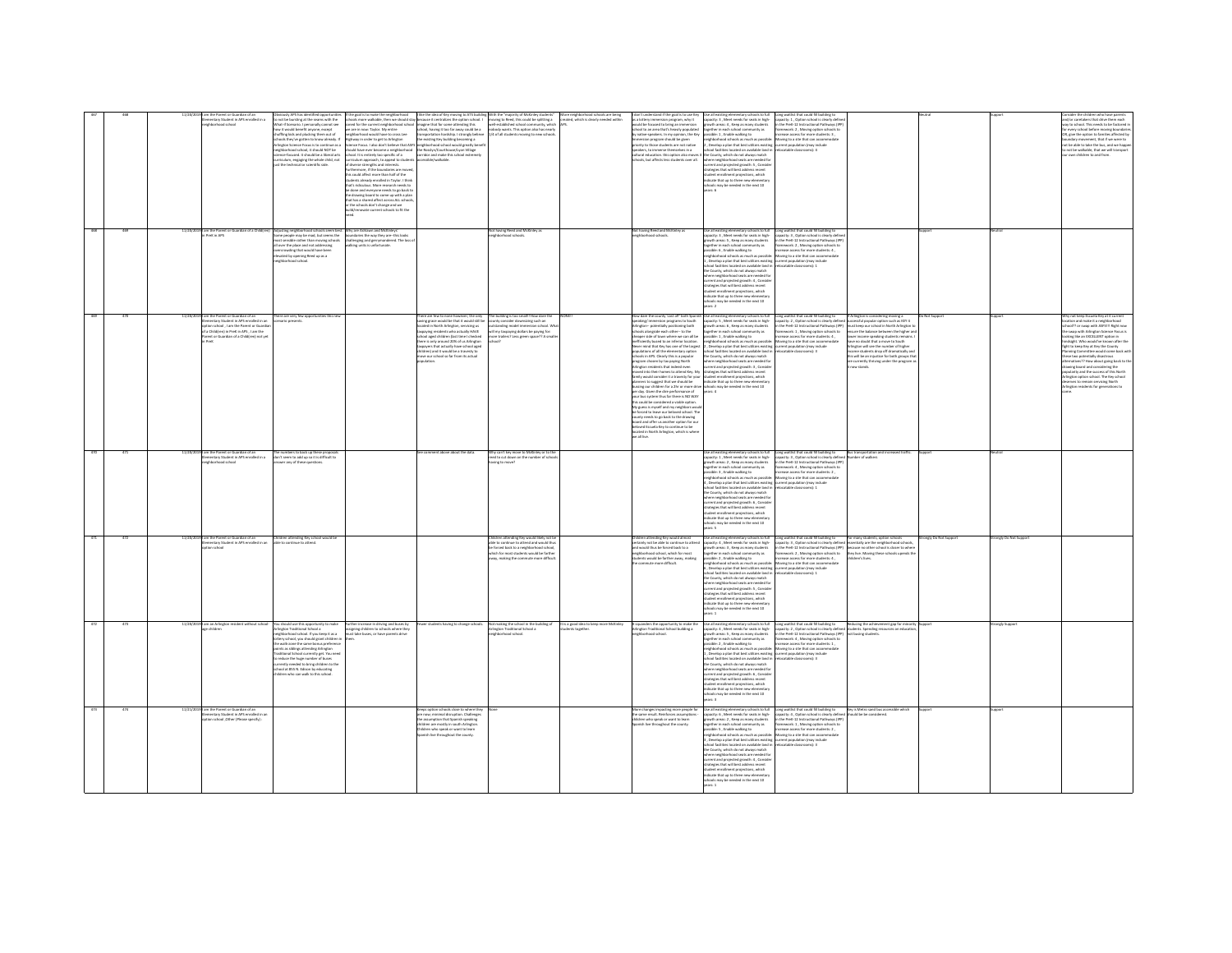|            | nentary Student in APS enrolled in a<br>thborhood school                                                                                                           | o not be bursting at the seams with the<br>hat-if Scenario. I personally cannot see<br>ow it would benefit anyone, except<br>huffling kids and plucking them out of<br>chools they've gotten to know already. I<br>lington Science Focus is to continue as a<br>sel TOR bluoris ti Joods boothodri<br>co-formed it should be a liberal arts<br>viculum, engaging the whole child, not<br>t the technical or scientific side.                         | he goal is to make the neighborhood<br>aned for the current neighborhood school imagine that for some attending this<br>e are in now: Taylor, My entire<br>as revenus appears may make m<br>school conceled behave he concel hour<br>way in order to get to Arlington<br>suld have ever become a neighborhood the Rosslyn/Courthouse/Lyon Village<br>chool. It is entirely too specific of a<br>surriculum approach, to appeal to student<br>of diverse strengths and interests.<br>urthermore, if the boundaries are move<br>is could affect more than half of the<br>udents already enrolled in Taylor. I thir<br>hat's ridiculous. More research needs to<br>se done and everyone needs to go back to<br>e drawing board to come up with a plan<br>at has a shared affect across ALL scho<br>the schools don't change and we<br>ld/renovate current schools to fit th | like the idea of Key moving to ATS buil<br>hools more walkable, then we should stay because it centralizes the option school. I<br>ichool, having it too far away could be a<br>concentration bookdool toponate believe<br>ardship. I strongly belie<br>he existing Key building becoming a<br>nce Focus. I also don't believe that ASFS neighborhood school would greatly ben<br>corridor and make this school extremely | h the "majority of McKinley student<br>moving to Reed, this could be splitting a created, which is clearly needed within<br>well-established school community, which APS.<br>obody wants. This option also has nearly<br>/4 of all students moving to new schools. | More neighbor<br>hood schools are being                | n't understand if the goal is to use Ke<br>as a lottery immersion program, why it<br>ould be focused to bring an immersion<br>hood to an area that's heavily non-lated<br>native-speakers. In my opinion, the Key<br>ersion program should be given<br>riority to those students are not native<br>peakers, to immerse themselves in a<br>tural education, this option also moves<br>ools, but affects less students over all.                                                                                                                                                                                                                                                                                                                                                                                                                                                                                                                                                                                                                                                                                                                                                                                           | Use all existing elementary schools to fu<br>capacity: 3, Meet needs for seats in high-<br>owth areas: 4, Keep as many students<br>together in each school community as<br>possible: 1 , Enable walking to<br>hborhood schools as much as possible<br>, Develop a plan that best utilizes existing<br>ool facilities located on available land is<br>he County, which do not always match<br>where neighborhood seats are needed fo<br>current and projected growth: 5, Conside<br>trategies that will best address recent<br>.<br>udent enrollment projections, which<br>dicate that up to three new elementar<br>ols may be needed in the next 10                                                                          | capacity: 1, Option school is clearly define<br>in the PreK-12 Instructional Pathways (IPP)<br>mework: 2, Moving option schools to<br>rease access for more students: 3.<br>oving to a site that can accor<br>urrent population (may include<br>focatable classrooms): 4                                                        |                                                                                                                                                                                                                                                                                                                                                                                                                                                          |                     |                     | ler the children who have parent<br>and/or caretakers that drive them each<br>vay to school. This needs to be factored i<br>.<br>If every school before moving boundaris<br>IR, give the option to families affected by<br>nent, that if we were to<br>not be able to take the bus, and we happ<br>not be walkable, that we will transport<br>nen rhildren tn and from                                                                                                                                                                                     |
|------------|--------------------------------------------------------------------------------------------------------------------------------------------------------------------|------------------------------------------------------------------------------------------------------------------------------------------------------------------------------------------------------------------------------------------------------------------------------------------------------------------------------------------------------------------------------------------------------------------------------------------------------|--------------------------------------------------------------------------------------------------------------------------------------------------------------------------------------------------------------------------------------------------------------------------------------------------------------------------------------------------------------------------------------------------------------------------------------------------------------------------------------------------------------------------------------------------------------------------------------------------------------------------------------------------------------------------------------------------------------------------------------------------------------------------------------------------------------------------------------------------------------------------|---------------------------------------------------------------------------------------------------------------------------------------------------------------------------------------------------------------------------------------------------------------------------------------------------------------------------------------------------------------------------------------------------------------------------|--------------------------------------------------------------------------------------------------------------------------------------------------------------------------------------------------------------------------------------------------------------------|--------------------------------------------------------|--------------------------------------------------------------------------------------------------------------------------------------------------------------------------------------------------------------------------------------------------------------------------------------------------------------------------------------------------------------------------------------------------------------------------------------------------------------------------------------------------------------------------------------------------------------------------------------------------------------------------------------------------------------------------------------------------------------------------------------------------------------------------------------------------------------------------------------------------------------------------------------------------------------------------------------------------------------------------------------------------------------------------------------------------------------------------------------------------------------------------------------------------------------------------------------------------------------------------|------------------------------------------------------------------------------------------------------------------------------------------------------------------------------------------------------------------------------------------------------------------------------------------------------------------------------------------------------------------------------------------------------------------------------------------------------------------------------------------------------------------------------------------------------------------------------------------------------------------------------------------------------------------------------------------------------------------------------|---------------------------------------------------------------------------------------------------------------------------------------------------------------------------------------------------------------------------------------------------------------------------------------------------------------------------------|----------------------------------------------------------------------------------------------------------------------------------------------------------------------------------------------------------------------------------------------------------------------------------------------------------------------------------------------------------------------------------------------------------------------------------------------------------|---------------------|---------------------|------------------------------------------------------------------------------------------------------------------------------------------------------------------------------------------------------------------------------------------------------------------------------------------------------------------------------------------------------------------------------------------------------------------------------------------------------------------------------------------------------------------------------------------------------------|
| 469<br>530 | 11/20/2019 I am the Parent or Guardian of a Child(ren)<br>in PreK in APS<br>m the Parent or Guardian of an                                                         | Adjusting neighborhood schools seem best<br>Some people may be mad, but seems the<br>ost sensible rather than moving schools<br>over the place and not addressing<br>ercrowding that would have been<br>vated by opening Reed up as a<br>(hborhood school.<br>ere are very few opp                                                                                                                                                                   | Why are Ashlawn and McKinleys'<br>ndaries the way they are--this look<br>challenging and gerrymandered. The loss o<br>g units is unfortunate.                                                                                                                                                                                                                                                                                                                                                                                                                                                                                                                                                                                                                                                                                                                            | re are few to none however, the only                                                                                                                                                                                                                                                                                                                                                                                      | Not having Reed and McKinley as<br>e building is too small!! How dare t                                                                                                                                                                                            |                                                        | Not having Reed and McKinley as<br>ow dare the county 'cast off' both Sp                                                                                                                                                                                                                                                                                                                                                                                                                                                                                                                                                                                                                                                                                                                                                                                                                                                                                                                                                                                                                                                                                                                                                 | Use all existing elementary schools to full<br>capacity: 3 , Meet needs for seats in high-<br>with areas: 5 . Keep as many students<br>together in each school community as<br>possible: 6 , Enable walking to<br>wighborhood schools as much as possible:<br>, Develop a plan that best utilizes existing eurrent population (may include<br>hool facilities located on available land in relocatable classrooms): 1<br>e County, which do not always match<br>here neighborhood seats are needed fo<br>rrent and projected growth: 4, Consid-<br>trategies that will best address recent<br>itudent enrollment projections, which<br>ndicate that up to three new elementary<br>ools may be needed in the next 10<br>are 2 | Long waitlist that could fill building to<br>apacity: 3, Option school is clearly def<br>n the PreK-12 Instructional Pathways (IPP)<br>mework: 2 , Moving option schools to<br>rease access for more students: 4 ,<br>Moving to a site that can accommodat                                                                      |                                                                                                                                                                                                                                                                                                                                                                                                                                                          | Not Sunson          |                     | not keep Escuela Key at it curre                                                                                                                                                                                                                                                                                                                                                                                                                                                                                                                           |
|            | ntary Student in APS enrolled in an<br>tion school, I am the Parent or Guardia<br>a Childiren) in PreK in APS . I am the<br>ent or Guardian of a Child(ren) not ye | ario presents                                                                                                                                                                                                                                                                                                                                                                                                                                        |                                                                                                                                                                                                                                                                                                                                                                                                                                                                                                                                                                                                                                                                                                                                                                                                                                                                          | aving grace would be that it would still b<br>cated in North Arlington, servicing us<br>paying residents who actually HAVE<br>sool aged children (last time I checked<br>there is only around 20% of us Arlington<br>aspayers that actually have school age<br>children) and it would be a travesty to<br>towe our school so far from its actual                                                                          | ty consider downsizing such an<br>standing model immersion school. Wf<br>will my taxpaying dollars be paying for:<br>e trailers? Less green space?? A smal                                                                                                         |                                                        | peaking/immersion programs to South<br>Arlington-potentially positioning both<br>schools alongside each other-- to the<br>eaper side of town where we can all be<br>nefficiently bused to an inferior location.<br>Aever mind that Key has one of the largest<br>coulations of all the elementary option<br>schools in APS. Clearly this is a popular<br>program chosen by tax paying North<br>Arlington residents that indeed even<br>aved into their homes to attend Key. My<br>mily would consider it a travesty for your student enrollment projections, which<br>entre sus subsequent in a survey of the second interactions to these new electrics that we should be<br>annexs to suggest that we should be<br>of the strain state parformance of the species of the new distribution of the strain<br>per day. Given the dire performance of<br>your bus system thus far there is NO WAY<br>his could be considered a viable option.<br>y guess is myself and my neighbors we<br>e forced to leave our beloved school. The<br>ounty needs to go back to the drawing<br>oard and offer us another option for ou<br>eloved Escuela Key to continue to be<br>ocated in North Arlington, which is when<br>r all live. | Use all existing elementary schools to full<br>capacity: 5 , Meet needs for seats in high-<br>growth areas: 6, Keep as many students<br>together in each school community as<br>ssible: 1, Enable walking to<br>possume: 1, crusee wareng to<br>religibleshood schools as much as possible: Moneing to a site that can accomm<br>2, Develop a plan that best utilizes existing current population (may include<br>school facilities located on availabl<br>the County, which do not always match<br>where neighborhood seats are needed for<br>current and projected growth: 3, Consider<br>strategies that will best address recent                                                                                         | Long waitlist that could fill building to<br>capacity: 2 , Option school is clearly defin<br>in the PreK-12 Instructional Pathways (IPP)<br>ramework: 1 . Moving option schools to<br>ease access for more students: 4.<br>loving to a site that can accommodate                                                                | Arlington is considering moving a<br>iccessful popular option such as KEY it<br>rust keep our school in North Arlington<br>ure the balance between the higher an<br>Nower income speaking students remain<br>have no doubt that a move to South<br>Arlington will see the number of higher<br>scome students drop off dramatically an<br>this will be an injustice for both groups that<br>are currently thriving under the program as<br>it now stands. |                     |                     | ition and make it a neighborhood<br>hool?? or swap with ASFS !!! Right now<br>he swap with Arlineton Science Focus is<br>king like an EXCELLENT option in<br>dsight. Who would've known after the<br>ight to keep Key at Key the County<br>nning Committee would come back wit<br>ese two potentially disastrous<br>ternatives?? How about going back to th<br>wing board and considering the<br>sularity and the success of this North<br>clinaton option school. The Key school<br>erves to remain servicing North<br>ngton residents for generations to |
|            | l am the Parent or Guardian of an<br>Elementary Student in APS enrolled in a<br>hbarhoad school                                                                    | The numbers to back up these proposals<br>don't seem to add up so it is difficult to<br>wer any of these questions.                                                                                                                                                                                                                                                                                                                                  |                                                                                                                                                                                                                                                                                                                                                                                                                                                                                                                                                                                                                                                                                                                                                                                                                                                                          |                                                                                                                                                                                                                                                                                                                                                                                                                           | Why can't key move to McKinley or to the<br>reed to cut down on the number of schools<br>Savom at gniv                                                                                                                                                             |                                                        |                                                                                                                                                                                                                                                                                                                                                                                                                                                                                                                                                                                                                                                                                                                                                                                                                                                                                                                                                                                                                                                                                                                                                                                                                          | Use all existing elementary schools to full<br>capacity: 1 , Meet needs for seats in high-<br>growth areas: 2, Keep as many students<br>ogether in each school community as<br>oosible: 3 , Enable walking to<br>wighborhood schools as much as possible<br>i , Develop a plan that best utilizes existing current population (may include<br>chool facilities located on available land in refocatable classrooms): 1<br>he County, which do not always match<br>here neighborhood seats are needed fo<br>preent and projected growth: 6 , Conside<br>strategies that will best address recent<br>dent enrollment projections, which<br>dicate that up to three new eler<br>ools may be needed in the next 10<br>ars: 5     | Long waitlist that could fill building to<br>capacity: 3, Option school is clearly defined Number of wallors<br>in the PreK-12 Instructional Pathways (IPF<br>ramework: 4 . Moving option schools to<br>pasa arress for more students-2<br>loving to a site that can accor                                                      |                                                                                                                                                                                                                                                                                                                                                                                                                                                          |                     |                     |                                                                                                                                                                                                                                                                                                                                                                                                                                                                                                                                                            |
| 577        | 11/20/2019 I am the Parent or Guardian of an<br>Elementary Student in APS enrolled in an<br>ion school                                                             | hildren attending Key school would be<br>do to continue to attend                                                                                                                                                                                                                                                                                                                                                                                    |                                                                                                                                                                                                                                                                                                                                                                                                                                                                                                                                                                                                                                                                                                                                                                                                                                                                          |                                                                                                                                                                                                                                                                                                                                                                                                                           | hildren attending Key would likely not be<br>He to continue to attend and would thus<br>forced back to a neighborhood school,<br>which for most students would be farther<br>vay, making the commute more difficul                                                 |                                                        | Children attending Key would almost<br>certainly not be able to continue to atte<br>and would thus be forced back to a<br>eighborhood school, which for most<br>udents would be farther away, making<br>mmute more difficult.                                                                                                                                                                                                                                                                                                                                                                                                                                                                                                                                                                                                                                                                                                                                                                                                                                                                                                                                                                                            | Use all existing elementary schools to full<br>capacity: 4 , Meet needs for seats in high-<br>growth areas: 3 , Keep as many students<br>parther in each school community as<br>sible: 2 . Enable walking to<br>ighborhood schools as much as possible:<br>, Develop a plan that best utilizes existing<br>hool facilities located on available land i<br>the County, which do not always match<br>here neighborhood seats are needed for<br>current and projected growth: 5, Consid<br>strategies that will best address recent<br>student enrollment projections, which<br>dicate that up to three new elementary<br>Is may be needed in the next 10                                                                       | Long waitlist that could fill building to<br>capacity: 3 , Option school is clearly defined<br>in the PreK-12 Instructional Pathways (IPP)<br>ramework: 2 . Moving option schools to<br>ease access for more students: 4 .<br>Moving to a site that can accomm<br>current population (may include<br>relocatable classrooms): 1 | For many students, option schools<br>essentially are the neighborhood scl<br>ause no other school is closer to when<br>they live. Moving these schools upends the<br><b>Iren's lives</b>                                                                                                                                                                                                                                                                 | angly Do Not Suppor | nely Do Not Support |                                                                                                                                                                                                                                                                                                                                                                                                                                                                                                                                                            |
| 473        | 11/20/2<br>I am an Arlington resident without schoo<br>e children                                                                                                  | fou should use this opportunity to make<br><b>Inston Traditional School a</b><br>,<br>hborhood school. If you keep it as a<br>ry school, you should grant children is<br>e walk-zone the same bonus preferenc<br>nts as siblines attending Arlineton<br>itional School currently get. You nee-<br>duce the huge number of buses<br>rrently needed to bring children to the<br>hool at 855 N. Edison by educating<br>fren who can walk to this school | further increase in driving and buses by<br>iening children to schools where the<br>nust take buses, or have parents driv                                                                                                                                                                                                                                                                                                                                                                                                                                                                                                                                                                                                                                                                                                                                                | Fewer students having to change schools.                                                                                                                                                                                                                                                                                                                                                                                  | Not making the school in the building of<br>Inston Traditional School a<br>hborhood school                                                                                                                                                                         | It is a good idea to keep more McKinle<br>nts treathar | squanders the opportunity to make the<br>linaton Traditional School building a<br>ehood school                                                                                                                                                                                                                                                                                                                                                                                                                                                                                                                                                                                                                                                                                                                                                                                                                                                                                                                                                                                                                                                                                                                           | Jse all existing elementary schools to full<br>pacity: 4 . Meet needs for seats in high-<br>owth areas: S , Keep as many students<br>gether in each school community as<br>ssible: 2, Enable walking to<br>sightwebood schools as much as nossible<br>elignoomood schools as much as possible:<br>, Develop a plan that best utilizes existing<br>chool facilities located on available land in<br>the County, which do not always match<br>where neighborhood seats are needed for<br>were negotianted was are measured<br>trategies that will best address recent<br>tudent enrollment projections, which<br>indicate that up to three new elementary<br>ools may be needed in the next 10<br>are t                        | Long waitlist that could fill building to<br>pacity: 2 . Option school is clearly defined<br>the PreK-12 Instructional Pathways (IPP)<br>amework: 4 , Moving option schools to<br>ease access for more students: 1,<br>loving to a site that can accommodate<br>vent population (may include<br>catable classrooms): 3          | leducing the achievement gap for minority Support<br>students, Spending reso<br>es no educati<br><b>busing students</b>                                                                                                                                                                                                                                                                                                                                  |                     | rongly Support      |                                                                                                                                                                                                                                                                                                                                                                                                                                                                                                                                                            |
|            | n the Parent or Guardian of an<br>nentary Student in APS enrolled in an<br>tion school , Other (Please specify)                                                    |                                                                                                                                                                                                                                                                                                                                                                                                                                                      |                                                                                                                                                                                                                                                                                                                                                                                                                                                                                                                                                                                                                                                                                                                                                                                                                                                                          | was aption schools close to where the<br>re now: minimal disruption. Challenge<br>e assumption that Spanish speaking<br>tildren are mostly in south Arlington.<br>ildren who speak or want to learn<br>nish live throughout the county                                                                                                                                                                                    |                                                                                                                                                                                                                                                                    |                                                        | e changes impacting more people f<br>he same result. Reinforces assumptions<br>hildren who speak or want to learn<br>panish live throughout the county.                                                                                                                                                                                                                                                                                                                                                                                                                                                                                                                                                                                                                                                                                                                                                                                                                                                                                                                                                                                                                                                                  | ie all existing elementary schools to fu<br>apacity: 6 . Meet needs for seats in high-<br>ouchy, o , were reesen to mean image<br>pether in each school community as<br>soble: S , Enable walking to<br>neighborhood schools as much as possible<br>. Develop a plan that best utilizes existing<br>school facilities located on available land is<br>the County, which do not always match<br>where neighborhood seats are needed for<br>urrent and projected growth: 4, Conside<br>trategies that will best address recent<br>student enrollment projections, which<br>indicate that up to three new elementary<br>schools may be needed in the next 10<br>are 1                                                           | Long waitlist that could fill building to<br>capacity: 4 . Option school is clearly defined<br>the PreK-12 Instructional Pathways (IPP)<br>work: 1, Moving option schools<br>use access for more students: 2,<br>foving to a site that can accommodate<br>urrent population (may include<br>atable classrooms): 3               | ould be be considered.                                                                                                                                                                                                                                                                                                                                                                                                                                   |                     |                     |                                                                                                                                                                                                                                                                                                                                                                                                                                                                                                                                                            |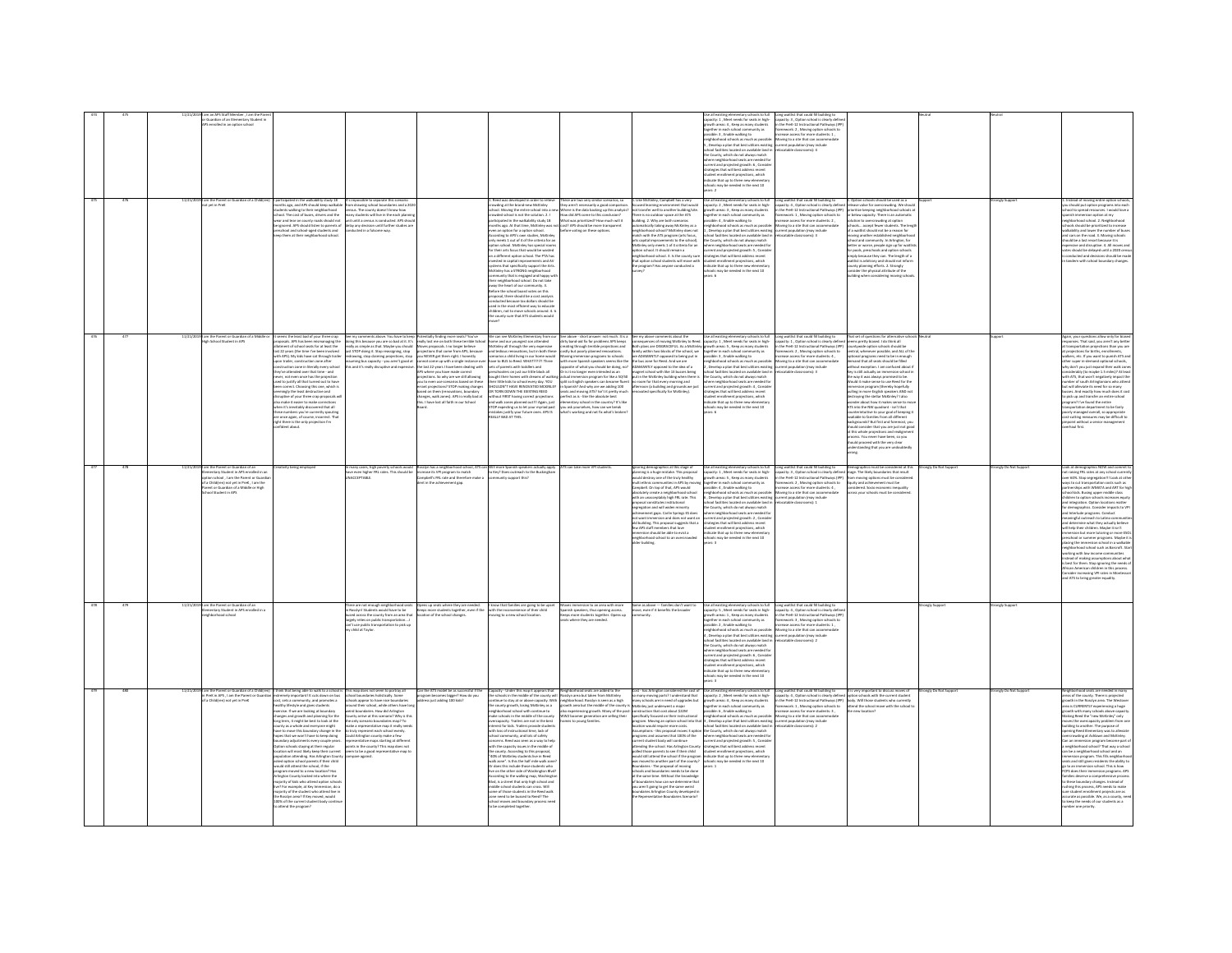|                |     | lember, I am the P<br>Guardian of an Elementary Student in<br>enrolled in an option school                                                                                                                                                                                           |                                                                                                                                                                                                                                                                                                                                                                                                                                                                                                                                                                                                                                                                                                                                                                                                                                                                                                                                                                                                                                                                                                                 |                                                                                                                                                                                                                                                                                                                                                                                                                                                                                         |                                                                                                                                                                                                                                                                                                                                                                                                                                                                                                        |                                                                                                                                                                                                                                                                                                                                                                                                                                                                                                                                                                                                                                                                                                                                                                                                                                                                                                                                                                                                                                                                                                                        |                                                                                                                                                                                                                                                                                                                                                                                                                |                                                                                                                                                                                                                                                                                                                                                                                                                                                                                                                                                                                                                                                                                                                                                                                                                                                                                                                                                                                   | tary schools to full<br>pacity: 1, Meet needs for seats in high-<br>owth areas: 4, Keep as many students<br>prether in each school community as<br>sible: 3, Enable walking to<br>shborhood schools as much as possible<br>.<br>Develop a plan that best utilizes existing<br>col facilities located on available land is<br>County, which do not always mate<br>ere neighborhood seats are needed fo<br>rent and projected growth: 6 , Conside<br>tegies that will best address recent<br>udent enrollment projections, which<br>dicate that up to three new elementar<br>ols may be needed in the next 10<br>$-2$                                                                                                                 | Long waitlist that could fill building to<br>capacity: 3, Option school is clearly define<br>in the PreK-12 Instructional Pathways (IPF<br>framework: 2 . Moving option schools to<br>crease access for more students: 1<br>Moving to a site that can accomm<br>rrent population (may include<br>locatable classrooms): 4                                                                                                                                                                                                                                                                                                                                |                                                                                                                                                                                                                                                                                                                                                                                                                                                                                                                                                                                                                                                                                                                                                                                                                                                                                                                                                                                                                                                                                                                                                                                                                                                                                                                                                                   |                        |                      |                                                                                                                                                                                                                                                                                                                                                                                                                                                                                                                                                                                                                                                                                                                                                                                                                                                                                                                                                                                                                                                                  |
|----------------|-----|--------------------------------------------------------------------------------------------------------------------------------------------------------------------------------------------------------------------------------------------------------------------------------------|-----------------------------------------------------------------------------------------------------------------------------------------------------------------------------------------------------------------------------------------------------------------------------------------------------------------------------------------------------------------------------------------------------------------------------------------------------------------------------------------------------------------------------------------------------------------------------------------------------------------------------------------------------------------------------------------------------------------------------------------------------------------------------------------------------------------------------------------------------------------------------------------------------------------------------------------------------------------------------------------------------------------------------------------------------------------------------------------------------------------|-----------------------------------------------------------------------------------------------------------------------------------------------------------------------------------------------------------------------------------------------------------------------------------------------------------------------------------------------------------------------------------------------------------------------------------------------------------------------------------------|--------------------------------------------------------------------------------------------------------------------------------------------------------------------------------------------------------------------------------------------------------------------------------------------------------------------------------------------------------------------------------------------------------------------------------------------------------------------------------------------------------|------------------------------------------------------------------------------------------------------------------------------------------------------------------------------------------------------------------------------------------------------------------------------------------------------------------------------------------------------------------------------------------------------------------------------------------------------------------------------------------------------------------------------------------------------------------------------------------------------------------------------------------------------------------------------------------------------------------------------------------------------------------------------------------------------------------------------------------------------------------------------------------------------------------------------------------------------------------------------------------------------------------------------------------------------------------------------------------------------------------------|----------------------------------------------------------------------------------------------------------------------------------------------------------------------------------------------------------------------------------------------------------------------------------------------------------------------------------------------------------------------------------------------------------------|-----------------------------------------------------------------------------------------------------------------------------------------------------------------------------------------------------------------------------------------------------------------------------------------------------------------------------------------------------------------------------------------------------------------------------------------------------------------------------------------------------------------------------------------------------------------------------------------------------------------------------------------------------------------------------------------------------------------------------------------------------------------------------------------------------------------------------------------------------------------------------------------------------------------------------------------------------------------------------------|-------------------------------------------------------------------------------------------------------------------------------------------------------------------------------------------------------------------------------------------------------------------------------------------------------------------------------------------------------------------------------------------------------------------------------------------------------------------------------------------------------------------------------------------------------------------------------------------------------------------------------------------------------------------------------------------------------------------------------------|----------------------------------------------------------------------------------------------------------------------------------------------------------------------------------------------------------------------------------------------------------------------------------------------------------------------------------------------------------------------------------------------------------------------------------------------------------------------------------------------------------------------------------------------------------------------------------------------------------------------------------------------------------|-------------------------------------------------------------------------------------------------------------------------------------------------------------------------------------------------------------------------------------------------------------------------------------------------------------------------------------------------------------------------------------------------------------------------------------------------------------------------------------------------------------------------------------------------------------------------------------------------------------------------------------------------------------------------------------------------------------------------------------------------------------------------------------------------------------------------------------------------------------------------------------------------------------------------------------------------------------------------------------------------------------------------------------------------------------------------------------------------------------------------------------------------------------------------------------------------------------------------------------------------------------------------------------------------------------------------------------------------------------------|------------------------|----------------------|------------------------------------------------------------------------------------------------------------------------------------------------------------------------------------------------------------------------------------------------------------------------------------------------------------------------------------------------------------------------------------------------------------------------------------------------------------------------------------------------------------------------------------------------------------------------------------------------------------------------------------------------------------------------------------------------------------------------------------------------------------------------------------------------------------------------------------------------------------------------------------------------------------------------------------------------------------------------------------------------------------------------------------------------------------------|
|                |     | .<br>3 I am the Parent or Guardian of a C<br>not vet in PreK                                                                                                                                                                                                                         | ticipated in the walkability study 18<br>ths ago, and APS should keep walkab<br>nts walking to their neighborhood<br>tool. The cost of buses, drivers and the<br>wear and tear on county roads should not<br>e iznored. APS should listen to parents o<br>.<br>ichool and school-aged students and<br>p them at their neighborhood school.                                                                                                                                                                                                                                                                                                                                                                                                                                                                                                                                                                                                                                                                                                                                                                      | t's impossible to separate this scenario<br>rom drawing school boundaries and a 20<br>ansus. The county doesn't know how<br>many students will live in the each planni<br>unit until a census is conducted. APS shor<br>delay any decision until further studies a<br>onducted in a fulsome way.                                                                                                                                                                                        |                                                                                                                                                                                                                                                                                                                                                                                                                                                                                                        | Reed was developed in order to relieve<br>swding at the brand-new McKinley<br>sool. Moving the entire school into a ne<br>suded school is not the solution. 2.1<br>ticipated in the walkability study 18<br>onths ago. At that time. McKinley was no<br>n an option for a option school.<br>:ording to APS's own studies, McKinley<br>meets 1 out of 4 of the criteria for a<br>ony mess a sea to McKinley has special rooms<br>for their arts focus that would be wasted<br>on a different option school. The PTA has<br>invested in capital improvements and AV<br>simulated in capital improvements and AV<br>ems that specifically support the Arts<br>dcKinley has a STRONG neighborhood<br>nunity that is engaged and happy wi<br>ir neighborhood school. Do not take<br>in implications school. Our inclusively the heart of our community. 3.<br>fore the school board votes on this<br>sposal, there should be a cost analy<br>conducted because tax dollars should be<br>used in the most efficient way to educate<br>children, not to move schools around. 4. Is<br>the county sure that ATS students would | hese are two very similar scenarios, so<br>hey aren't necessarily a good compariso<br>rhere is the data backing up this analysi<br>How did APS come to this conclusion?<br>What was prioritized? How much will it<br>cost? APS should be more transparent<br>before voting on these cotions.                                                                                                                   | L Like McKinley, Campbell has a very<br>locused learning environment that would<br>tot transfer well to another building/site.<br>vere is no outdoor space at the ATS<br>alding. 2. Why are both scenarios<br>matically taking away McKinley as a<br>shborhood school? McKinley does not<br>tch with the ATS program (arts focus,<br>rs capital improvements to the school).<br>EKinley only meets 1 of 4 criteria for an<br>tion school. It should remain a<br>thing the school.<br>sption school. It should remain a<br>seighborhood school. 3. Is the county sure<br>hat option school students will move with<br>e program? Has anyone conducted a                                                                                                                                                                                                                                                                                                                            | ise all existing elementary schools to full<br>apacity: 2 , Meet needs for seats in high-<br>rowth areas: 3 , Xeep as many students<br>agether in each school community as<br>ossible: 4 , Enable walking to<br>ishborhood schools as much as possible<br>.<br>Develop a plan that best utilizes existing<br>col facilities located on available land in<br>County, which do not always match<br>the County, which do not always match<br>where maighborhood seats are needed for<br>current and projected growth: 5, Consider<br>strategies that will best address recent<br>student enrollment projections, which<br>indicate that up to thr<br>hools may be needed in the next 10<br>vars 6                                      | Long waitlist that could fill building to<br>capacity: 4 , Option school is clearly define<br>in the PreK-12 Instructional Pathways (IPP<br>ramework: 1 , Moving option schools to<br>ncrease access for more students: 2 ,<br>Movine to a site that can accommodate<br>urrent population (may include<br>elocatable classrooms): 3                                                                                                                                                                                                                                                                                                                      | 1. Option schools should be used as a<br>release valve for overcrowding. We sho<br>aritize keeping neighbarhood school<br>or below capacity. There is an automatic<br>ation to overcrowding at option<br>chools accept fewer students. The lengt<br>of a waitlist should not be a reason for<br>ving another established neighborhoo<br>www.www.mwellinned.negradomology.com<br>school and community. In Arlington, for<br>better or worse, people sign up for waitlis<br>for pools, preschools and option schools<br>for pools, preschools and option schools<br>simply because they can. The length of a<br>waitlist is arbitrary and should not inform<br>unty planning efforts. 2. Strongly<br>sider the physical attribute of the<br>ling when considering moving sch-                                                                                                                                                                                                                                                                                                                                                                                                                                                                                                                                                                                       |                        | ongly Suppe          | istead of moving entire option sch<br>should put option programs into<br>ool to spread resources. I would love<br>aanish immersion option at my<br>eighborhood school. 2. Neighborhood<br>hools should be prioritized to increase<br>valisability and lower the number of buse<br>ind cars on the road. 3. Moving schools<br>add be a last resort because it is<br>uid be a last resort because it is<br>ensive and disruptive. 4. All moves ar<br>is should be delayed until a 2020 cen<br>conducted and decisions should be mad<br>tandem with school boundary changes.                                                                                                                                                                                                                                                                                                                                                                                                                                                                                        |
| 476            |     | am the Parent or Guardian of a<br>Iigh School Student in APS                                                                                                                                                                                                                         | ims the least bad of your three crap<br>sals. APS has been mismanaging the<br>next of school seats for at least the<br>22 years (the time I've been involve<br>th APS). My kids have sat through traile<br>trailer, construction zone after<br>truction zone in literally every school<br>i've attended over that time - and<br>not even once has the ord<br>en, not ever once mas one projection<br>of to justify all that turned out to have<br>en correct. Choosing this one, which is<br>emingly the least destructive and<br>iptive of your three crap proposals v<br>make it easier to make corrections<br>when it's inevitably discovered that all<br>ese numbers you're currently spouting<br>re once again, of course, incorrect. That<br>ht there is the only projection I'm                                                                                                                                                                                                                                                                                                                          | See my comments above. You have to keep Potentially finding more seats? You've<br>dong this because you are so bed at it. It's weally bot me on both these terrible Schoo<br>really as simple as that. Maybe you should Mores propos<br>redrawing, stop claiming projections, stop<br>ning bus capacity - you aren't good at                                                                                                                                                            | you NEVER get them right. I honestly<br>annot come up with a single instance ov<br>is and it's really disruptive and expensive. The last 22 years I have been dealing with<br>PS where you have made correct<br>ections. So why are we still allowing<br>projections. So why are we still allowing<br>you to even use scenarios based on these<br>errant projections? STOP making changes<br>based on them (renovations, boundary<br>changes, walk zones). APS is really bad at<br>this. I have lost a | We can see McKinley Elementary from our<br>Incme and our youngest son attended<br>McKinley all through the very expensive<br>and tedious renovations, but in both these<br>scenarios a child living in our home would<br>have to BUS to Reed. WHAT?1?1?1 Three<br>sets of parents with toddlers and<br>hoolers on just our little block all<br>utht their homes with dreams of walkin<br>.<br>Fittle kids to school every day. YOU<br>KILDN'T HAVE RENOVATED MCKINLEY<br>TORN DOWN THE EXISTING REED<br>: TORN DOWN THE EXISTING REED<br>thout FIRST having correct projections<br>d walk zones planned out!!! Again, just<br>STOP expecting us to let your myriad past<br>nistakes justify your future ones. APS IS<br>IEALLY BAD AT THIS.                                                                                                                                                                                                                                                                                                                                                                            | ee above - short answer: not much. It is a "See my above comments about the<br>liny band-ad fix for problems APS keeps - consequences of moving McGisley to<br>reating through terrible projections and - Bosh plans are DISORACEFUL<br>.<br>Is it no longer even intended as an<br>tual immersion program for like a 50/50<br>you ask yourselves, how can we break<br>hat's working and not fix what's broker | iee my above comments about the<br>consequences of moving McKinley to Reed.<br>Both plans are DISGRACEFUL. As a McKinley<br>lamily within two blocks of the school, we<br>lamily within two blocks of the school, we<br>oving immersion programs to schools are ADAMANTLY opposed to being put in .<br>th more Spanish speakers seems like the the bus zone for Reed. And we are<br>sosite of what you should be doing, no? ADAMANTLY opposed to the idea of a<br>nagnet school with like 13 busses being<br>ut in the McKinley building when there i<br>a include interstation programs for like a 30,700 gua in the McGratey business spatine there is splitt to English speakers can become fluent in cross for the four-property and in Spatinity And show and state and spatinity                                                                                                                                                                                            | Use all existing elementary schools to full<br>capacity: 1 , Meet needs for seats in high-<br>growth areas: 5 , Keep as many students<br>gether in each school community as<br>ossible: 3, Enable walking to<br>ighborhood schools as much as possible<br>Develop a plan that best utilizes existing<br>ool facilities located on available land in<br>County, which do not always match<br>ere neighborhood seats are needed for<br>rent and projected growth: 4 , Conside<br>stegies that will best address recent<br>dent enrollment projections, which<br>icate that up to three new elementary<br>schools may be needed in the next 10<br>A-rea                                                                                | Long waitlist that could fill building to<br>capacity: 1 , Option school is clearly define<br>in the PreK-12 Instructional Pathways (IPP)<br>framework: 2 , Moving option schools to<br>screase access for more students: 4,<br>Moving to a site that can accommodate<br>current population (may include<br>locatable classrooms): 3                                                                                                                                                                                                                                                                                                                     | That set of questions for alte<br>art set or questions for anemiesve school<br>erris pretty biased. I do think all<br>untywide option schools should be<br>ntral, whenever possible, and ALL of the<br>ptional programs need to be in enough<br>nand that all seats should be filled<br>without exception. I am confused about if<br>Key is still actually an immersion school in<br>te way it was always promised to be.<br>uld it make sense to use Reed for th<br><b>From the internal control of the Second Control of Second Control of Second Control of the Second Second Control of the Second Control of the Second Control of the Second Control of the Second Control of the Second Contro</b><br>ATS into the NW quadrant - isn't that<br>unterintuitive to your eoal of keeping it<br>vailable to families from all different<br>kerounds? But first and foremost, you<br>$\begin{array}{l} \begin{array}{l} \begin{array}{l} \text{S} & \text{S} & \text{S} \\ \text{S} & \text{S} & \text{S} \\ \text{S} & \text{S} & \text{S} \\ \text{S} & \text{S} & \text{S} \\ \text{S} & \text{S} & \text{S} \\ \text{S} & \text{S} & \text{S} \\ \text{S} & \text{S} & \text{S} & \text{S} \\ \text{S} & \text{S} & \text{S} & \text{S} \\ \text{S} & \text{S} & \text{S} & \text{S} \\ \text{S} & \text{S} & \text{S} & \$<br>rstanding that you are undo. |                        |                      | Again, your questions allow only for bia<br>responses. That said, you aren't any bet<br>sportation projections than you a<br>rojections for births, enrollments,<br>alkers, etc. If you want to punish ATS an<br>her super in-demand optional schools,<br>yhy don't you just expand their walk zon<br>lerably (to maybe 1.5 miles)? At leas<br>ith ATS, that won't negatively impact the<br>.<br>umber of south Arlingtonians who atten<br>ut will alleviate its need for so many<br>ses. And exactly how much does it co<br>o pick up and transfer an entire school<br>rogram? I've found the entire<br>ansportation department to be fairly<br>oorly managed overall, so appropriate<br>ost-cutting measures may be difficult to<br>nooint without a senior management<br>hard first                                                                                                                                                                                                                                                                           |
| $\overline{m}$ | 478 | 11/21/2019 I am the Parent or Guardian of an<br>Elementary Student in APS enrolled in an<br>ennessly states in AFS ensured in a<br>gitten school , I am the Parent or Guan<br>fa Child(ren) not yet in PreK , I am the<br>term or Guardian of a Middle or High<br>sol Student in APS | ativity being employer                                                                                                                                                                                                                                                                                                                                                                                                                                                                                                                                                                                                                                                                                                                                                                                                                                                                                                                                                                                                                                                                                          | hany cases, high poverty schools would<br>e even higher FRL rates. This should be<br><b>CCFOTABLE</b>                                                                                                                                                                                                                                                                                                                                                                                   |                                                                                                                                                                                                                                                                                                                                                                                                                                                                                                        | ossiyn has a neighborhood school, ATS can Will more Spanish speakers actually apply . ATS can take more VPI students.<br>crease its VPI program to match<br>impbell's PRI: rate and therefore make a . community support this?<br>imt i                                                                                                                                                                                                                                                                                                                                                                                                                                                                                                                                                                                                                                                                                                                                                                                                                                                                                |                                                                                                                                                                                                                                                                                                                                                                                                                | gnoring demographics at this stage of<br>slanning is a huge mistake. This proposal<br>.<br>build des<br>troy one of the truly healthy<br>multi ethnic communities in APS by moving<br>Campbell: On top of that, APS would<br>ibsolutely create a neighborhood school<br>with an unacceptably high FRL rate. This<br>fiencitutioni astutional listogoni<br>egregation and will widen minority<br>chievement gaps. Carlin Springs ES does<br>ot want imme<br>rsion and does not want as<br>d building. This proposal suggests that a<br>w APS staff members that love<br>rsion should be able to evict a<br>reighborhood school to an ove<br>ilder building.                                                                                                                                                                                                                                                                                                                        | why. z , were measured and and magnetic<br>sther in each school community as<br>sible: 4 , Enable walking to<br>e County, which do not always match<br>ere neighborhood seats are needed for<br>there neighborhood seats are needed to<br>urrent and projected growth: 2, Consider<br>trategies that will best address recent<br>tudent enrollment projections, which<br>idicate that up to three new elementary<br>cours. *                                                                                                                                                                                                                                                                                                        | .<br>Use all existing elementary schools to full in Long waitlist that could fill building to internagraphics must be considered at this internal at this internal at this internal at this internal at the state of the likely b<br>spacey: 2 , opener scream is causey derived<br>the PreK-12 Instructional Pathways (PP)<br>tamework: 2 , Moving option schools to<br>screase access for more students: 4 ,<br>ossione: «, , crucese wassing to<br>sighthorhood schools as much as possible: Monoing to a site that can accommodate<br>, Develop a plan that best utilizes existing current population (may include<br>thool facilities located on av | from moving options must be considered.<br>Equity and achievement must be<br>considered. Socio economic inequalit<br>ass your schools must be consi-                                                                                                                                                                                                                                                                                                                                                                                                                                                                                                                                                                                                                                                                                                                                                                                                                                                                                                                                                                                                                                                                                                                                                                                                              | tronely Do Not Support | onely Do Not Support | .<br>Look at demographics NOW and comm<br>tot raising FRL rates at any school curn<br>er 60%. Stop segregation<br><b>Ill Look at off</b><br>wiys to cut transportation costs such as<br>artnerships with WMATA and ART for hig<br>hool kids. Busing upper middle class<br>ildren to option schools increases equ<br>nd integration. Option locations matter<br>or demographics. Consider impacts to VP<br>ind Interlude programs. Conduct<br>aningful outreach to Latino com<br>nd determine what they actually believe<br>vil help their children. Maybe it isn't<br>sion but more tutoring or more ES<br>reschool or summer programs. Maybe it<br>slacing the immersion school in a walkable<br>ighborhood school such as Barcroft. Sta<br>orking with low income communities<br>stead of making assumptions about wha<br>best for them. Stop ignoring the needs of<br>Vrican American children in this process.<br>onsider increasing VPI rates in Mont<br>nd ATS to bring greater equality.                                                                  |
|                |     | am the Parent or Guardian of an<br>entary Student in APS enrolled in<br>loorhood school                                                                                                                                                                                              |                                                                                                                                                                                                                                                                                                                                                                                                                                                                                                                                                                                                                                                                                                                                                                                                                                                                                                                                                                                                                                                                                                                 | here are not enough neighbor<br>sslyn! Students would have to be<br>used across the county from an area that<br>rgely relies on public transportation<br>in't use oublic transportation to pick up<br>hild at Taylor                                                                                                                                                                                                                                                                    | Opens up seats where they are needed<br>leeps more students together, even if the<br>tion of the school changes.                                                                                                                                                                                                                                                                                                                                                                                       | I know that families are going to be upset<br>with the inconvenience of their child<br>ving to a new school location.                                                                                                                                                                                                                                                                                                                                                                                                                                                                                                                                                                                                                                                                                                                                                                                                                                                                                                                                                                                                  | ves immersion to an area with more<br>nish speakers, thus opening access.<br>ps more students together. Opens up<br>where they are needed                                                                                                                                                                                                                                                                      | Same as above --- families don't want to<br>ove, even if it benefits the broader<br>unity                                                                                                                                                                                                                                                                                                                                                                                                                                                                                                                                                                                                                                                                                                                                                                                                                                                                                         | Use all existing elementary schools to full<br>capacity: 5 , Meet needs for seats in high-<br>wth areas: 1, Keep as many students<br>gether in each school community as<br>sible: 2 . Enable walking to<br>hherbood schools as much as nossibl<br>Develop a plan that best utilizes existin<br>Levelap is pain time best conces example<br>tool facilities located on available land in<br>County, which do not always match<br>nere neighborhood seats are needed for<br>rrent and projected growth: 6, Consid<br>trategies that will best address recent<br>dent enrollment projections, which<br>dicate that up to three new elementar<br>chools may be needed in the next 10<br>ir e                                            | Long waitlist that could fill building to<br>capacity: 4, Option school is clearly define<br>in the PreK-12 Instructional Pathways (IP<br>ramework: 3, Moving option schools to<br>rease access for more students: 1.<br>oving to a site that can accomm<br>rrent population (may include<br>catable classrooms): 2                                                                                                                                                                                                                                                                                                                                      |                                                                                                                                                                                                                                                                                                                                                                                                                                                                                                                                                                                                                                                                                                                                                                                                                                                                                                                                                                                                                                                                                                                                                                                                                                                                                                                                                                   | mgly Sup               | ongly Sup            |                                                                                                                                                                                                                                                                                                                                                                                                                                                                                                                                                                                                                                                                                                                                                                                                                                                                                                                                                                                                                                                                  |
| 470            |     | PreK in APS, I am the Parent or Guar<br>Child(ren) not yet in PreK                                                                                                                                                                                                                   | rink that being able to walk to a school is This map does not seem to portray all<br>tremely important! It cuts down on bus school boundaries holistically. Some<br>t, sets a community, and promotes a<br>ithy lifestyle and gives students<br>rcise. If we are looking at boundary<br>nges and growth and planning for the<br>or term, it might be best to look at the<br>g term, it might be tead to new to have<br>inty as a whole and everyone might<br>we to move this boundary change in the<br>pes that we won't have to loep doing<br>undary adjustments every couple years<br>tion schools staying at their regular<br>ation will most likely keep their current<br>ipulation attending. Has Arlington County<br>ked option school parents if their child<br>add still attend the school. if the<br>ram moved to a new location? Has<br>gton County looked into where the<br>ity of kids who attend option<br>For example, at Key Immersion, do a<br>rity of the student who attend live in<br>the Rosslyn area? If Key moved, would<br>100% of the current student body contin<br>stend the program? | chools appear to have rice boundaries<br>and their school, while others have I<br>veird boundaries. How did Arlington<br>ounty arrive at this scenario? Why is thi<br>e only scenario boundaries map? To<br>lake a representative map it really need<br>o truly represent each school evenly.<br>Could Arlington county make a few<br>representative maps starting at different<br>points in the county? This map does not<br>seem to be a good representative map!<br>compare against. | Can the ATS model be as successful if the<br>rogram becomes bigger? How do you<br>ddress just adding 100 kids?                                                                                                                                                                                                                                                                                                                                                                                         | Capacity - Under this map it appears that<br>the schools in the middle of the county will<br>ighborhood school with continue to<br>.<br>ke schools in the middle of the county<br>epacity. Trailers are not in the best<br>erest for kids. Trailers provide stude<br>h loss of instructional time, lack of<br>th loss of instru<br>with not community, and lots of safety<br>concerns. Reed was seen as a way to he<br>with the capacity issues in the middle of<br>the county. According to this proposal,<br>"40% of McKinley students live in Reed<br>walk zone". Is this the half mile walk zone<br>Ir does this include those students who<br>live on the other side of Washington Blvd?<br>According to the walking map, Washington<br>Blvd, is a street that only high school and<br>middle school students can cross. Will<br>some of those students in the Reed wall<br>zone need to be bussed to Reed? The<br>school moves and boundary proce<br>be completed together                                                                                                                                       | .<br>Neighborhood seats are added to the<br>Rosslyn area but taken from McKinley<br>inue to stay at or above capacity. With neighborhood. Rosslyn is seen as a high<br>county growth, losing McKinley as a growth area but the middle of the county is<br>o experiencing growth. Many of the post<br>W2 boomer generation are selling their<br>es to young families                                            | Cost - has Arlington considered the cost o<br>so many moving parts? I understand that<br>nany schools are in need of upgrades but<br>ünley just underwent a majo<br>struction that cost about \$22M<br>ecifically focused on their instructional<br>peram. Moving an option school into the<br>tion would require more costs.<br>ceation would require more costs.<br>Issumptions - this proposal moves 3 option<br>Irograms and assumes that 100% of the<br>Intenting the school. Has Arlington County<br>Mending the school. Has Arlington County<br>olled those parents to see if their child<br>would still attend the school if the program<br>was moved to another part of the county?<br>undaries - The proposal of movine<br>chools and boundaries needs to be done<br>it the same time. Without the knowlede<br>boundaries how can we determine the<br>u aren't going to get the same weird<br>sundaries Arlington County developed<br>epresentative Boundaries Scenario | enhany sehnyak tin fiall<br>e all existing elementary schools to full<br>pacity: 2 , Meet needs for seats in high-<br>owth areas: 4, Keep as many students<br>together in each school community as<br>ssible: 6, Enable walking to<br>ighborhood schools as much as possible<br>, Develop a plan that best utilizes existing<br>heel facilities lecated on available land is<br>noor ractists incurred on available list<br>in County, which do not always match<br>nere neighborhood seats are needed for<br>rent and projected growth: 5 , Conside<br>ategies that will best address recent<br>student enrollment projections, which<br>indicate that up to three new elementar<br>schools may be needed in the next 10<br>earc 1 | Long waitlist that could fill building to<br>stap in its very important to discuss moves of<br>capacity: 4. Option school is clearly diffuse epition schools with the currently sin<br>the PeW-12 Instructional Pathways (PP) [body, Wi<br>rease access for more students: 3,<br>loving to a site that can accommodate<br>pratable classrooms) 2                                                                                                                                                                                                                                                                                                         | <b>Snotsage</b> wen set                                                                                                                                                                                                                                                                                                                                                                                                                                                                                                                                                                                                                                                                                                                                                                                                                                                                                                                                                                                                                                                                                                                                                                                                                                                                                                                                           | mely Do Not Support    | rongly Do Not Suppo  | reas of the county. There is projected<br>with in the Rosslyn area. The Westove<br>rea is CURRENTLY experiencing a huge<br>rowth with many schools above capacit<br>laking Reed the "new McKinley" only<br>wis the overcapacity problem from on<br>ilding to another. The purpose of<br>strating the measurement are proposed to<br>the opening Reed Elementary wist to allowide<br>overcrowding at Ashlawn and McKinky.<br>Can an immersion program become part of<br>a neighborhood school? That way a school<br>and he a neighborh<br>an be a neighborhood school and an<br>mmersion program. This fills neighborhoo<br>eats and still gives residents the ability to<br>to to an immersion school. This is how<br>.<br>CPS does their immersion programs. APS<br>imilies deserve a comprehensive process<br>mises beserve a comprenensive proce<br>these boundary changes. Instead of<br>shing this process, APS needs to make<br>ent projects are as<br>curate as possible. We, as a county, ne<br>keep the needs of our students as a<br>ber one priority. |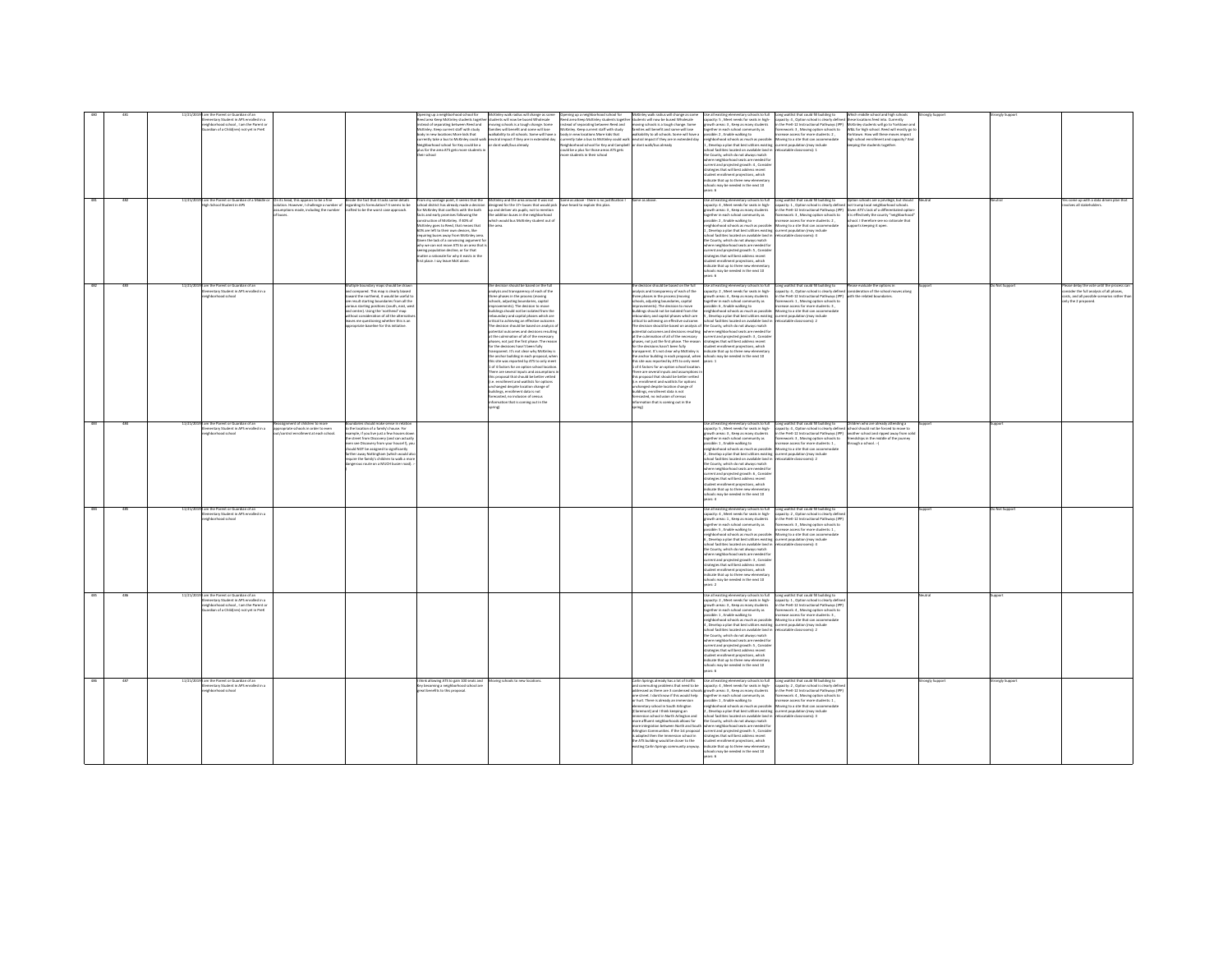|            |            | mentary Student in APS enrolled in a                                             |                                                                                                                                                                         | ing up a neigh<br>Reed area Keep McKinley students together students will now be bused Wholesale                          | walk radius will change as so                                                                                                         | ning up a neigl<br>eed area Keep McKinley students togethe                                                            | McKinley walk radius will change as som<br>itudents will now be bused Wholesale                                                                                                                                | capacity: 5, Meet needs for seats in high-                                                                                                                                                                   | Long waitlist that could fil building to Which middle school and high schools<br>capacity: 4 , Option school is clearly defined these locations feed into. Currently<br>in the PreK-12 Instructional Pathways (IPP) McKinley student                                | ngly Suppo    |               |                                                                              |
|------------|------------|----------------------------------------------------------------------------------|-------------------------------------------------------------------------------------------------------------------------------------------------------------------------|---------------------------------------------------------------------------------------------------------------------------|---------------------------------------------------------------------------------------------------------------------------------------|-----------------------------------------------------------------------------------------------------------------------|----------------------------------------------------------------------------------------------------------------------------------------------------------------------------------------------------------------|--------------------------------------------------------------------------------------------------------------------------------------------------------------------------------------------------------------|---------------------------------------------------------------------------------------------------------------------------------------------------------------------------------------------------------------------------------------------------------------------|---------------|---------------|------------------------------------------------------------------------------|
|            |            | sighborhood school . I am the Parent of<br>rdian of a Child(ren) not yet in Pref |                                                                                                                                                                         | Instead of separating between Reed and<br>McKinley. Keep current staff with study<br>body in new locations More kids that | movine schools is a tough change. Some<br>miles will benefit and some will lose<br>ikability to all schools. Some will have           | stead of separating between Reed and<br>ckinley. Keep current staff with study<br>ody in new locations More kids that | noving schools is a tough change. Some<br>miles will benefit and some will lose<br>alkability to all schools. Some will have a                                                                                 | growth areas: 3 . Keep as many students<br>seether in each school co<br>sunity as<br>ible: 2, Enable walking to                                                                                              | framework: 3, Moving option schools to<br>increase access for more students: 2,<br>W&L for high school. Reed will mostly go t<br>Yorktown. How will these moves impact                                                                                              |               |               |                                                                              |
|            |            |                                                                                  |                                                                                                                                                                         | d school for Key could be a                                                                                               | rently take a bus to McKinley could walk meutral impact if they are in extended day<br>or dont walk/bus already                       | rrently take a bus to McKinley could wall                                                                             | sutral impact if they are in extended day<br>dont walk/bus already                                                                                                                                             | eighborhood schools as much as possib                                                                                                                                                                        | Aoving to a site that can accommodate<br>high school enrollment and capacity? And<br>ing the students togethe                                                                                                                                                       |               |               |                                                                              |
|            |            |                                                                                  |                                                                                                                                                                         | for the area ATS gets more stude<br>heir school                                                                           |                                                                                                                                       | leighborhood school for Key and Campbell<br>ould be a plus for those areas ATS gets<br>ore students in their school   |                                                                                                                                                                                                                | .<br>Develop a plan that best utilizes existin<br>hool facilities located on available land<br>the County, which do not always match                                                                         | rent population (may include<br>scatable classrooms): 1                                                                                                                                                                                                             |               |               |                                                                              |
|            |            |                                                                                  |                                                                                                                                                                         |                                                                                                                           |                                                                                                                                       |                                                                                                                       |                                                                                                                                                                                                                | nere neighborhood seats are needed for<br>rrent and projected growth: 4, Conside                                                                                                                             |                                                                                                                                                                                                                                                                     |               |               |                                                                              |
|            |            |                                                                                  |                                                                                                                                                                         |                                                                                                                           |                                                                                                                                       |                                                                                                                       |                                                                                                                                                                                                                | ategies that will best address recent                                                                                                                                                                        |                                                                                                                                                                                                                                                                     |               |               |                                                                              |
|            |            |                                                                                  |                                                                                                                                                                         |                                                                                                                           |                                                                                                                                       |                                                                                                                       |                                                                                                                                                                                                                | udent enrollment projections, which<br>dicate that up to three new elementar<br>hools may be needed in the next 10                                                                                           |                                                                                                                                                                                                                                                                     |               |               |                                                                              |
|            |            |                                                                                  |                                                                                                                                                                         |                                                                                                                           |                                                                                                                                       |                                                                                                                       |                                                                                                                                                                                                                | ears: 6                                                                                                                                                                                                      |                                                                                                                                                                                                                                                                     |               |               |                                                                              |
|            |            | 11/21/2019 I am the Parent or Guardian of a Midd<br>ich School Student in APS    | On its head, this appears to be a fine<br>de the fact that it lacks some details<br>ution, However, I challenge a number o<br>ed of amees if Snotslamno? It seems to be | rom my vantage point, it seems that the<br>school district has already made a decisio                                     | McKinley and the area around it was not<br>designed for the 17+ buses that would pick                                                 | Same as above - there is no justifica<br>ve heard to explain this plan                                                | ime as above                                                                                                                                                                                                   | Jse all existing elementary schools to full<br>apacity: 4 . Meet needs for seats in high-                                                                                                                    | Long waitlist that could fill building to Cotion schools are a privilege, but shouls<br>capacity: 1, Option school is clearly defined not trump local neighborhood schools.                                                                                         |               |               | les come up with a data driven plan that<br>olves all stakeholder            |
|            |            |                                                                                  | ptions made, including the number<br>fted to be the worst case approach.                                                                                                | r McKinley that conflicts with the both                                                                                   | up and deliver ats pupils, not to menti<br>the addition buses in the neighborhood                                                     |                                                                                                                       |                                                                                                                                                                                                                | wth areas: 3, Keep as many students<br>together in each school community as                                                                                                                                  | the PreK-12 Instructional Pathways (IPP)<br>Given ATS's lack of a differentiated opt<br>framework: 3, Moving option schools to at is effectively the county "neighborhood                                                                                           |               |               |                                                                              |
|            |            |                                                                                  |                                                                                                                                                                         | facts and early promises following the<br>construction of McKinley. If 40% of<br>fckinley goes to Reed, that means that   | which would bus McKinley student out of<br>e area.                                                                                    |                                                                                                                       |                                                                                                                                                                                                                | ssible: 2 . Enable walking to<br>hborhood schools as much as oossible:                                                                                                                                       | screase access for more students: 2.<br>school. I therefore see no rationale that<br>Moving to a site that can accommodate<br>ports keeping it open.                                                                                                                |               |               |                                                                              |
|            |            |                                                                                  |                                                                                                                                                                         | 60% are left to their own devices, like<br>quiring buses away from McKinley area                                          |                                                                                                                                       |                                                                                                                       |                                                                                                                                                                                                                | Develop a plan that best utilizes existing current population (may include<br>ool facilities located on available land in                                                                                    | ocatable classrooms): 4                                                                                                                                                                                                                                             |               |               |                                                                              |
|            |            |                                                                                  |                                                                                                                                                                         | en the lack of a convincing argument fo<br>why we can not move ATS to an area that is                                     |                                                                                                                                       |                                                                                                                       |                                                                                                                                                                                                                | County, which do not always match<br>here neighborhood seats are needed fo                                                                                                                                   |                                                                                                                                                                                                                                                                     |               |               |                                                                              |
|            |            |                                                                                  |                                                                                                                                                                         | eeing population decline, or for that<br>atter a rationale for why it exists in the<br>st place. I say leave McK alone.   |                                                                                                                                       |                                                                                                                       |                                                                                                                                                                                                                | urrent and projected erowth: S. Consid-<br>tegies that will best address recent<br>dent enrollment projections, which                                                                                        |                                                                                                                                                                                                                                                                     |               |               |                                                                              |
|            |            |                                                                                  |                                                                                                                                                                         |                                                                                                                           |                                                                                                                                       |                                                                                                                       |                                                                                                                                                                                                                | ndicate that up to three new elementa                                                                                                                                                                        |                                                                                                                                                                                                                                                                     |               |               |                                                                              |
|            |            |                                                                                  |                                                                                                                                                                         |                                                                                                                           |                                                                                                                                       |                                                                                                                       |                                                                                                                                                                                                                | needed in the next 10                                                                                                                                                                                        |                                                                                                                                                                                                                                                                     |               |               |                                                                              |
| 482        |            | m the Parent or Guardian of an<br>ementary Student in APS enrolled in a          | Itiple boundary maps should be draw<br>I compared. This map is clearly biased                                                                                           |                                                                                                                           | the decision should be based on the full<br>analysis and transparency of each of the                                                  |                                                                                                                       | the decision should be based on the full<br>analysis and transparency of each of the                                                                                                                           |                                                                                                                                                                                                              | Use all existing elementary schools to full Long waitlist that could fill building to<br>capacity: 2 , Meet needs for seats in high- capacity: 4 , Option school is clearly define<br>Please evaluate the options in<br>sed consideration of the school moves along |               | o Not Support | ie delay the vote until the process<br>ider the full analysis of all phases, |
|            |            | Icorbood school                                                                  | ard the northend, it would be useful to                                                                                                                                 |                                                                                                                           | ree phases in the process (moving                                                                                                     |                                                                                                                       | ree phases in the process (moving                                                                                                                                                                              | auth areas: 4 . Keep as many students                                                                                                                                                                        | in the PreK-12 Instructional Pathways (IPP)<br>ith the related boundaries.                                                                                                                                                                                          |               |               | psts, and all possible scenarios rather                                      |
|            |            |                                                                                  | result starting boundaries from all the<br>lous starting positions (south, east, wes                                                                                    |                                                                                                                           | hools, adjusting boundaries, capital<br>provements). The decision to move                                                             |                                                                                                                       | -<br>hook, adjusting boundaries, capital<br>sprovements). The decision to move                                                                                                                                 | .<br>together in each school community as<br>possible: 6 , Enable walking to                                                                                                                                 | emework: 1, Moving option schools to<br>crease access for more students: 3,                                                                                                                                                                                         |               |               | ly the 2 proposed                                                            |
|            |            |                                                                                  | nd center). Using the 'northend' map<br>tout consideration of all the alternat                                                                                          |                                                                                                                           | ildings should not be isolated from the<br>oundary and capital phases which are                                                       |                                                                                                                       | suildings should not be isolated from the<br>indary and capital phases which are                                                                                                                               | neighborhood schools as much as possible: Moving to a site that can accommodate<br>5 , Develop a plan that best utilizes existing current population (may include                                            |                                                                                                                                                                                                                                                                     |               |               |                                                                              |
|            |            |                                                                                  | is me questioning whether this is an<br>opriate baseline for this initiative.                                                                                           |                                                                                                                           | itical to achieving an effective outcome.<br>The decision should be based on analysis<br>ential outcomes and decisions resultin       |                                                                                                                       | itical to achieving an effective outcome.<br>The decision should be based on analysis of the County, which do not always match                                                                                 | chool facilities located on available land i                                                                                                                                                                 | catable classrooms): 2                                                                                                                                                                                                                                              |               |               |                                                                              |
|            |            |                                                                                  |                                                                                                                                                                         |                                                                                                                           | it the culmination of all of the necessary                                                                                            |                                                                                                                       | the culmination of all of the necessary                                                                                                                                                                        | stential outcomes and decisions resulting where neighborhood seats are needed for<br>the culmination of all of the necessary current and projected growth: 3, Conside                                        |                                                                                                                                                                                                                                                                     |               |               |                                                                              |
|            |            |                                                                                  |                                                                                                                                                                         |                                                                                                                           | phases, not just the first phase. The reas<br>for the decisions hasn't been fully                                                     |                                                                                                                       | shases, not just the first phase. The reason strategies that will best address recent<br>or the decisions hasn't been fully student enrollment projections, which<br>ansparent. It's not clear why McKinley is | indicate that up to three new elem                                                                                                                                                                           |                                                                                                                                                                                                                                                                     |               |               |                                                                              |
|            |            |                                                                                  |                                                                                                                                                                         |                                                                                                                           | insparent. It's not clear why McKinley is<br>the anchor building in each proposal, when<br>this site was reported by ATS to only meet |                                                                                                                       | the anchor building in each proposal, when schools may be needed in the next 10<br>this site was reported by ATS to only meet years: 1                                                                         |                                                                                                                                                                                                              |                                                                                                                                                                                                                                                                     |               |               |                                                                              |
|            |            |                                                                                  |                                                                                                                                                                         |                                                                                                                           | of 4 factors for an option school location                                                                                            |                                                                                                                       | of 4 factors for an option school location                                                                                                                                                                     |                                                                                                                                                                                                              |                                                                                                                                                                                                                                                                     |               |               |                                                                              |
|            |            |                                                                                  |                                                                                                                                                                         |                                                                                                                           | There are several inputs and assumptions<br>his proposal that should be better vetted                                                 |                                                                                                                       | .<br>There are several inputs and assumptions<br>this proposal that should be better vetted                                                                                                                    |                                                                                                                                                                                                              |                                                                                                                                                                                                                                                                     |               |               |                                                                              |
|            |            |                                                                                  |                                                                                                                                                                         |                                                                                                                           | (i.e. enrollment and waitlists for option)<br>unchanged despite location change of<br>buildings, enrollment data is not               |                                                                                                                       | e.<br>e. enrolment and waitlists for options<br>rchanged despite location change of<br>ildinas, enrollment data is not                                                                                         |                                                                                                                                                                                                              |                                                                                                                                                                                                                                                                     |               |               |                                                                              |
|            |            |                                                                                  |                                                                                                                                                                         |                                                                                                                           | vecasted, no inclusion of census<br>ormation that is coming out in the                                                                |                                                                                                                       | orecasted, no inclusion of census<br>rformation that is coming out in the                                                                                                                                      |                                                                                                                                                                                                              |                                                                                                                                                                                                                                                                     |               |               |                                                                              |
|            |            |                                                                                  |                                                                                                                                                                         |                                                                                                                           | (serima)                                                                                                                              |                                                                                                                       | pring)                                                                                                                                                                                                         |                                                                                                                                                                                                              |                                                                                                                                                                                                                                                                     |               |               |                                                                              |
|            |            | im the Parent or Guardian of an                                                  | assignment of children to mor-<br>daries should make sense in re                                                                                                        |                                                                                                                           |                                                                                                                                       |                                                                                                                       |                                                                                                                                                                                                                | Use all existing elementary schools to ful                                                                                                                                                                   | Long waitlist that could fill building to                                                                                                                                                                                                                           |               |               |                                                                              |
|            |            | ementary Student in APS enrolled in a<br>borhood school                          | propriate schools in order to even<br>the location of a family's house. For<br>rol enrollment at each school.                                                           |                                                                                                                           |                                                                                                                                       |                                                                                                                       |                                                                                                                                                                                                                | capacity: S. Meet needs for seats in high-                                                                                                                                                                   | capacity: 4 . Option school is clearly defined school should not be forced to move to                                                                                                                                                                               |               |               |                                                                              |
|            |            |                                                                                  | mple, if you live just a few houses down<br>street from Discovery (and can actually<br>n see Discovery from your house! (), you                                         |                                                                                                                           |                                                                                                                                       |                                                                                                                       |                                                                                                                                                                                                                | spowth areas: 3, Keep as many students<br>together in each school community as<br>ssible: 1 . Enable walking to                                                                                              | in the PreK-12 Instructional Pathways (IPP) another school and ripped away from so<br>framework: 3 , Moving option schools to friendships in the middle of the journey<br>rease access for more students: 1.<br>>< Joodas & depart                                  |               |               |                                                                              |
|            |            |                                                                                  | ould NOT be assigned to significantly<br>ther away Nottingham (which would a                                                                                            |                                                                                                                           |                                                                                                                                       |                                                                                                                       |                                                                                                                                                                                                                | hborhood schools as much as possib<br>Nevelop a plan that best utilizes existing current population (may include                                                                                             | oving to a site that can accommoda                                                                                                                                                                                                                                  |               |               |                                                                              |
|            |            |                                                                                  | quire the family's children to walk a mor-<br>erous route on a MUCH busier road                                                                                         |                                                                                                                           |                                                                                                                                       |                                                                                                                       |                                                                                                                                                                                                                | chool facilities located on available land in                                                                                                                                                                | ocatable classrooms): 2                                                                                                                                                                                                                                             |               |               |                                                                              |
|            |            |                                                                                  |                                                                                                                                                                         |                                                                                                                           |                                                                                                                                       |                                                                                                                       |                                                                                                                                                                                                                | the County, which do not always match<br>where neighborhood seats are needed fo<br>urrent and projected erowth: 6. Consid-                                                                                   |                                                                                                                                                                                                                                                                     |               |               |                                                                              |
|            |            |                                                                                  |                                                                                                                                                                         |                                                                                                                           |                                                                                                                                       |                                                                                                                       |                                                                                                                                                                                                                | tegies that will best address recent<br>dent enrollment projections, which                                                                                                                                   |                                                                                                                                                                                                                                                                     |               |               |                                                                              |
|            |            |                                                                                  |                                                                                                                                                                         |                                                                                                                           |                                                                                                                                       |                                                                                                                       |                                                                                                                                                                                                                | indicate that up to three new elementary<br>hools may be needed in the next 10                                                                                                                               |                                                                                                                                                                                                                                                                     |               |               |                                                                              |
|            |            | 11/21/2019 I am the Parent or Guardian of an                                     |                                                                                                                                                                         |                                                                                                                           |                                                                                                                                       |                                                                                                                       |                                                                                                                                                                                                                | urs: 4<br>2se all existing elementary schools to full                                                                                                                                                        | Long waitlist that could fill building to                                                                                                                                                                                                                           |               | o Not Suppor  |                                                                              |
|            |            | mentary Student in APS enrolled in a                                             |                                                                                                                                                                         |                                                                                                                           |                                                                                                                                       |                                                                                                                       |                                                                                                                                                                                                                | spacity: 4, Meet needs for seats in high-                                                                                                                                                                    | capacity: 2, Option school is clearly defin                                                                                                                                                                                                                         |               |               |                                                                              |
|            |            | phborhood school                                                                 |                                                                                                                                                                         |                                                                                                                           |                                                                                                                                       |                                                                                                                       |                                                                                                                                                                                                                | growth areas: 1, Keep as many students<br>parther in each school community as<br>sible: 5, Enable walking to                                                                                                 | in the PreK-12 Instructional Pathways (IPP)<br>framework: 3 . Moving option schools to<br>ase access for more students: 1,                                                                                                                                          |               |               |                                                                              |
|            |            |                                                                                  |                                                                                                                                                                         |                                                                                                                           |                                                                                                                                       |                                                                                                                       |                                                                                                                                                                                                                | eighborhood schools as much as possibli<br>. Develop a plan that best utilizes existing current population (may include                                                                                      | Moving to a site that can accommodate                                                                                                                                                                                                                               |               |               |                                                                              |
|            |            |                                                                                  |                                                                                                                                                                         |                                                                                                                           |                                                                                                                                       |                                                                                                                       |                                                                                                                                                                                                                | ichool facilities located on available land i<br>the County, which do not always match                                                                                                                       | stable classrooms): 4                                                                                                                                                                                                                                               |               |               |                                                                              |
|            |            |                                                                                  |                                                                                                                                                                         |                                                                                                                           |                                                                                                                                       |                                                                                                                       |                                                                                                                                                                                                                | where neighborhood seats are needed for                                                                                                                                                                      |                                                                                                                                                                                                                                                                     |               |               |                                                                              |
|            |            |                                                                                  |                                                                                                                                                                         |                                                                                                                           |                                                                                                                                       |                                                                                                                       |                                                                                                                                                                                                                | orrent and projected growth: 3 , Conside<br>rategies that will best address recent<br>tudent enrollment projections, which                                                                                   |                                                                                                                                                                                                                                                                     |               |               |                                                                              |
|            |            |                                                                                  |                                                                                                                                                                         |                                                                                                                           |                                                                                                                                       |                                                                                                                       |                                                                                                                                                                                                                | ndicate that up to three new elementar<br>ichools may be needed in the next 10                                                                                                                               |                                                                                                                                                                                                                                                                     |               |               |                                                                              |
|            |            |                                                                                  |                                                                                                                                                                         |                                                                                                                           |                                                                                                                                       |                                                                                                                       |                                                                                                                                                                                                                | $m$ ars: $2$                                                                                                                                                                                                 |                                                                                                                                                                                                                                                                     |               |               |                                                                              |
|            |            | im the Parent or Guardian of an<br>mentary Student in APS enrolled in a          |                                                                                                                                                                         |                                                                                                                           |                                                                                                                                       |                                                                                                                       |                                                                                                                                                                                                                | Jse all existing elementary schools to full                                                                                                                                                                  | Long weitlist that could fill building to<br>spacity: 2 . Meet needs for seats in high- capacity: 1 . Option school is clearly define                                                                                                                               |               |               |                                                                              |
|            |            | hborhood school . I am the Parent of<br>dian of a Child(ren) not yet in PreK     |                                                                                                                                                                         |                                                                                                                           |                                                                                                                                       |                                                                                                                       |                                                                                                                                                                                                                | auth areas: 3 . Keep as many students<br>together in each school community as                                                                                                                                | in the PreK-12 Instructional Pathways (IPP)<br>nework: 4, Moving option schools to                                                                                                                                                                                  |               |               |                                                                              |
|            |            |                                                                                  |                                                                                                                                                                         |                                                                                                                           |                                                                                                                                       |                                                                                                                       |                                                                                                                                                                                                                | ssible: 1 . Enable walking to<br>eighborhood schools as much as possible:                                                                                                                                    | increase access for more students: 3 .<br>Moving to a site that can accommo                                                                                                                                                                                         |               |               |                                                                              |
|            |            |                                                                                  |                                                                                                                                                                         |                                                                                                                           |                                                                                                                                       |                                                                                                                       |                                                                                                                                                                                                                | Develop a plan that best utilizes existing current population (may include<br>hool facilities located on available land in                                                                                   | catable classrooms): 2                                                                                                                                                                                                                                              |               |               |                                                                              |
|            |            |                                                                                  |                                                                                                                                                                         |                                                                                                                           |                                                                                                                                       |                                                                                                                       |                                                                                                                                                                                                                | he County, which do not always match<br>vere neighborhood seats are needed for                                                                                                                               |                                                                                                                                                                                                                                                                     |               |               |                                                                              |
|            |            |                                                                                  |                                                                                                                                                                         |                                                                                                                           |                                                                                                                                       |                                                                                                                       |                                                                                                                                                                                                                | current and projected erowth: S. Consid-<br>ategies that will best address recent                                                                                                                            |                                                                                                                                                                                                                                                                     |               |               |                                                                              |
|            |            |                                                                                  |                                                                                                                                                                         |                                                                                                                           |                                                                                                                                       |                                                                                                                       |                                                                                                                                                                                                                | nt enrollment projections, which<br>indicate that up to three new elementary<br>ols may be needed in the next 10                                                                                             |                                                                                                                                                                                                                                                                     |               |               |                                                                              |
|            |            |                                                                                  |                                                                                                                                                                         |                                                                                                                           |                                                                                                                                       |                                                                                                                       |                                                                                                                                                                                                                | es: 6                                                                                                                                                                                                        |                                                                                                                                                                                                                                                                     |               |               |                                                                              |
| 486<br>281 | 11/21/2019 | am the Parent or Guardian of an<br>vertary Student in APS enrolled in a          |                                                                                                                                                                         | think allowing ATS to gain 100 seats and                                                                                  | Moving schools to new location                                                                                                        |                                                                                                                       | Carlin Sorines already has a lot of traffic                                                                                                                                                                    |                                                                                                                                                                                                              | Use all existing elementary schools to full Long weitlist that could fill building to<br>capacity: 4 , Meet needs for seats in high-capacity: 2 , Option school is clearly define<br>growth areas: 3 , Keep as many students in the                                 | angly Support | ronely Suppor |                                                                              |
|            |            | hbarhood school                                                                  |                                                                                                                                                                         | becoming a neighborhood school are<br>at benefits to this proposal.                                                       |                                                                                                                                       |                                                                                                                       | ne street. I dont know if this would help                                                                                                                                                                      | d communing problems that need to be capacity: 4 , Meet needs for seats in high-<br>dressed as there are 3 condensed schools growth areas: 3 , Xeep as many students<br>together in each school community as | framework: 4 . Moving option schools to                                                                                                                                                                                                                             |               |               |                                                                              |
|            |            |                                                                                  |                                                                                                                                                                         |                                                                                                                           |                                                                                                                                       |                                                                                                                       | r hurt. There is already an immersion<br>fementary school in South Arlington                                                                                                                                   | possible: 1, Enable walking to<br>neighborhood schools as much as possible:                                                                                                                                  | increase access for more students: 1,<br>Moving to a site that can accommodate                                                                                                                                                                                      |               |               |                                                                              |
|            |            |                                                                                  |                                                                                                                                                                         |                                                                                                                           |                                                                                                                                       |                                                                                                                       | (Claremont) and I think keeping an<br>mersion school in North Arlington and<br>rre affluent neighborhoods allows for                                                                                           | 2. Develop a plan that best utilizes existing exprent population (may include<br>school facilities located on available land i<br>the County, which do not always match                                      | catable classrooms): 3                                                                                                                                                                                                                                              |               |               |                                                                              |
|            |            |                                                                                  |                                                                                                                                                                         |                                                                                                                           |                                                                                                                                       |                                                                                                                       | ore integration between North and South                                                                                                                                                                        | where neighborhood seats are needed for                                                                                                                                                                      |                                                                                                                                                                                                                                                                     |               |               |                                                                              |
|            |            |                                                                                  |                                                                                                                                                                         |                                                                                                                           |                                                                                                                                       |                                                                                                                       | instea Communities of the 1st ornoreal<br>adapted then the Immersion school in                                                                                                                                 | rrent and projected arowth: S. Consid-<br>trategies that will best address recent                                                                                                                            |                                                                                                                                                                                                                                                                     |               |               |                                                                              |
|            |            |                                                                                  |                                                                                                                                                                         |                                                                                                                           |                                                                                                                                       |                                                                                                                       | he ATS building would be closer to the<br>sting Carlin Springs community anywar                                                                                                                                | student enrollment projections, which<br>indicate that un to three new elem                                                                                                                                  |                                                                                                                                                                                                                                                                     |               |               |                                                                              |
|            |            |                                                                                  |                                                                                                                                                                         |                                                                                                                           |                                                                                                                                       |                                                                                                                       |                                                                                                                                                                                                                | cols may be needed in the next 10<br>wars: 6                                                                                                                                                                 |                                                                                                                                                                                                                                                                     |               |               |                                                                              |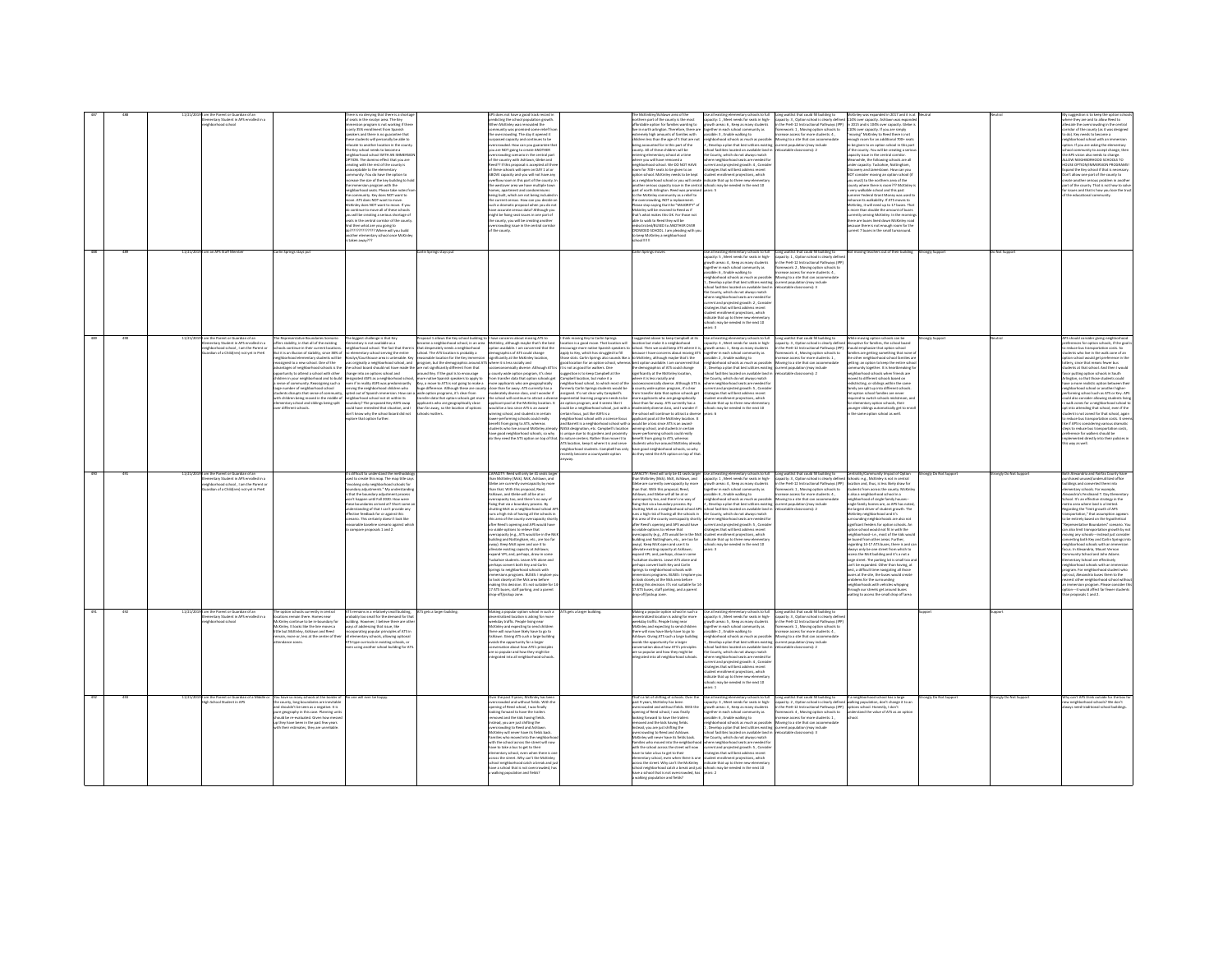|     | ventary Student in APS enrolled in a<br>corbe boodstate<br>m an APS Staff Memb                                                                                           | seats in the rosslyn area. The Key<br>why 95% providenced from Snanish<br>e Key school needs to become a<br>ceptable to the elementary<br>mmersion program with the<br>d then what are you going to<br>aken away???<br>arlın Springs stays pu                                                                                                                                                                                                                                                                                                                                                                                                                                                                                                                                        | e is no denying that there is a sho<br>ersion program is not working if ther<br>ly aasv ennoument morn aparrom<br>kers and there is no guarantee that<br>is students will personally be able to<br>cate to another location in the count<br>thood school WITH AN IMMERS<br>.<br>TION. The domino effect that you are<br>rating with the rest of the county is<br>nunity. You do have the option to<br>ase the size of the key building to<br>phorhood seats. Please take notes<br>munity. Key does NOT want to<br>community. Key does NOT want to<br>wi. ATS does NOT want to move.<br>Kinley does NOT want to move. If you<br>continue to move all of these school<br>ועון<br>איז של a serious shortage of וואז ני in the creating a serious shortage of<br>1222222222 Where will you build<br>other elementary school once McKink<br>.<br>rān Springs stays p                                                                                                                                                                                                                                                                                                                                                                                              | does not have a good track record<br>predicting the school population growth.<br>When McKinley was renovated the<br>munity was promised some relief from<br>overcrowding. The day it opened it<br>ssed capacity and continues to be<br>crowded. How can you eugrantee the<br>you are NOT going to create ANOTHER<br>our are very garaged a the central part<br>of the country with Ashlaum, Glebe and<br>Reed?? If this proposal is accepted all thre<br>of these schools will open on DAY 1 at or<br>-<br>ABOVE capacity and you will not have any<br>overflow room in this part of the county. I<br>he westover area we have multiple tow<br>homes, apartment and condominiums<br>ing built, which are not being included<br>the current census. How can you decide o<br>such a dramatic proposal when you do no<br>have accurate census data? Although you<br>mee accurate centuri salah Multigri you<br>might be foing seat issues in one part of<br>the county, you will be creating another<br>overcrowding issue in the central corrido<br>of the county. |                                                                                                                                                                                                                                                                                                                                                                                                                                                                                                                                                                                                                                                                                                                                                                                                                                                                                                                                              | rthern part of the county is the most<br>fordable option for families wanting to<br>e in north arington. Therefore, there as<br>dromate blob associate of freeling with<br>cres of familias with<br>ren less than the age of 5 that are not<br>being accounted for in this part of the<br>:ounty. All of these children will be<br>entering elementary school at a time<br>where you will have removed a<br>neighborhood school. We DO NOT HAVE<br>om for 700+ seats to be given to an<br>tion school. McKinley needs to be kept<br>a neighborhood school or γου will crei<br>inother serious capacity issue in the centri<br>aart of north Arlington. Reed was promises<br>the McKinley<br>unity as a rated to<br>tes to enter community as a reser to:<br>the overcrowding, NOT a replacement.<br>lease stop saying that the "MAJORITY" o<br>ckinley will be rezoned to Reed as if<br>hat's what makes this OK. For those not<br>ble to walk to Reed they will be<br>edischicted/BUSED to ANOTHER OVER<br>ROWDED SCHOOL, I am pleading with yo<br>keep McKinley a neighborhoo<br>rlin Springs move                | pacity: 1, Meet needs for seats in high-<br>wth areas: 6, Keep as many students<br>ther in each crhool community as<br>sible: 3, Enable walking to<br>thborhood schools as much as<br>Develop a plan that best utilizes existing<br>of facilities located on available land is<br>County, which do not always match<br>ere neighborhood seats are needed for<br>rent and projected growth: 4 , Conside<br>testes that will best address recent<br>dent enrollment projections, which<br>icate that up to three new elementa<br>ools may be needed in the next 10<br>ses: 5<br>Use all existing elementary schools to full<br>capacity: S , Meet needs for seats in high-                                                                                                                                                                                         | ong waitlist that could fill building to<br>inley was exp.<br>capacity: 3, Option school is clearly defined 114% over capacity. Ashlawn was expand<br>In the PreK-12 Instructional Pathways (IPP) in 2015 and is 104% over capacity. Glebe<br>amework: 1, Moving option schools to<br>crease access for more students: 4.<br>110% over capacity. If you are simply<br>'moving'' McKinky to Reed there is not<br>oving to a site that can accommodate<br>rrent population (may include<br>ocatable classrooms): 2<br>city issue in the central co<br>.<br>Aeanwhile, the following schools are all<br>inder capacity: Tuckahoe, Nottingham,<br>very walkable school and this past<br>Long waitlist that could fill building to<br>capacity: 1, Option school is clearly defin | ded in 2017 and it is a<br>n 2015 and is 104% over capacity. Glebe i<br>ugh room for an additional 700+ seat<br>to be eiven to an option school in this part<br>e county. You will be creating a seri-<br>overy and Jamestown. How can you<br>or consider moving an option school (<br>ou must) to the northern area of the<br>anty where there is room??? McKinley<br>ner Ferleral Grant Money was used t<br>since its walkability. If ATS moves to<br>Kinley, it will need up to 17 buses. The<br>Kinley, it will need up to 17 buses. The<br>more than double the amount of buses<br>rently serving McKinley. In the mornir<br>re are buses lined down McKinley roa<br>use there is not enough room for the<br>ent 7 buses in the small turnaround.<br>t moving teachers out of their building | ongly Supp              | Not Supp            | here they are and to allow Reed to<br>leviate the overcrowding in the central<br>midor of the county (as it was designe<br>ornoor or the county (as it was or<br>o do). Key needs to become a<br>seighborhood school with an imm<br>tion. If you are asking the elementary<br>munity to accept change, then<br>he APS vision also needs to change.<br>NLOW NEIGHBORHOOD SCHOOLS TO<br><b>IQUSE OPTION/IMMERSION PROGRAMS!</b><br>spand the Key school if that is necessary<br>on't allow one part of the county to<br>eate another serious problem in ans<br>art of the county. That is not how to solv<br>r issues and that is how you lose the tr<br><b>Lo culturational com</b>                                                                                                                                                                                                                                                                                                      |
|-----|--------------------------------------------------------------------------------------------------------------------------------------------------------------------------|--------------------------------------------------------------------------------------------------------------------------------------------------------------------------------------------------------------------------------------------------------------------------------------------------------------------------------------------------------------------------------------------------------------------------------------------------------------------------------------------------------------------------------------------------------------------------------------------------------------------------------------------------------------------------------------------------------------------------------------------------------------------------------------|--------------------------------------------------------------------------------------------------------------------------------------------------------------------------------------------------------------------------------------------------------------------------------------------------------------------------------------------------------------------------------------------------------------------------------------------------------------------------------------------------------------------------------------------------------------------------------------------------------------------------------------------------------------------------------------------------------------------------------------------------------------------------------------------------------------------------------------------------------------------------------------------------------------------------------------------------------------------------------------------------------------------------------------------------------------------------------------------------------------------------------------------------------------------------------------------------------------------------------------------------------------|------------------------------------------------------------------------------------------------------------------------------------------------------------------------------------------------------------------------------------------------------------------------------------------------------------------------------------------------------------------------------------------------------------------------------------------------------------------------------------------------------------------------------------------------------------------------------------------------------------------------------------------------------------------------------------------------------------------------------------------------------------------------------------------------------------------------------------------------------------------------------------------------------------------------------------------------------------------------------------------------------------------------------------------------------------------|----------------------------------------------------------------------------------------------------------------------------------------------------------------------------------------------------------------------------------------------------------------------------------------------------------------------------------------------------------------------------------------------------------------------------------------------------------------------------------------------------------------------------------------------------------------------------------------------------------------------------------------------------------------------------------------------------------------------------------------------------------------------------------------------------------------------------------------------------------------------------------------------------------------------------------------------|---------------------------------------------------------------------------------------------------------------------------------------------------------------------------------------------------------------------------------------------------------------------------------------------------------------------------------------------------------------------------------------------------------------------------------------------------------------------------------------------------------------------------------------------------------------------------------------------------------------------------------------------------------------------------------------------------------------------------------------------------------------------------------------------------------------------------------------------------------------------------------------------------------------------------------------------------------------------------------------------------------------------------------------------------------------------------------------------------------------------|------------------------------------------------------------------------------------------------------------------------------------------------------------------------------------------------------------------------------------------------------------------------------------------------------------------------------------------------------------------------------------------------------------------------------------------------------------------------------------------------------------------------------------------------------------------------------------------------------------------------------------------------------------------------------------------------------------------------------------------------------------------------------------------------------------------------------------------------------------------|------------------------------------------------------------------------------------------------------------------------------------------------------------------------------------------------------------------------------------------------------------------------------------------------------------------------------------------------------------------------------------------------------------------------------------------------------------------------------------------------------------------------------------------------------------------------------------------------------------------------------------------------------------------------------------------------------------------------------------------------------------------------------|---------------------------------------------------------------------------------------------------------------------------------------------------------------------------------------------------------------------------------------------------------------------------------------------------------------------------------------------------------------------------------------------------------------------------------------------------------------------------------------------------------------------------------------------------------------------------------------------------------------------------------------------------------------------------------------------------------------------------------------------------------------------------------------------------|-------------------------|---------------------|-----------------------------------------------------------------------------------------------------------------------------------------------------------------------------------------------------------------------------------------------------------------------------------------------------------------------------------------------------------------------------------------------------------------------------------------------------------------------------------------------------------------------------------------------------------------------------------------------------------------------------------------------------------------------------------------------------------------------------------------------------------------------------------------------------------------------------------------------------------------------------------------------------------------------------------------------------------------------------------------|
|     |                                                                                                                                                                          |                                                                                                                                                                                                                                                                                                                                                                                                                                                                                                                                                                                                                                                                                                                                                                                      |                                                                                                                                                                                                                                                                                                                                                                                                                                                                                                                                                                                                                                                                                                                                                                                                                                                                                                                                                                                                                                                                                                                                                                                                                                                              |                                                                                                                                                                                                                                                                                                                                                                                                                                                                                                                                                                                                                                                                                                                                                                                                                                                                                                                                                                                                                                                                  |                                                                                                                                                                                                                                                                                                                                                                                                                                                                                                                                                                                                                                                                                                                                                                                                                                                                                                                                              |                                                                                                                                                                                                                                                                                                                                                                                                                                                                                                                                                                                                                                                                                                                                                                                                                                                                                                                                                                                                                                                                                                                     | rrowth areas: 4 . Keep as many students<br>ther in each school con<br>sa yifinur<br>ible: 6, Enable walking to<br>righborhood schools as much as possible:<br>Develop a plan that best utilizes existing current population (may include<br>ol facilities located on available land in<br>County, which do not always match<br>ere neighborhood seats are needed f<br>rent and projected growth: 2, Conside<br>desies that will best address recent<br>dent enrollment projections, which<br>Ecate that up to three new elementa<br>ools may be needed in the next 10                                                                                                                                                                                                                                                                                            | in the PreK-12 Instructional Pathways (IP)<br>amework: 2 , Moving option schools to<br>crease access for more students: 4 ,<br>Moving to a site that can accommodate<br>locatable classrooms): 3                                                                                                                                                                                                                                                                                                                                                                                                                                                                                                                                                                             |                                                                                                                                                                                                                                                                                                                                                                                                                                                                                                                                                                                                                                                                                                                                                                                                   |                         |                     |                                                                                                                                                                                                                                                                                                                                                                                                                                                                                                                                                                                                                                                                                                                                                                                                                                                                                                                                                                                         |
|     | 11/21/2<br>l am the Parent or Guardian of an<br>Elementary Student in APS enrolled in a<br>ehborhood school . I am the Parent or<br>dian of a Childfren) not vet in Pref | The biggest challenge is that Key<br>The Representative Boundaries Scenario<br>offers stability, in that all of the existing<br>intary is not available as a<br>hools continue in their current location<br>but it is an illusion of stability since 18% of<br>righborhood elementary students will be<br>rassigned to a new school. One of the<br>vantages of neighborhood schools is the<br>ortunity to attend a school with other<br>hange into an options school and<br>idren in your neighborhood and to build<br>ense of community. Reassigning such a<br>loorlaa boorlodrigien ha vedmun egya<br>ents disrupts that sense of communi<br>th children haine mount in the middle a<br>entary school and siblings being split<br>er different schools.<br>ore that ordina further | Proposal 1 allows the Key school building to 1 have concerns about moving ATS to<br>become a neighborhood school, in an area McKinley, although maybe that's the best<br>eighborhood school. The fact that there<br>that desperately needs a neighborhood<br>implementary school in extra unit of the last section and process are determined to the construct of the constr<br>Interference area is unterstate. Key reasonable location for the Key immersion significantly at the McKinky lo<br>around Key. If the goal is to encourage<br>esignated ASFS as a neighborhood schoo<br>ven if in reality ASFS was predominantly<br>more native Spanish speakers to apply to<br>Key, a move to ATS is not going to make a<br>ving the neighborhood children who<br>huge difference. Although these are cour<br>ted out of Spanish immersion. How can<br>wide option programs, it's clear from<br>transfer data that option schools eet mor<br>ati nidtiar tia ton londaa haa<br>dary? The proposed Key-ASFS swap<br>we were data that opoon scriptis get more<br>applicants who are geographically close<br>than far away, so the location of options<br>ould have remedied that situation, and I<br>in't know why the school board did not<br>hools matters. | option available. I am concerned that the<br>ioeconomically diverse. Although ATS is<br>county wide option program, it's clear<br>transfer data that option schools get<br>e applicants who are geographically<br>ose than far away. ATS currently has a<br>erately diverse class, and I wonder if<br>the school will continue to attract a dise<br>ant pool at the McKinley location. It<br>would be a loss since ATS is an award-<br>nning school, and students in certain<br>wer-performing schools could really<br>nefit from going to ATS, whereas<br>lents who live around McKinley air<br>have good neighborhood schools, so why<br>do they need the ATS option on top of that.                                                                                                                                                                                                                                                                                                                                                                           | think moving Key to Carlin Springs<br>ocation is a good move. That location will<br>oly to Key, which has struggled to fill<br>hose slots. Carlin Springs also sounds like a<br>pod location for an option school, whereas<br>is not as good for walkers. One<br>and ta liverance care in reitzare<br>mpbell location, but make it a<br>shorhood school, to which most of the<br>verly Carlin Springs students would be<br>imed. It's not clear why Campbell's<br>seriential learning program needs to be<br>option program, and it seems like it<br>uld be a neighborhood school, just with a<br>rtain focus, just like ASFS is a<br>ghborhood school with a science focus<br>gnoomood school with a science focus<br>d Barrett is a neighborhood school with a<br>SA designation, etc. Campbell's location<br>mique due to its eardens and proximity<br>ature centers. Rather than move it to<br>S location, keep it where it is and serve | courage more native Spanish speakers to school. Then we could keep ATS where it is<br>because I have concerns about moving ATS<br>McKinley, although maybe that's the<br>est option available. I am concerned that<br>he demographics of ATS could change<br>imiticantly at the McKinley location<br>sere it is less racially and<br>cioeconomically diverse. Although ATS is<br>unty wide option program, it's clear<br>n transfer data that option schools and<br>ore applicants who are geographically<br>see than far away. ATS currently has a<br>oderately diverse class, and I wonder if<br>he school will continue to attract a divers<br>policient pool at the McKinley location. It<br>could be a loss since ATS is an award-<br>inning school, and students in certain<br>wer-performing schools could really<br>nefit from spins to ATS, whereas<br>dents who live around McKinley aire<br>ighborhood students. Campbell has only have good neighborhood schools, so why<br>sently become a countywide option do they need the ATS option on top of that                                                | I suggested above to keep Campbell at its Use all existing elementary schools to full Long waitlist that could fill building to<br>location but make it a neighborhood capacity: 4, Meet needs for seats in high-capacity: 3, Opt<br>rrowth areas: 1 . Keep as many students<br>eether in each school community as<br>sible: 2, Enable walking to<br>.<br>nighborhood schools as much as possible: Moving to a site that can accomm<br>, Develop a plan that best utilizes existing current population (may include<br>ool facilities located on available land is<br>County, which do not always match<br>re neighborhood seats are needed f<br>rent and projected growth: S, Conside<br>degies that will best address recent<br>udent enrollment projections, which<br>dicate that up to three new elementa<br>schools may be needed in the next 10<br>ears: 6 | While moving option schools can be<br>disruptive for families, the school board<br>in the PreK-12 Instructional Pathways (IPP)<br>should emphasize that option school<br>amework: 4 . Moving option schools to<br>ease access for more students: 1<br>other neighb<br>Moving to a site that can accommodate<br>ocatable classrooms): 2<br>eighborhood schools when friends are<br>amily are split up into different schools<br>option school families are never                                                                                                                                                                                                                                                                                                              | emilies are eetting something that none<br>orhood school families a<br>getting: an option to keep the entire schoe<br>sunity together. It is heartbreaking fo<br>ed to different schools based on<br>stricting, or siblings within the same<br>ired to switch schools midstream a<br>ementary option schools, their<br>sunger siblings automatically get to enro<br>the same option school as well.                                                                                                                                                                                                                                                                                                                                                                                               | <b>Strongly Support</b> | utral               | APS should consider giving neighborhood<br>preferences for option schools, if the goal<br>reduce bus transportation costs. So<br>lents who live in the walk zone of an<br>on school would get preference in th<br>ttery, since that means fewer bus<br>wdents at that school. And then I would<br>vor putting option schools in South<br>rington, so that those students could<br>ave a more realistic option between th<br>ighborhood school or another higher-<br>orming school such as ATS or Key, AP5<br>suld also consider allowing students I<br>walk zones for a neighborhood scho<br>opt into attending that school, even if the<br>udent is not zoned for that school, again<br>susem is not some set our scribb, agent<br>lie if APS is considering various dramatic<br>teps to reduce bus transportation costs,<br>reference for walkers should be<br>plemented directly into their policies is<br>way as well.                                                              |
|     | m the Parent or Guardian of an<br>entary Student in APS enrolled in<br>Northeast school 1 am the Darent a<br><b>Sun of a Child(ren) not yet in Pri</b>                   | difficult to understand the me<br>npare proposals 1 and 2.                                                                                                                                                                                                                                                                                                                                                                                                                                                                                                                                                                                                                                                                                                                           | d to create this map. The map title say<br>ving only neighborhood schools for<br>wawing only neighborhood scribos for<br>undery adjustments." My understandin<br>that the boundary adjustment process<br>on't happen until Fall 2020. How were<br>se boundaries arrived at? Short some<br>lerstanding of that I can't provide any<br>tive feedback for or against this<br>nario. This certainly doesn't look like<br>nahla haseline srenarin aeainst whi                                                                                                                                                                                                                                                                                                                                                                                                                                                                                                                                                                                                                                                                                                                                                                                                     | CAPACITY: Reed will only be 41 seats large<br>han McKinley (Mck). McK, Ashlawn, and<br>Glebe are currently overcapacity by more<br>than that. With this proposal, Reed,<br>Ashlawn, and Glebe will all be at or<br>rcapacity too, and there's no way of<br>beecapacity loo, and trees and way of<br>fixing that via a boundary process. By<br>shutting McK as a neighborhood school AP<br>runs a high risk of having all the schools in<br>his area of the county overcapacity short<br>after Reed's opening and APS would have<br>no viable options to relieve that<br>svercapacity (e.g., ATS would be in the McI<br>building and Nottingham, etc., are too far<br>way). Keep McK coen and use it to<br>eviate existing capacity at Ashlawn<br>pand VPI; and, perhaps, draw in so<br>ckahoe students. Leave ATS alone an<br>rhaps convert both Key and Carlin<br>rings to neighborhood schools with<br>entersions programs. BUSES: I implore<br>b look closely at the Mck area before<br>saking this decision. It's not suitable for 1-                        |                                                                                                                                                                                                                                                                                                                                                                                                                                                                                                                                                                                                                                                                                                                                                                                                                                                                                                                                              | APACITY: Reed will only be 41 seats larger<br>han McKinley (Mck). McK, Ashlawn, and<br>the are currently overcapacity by more<br>iebe are currently overcapacity by<br>ian that. With this proposal, Reed,<br>shlawn, and Glebe will all be at or<br>ercapacity too, and there's no way of<br>being that via a boundary process. By<br>hutting McK as a neighborhood school APS<br>uns a high risk of having all the schools in<br>is area of the county overcapacity shortly<br>Iter Reed's opening and APS would have<br>viable optic<br>viable options to relieve that<br>ercapacity (e.g., ATS would be in the McI<br>ilding and Nottingham, etc., are too far<br>way). Keep McK open and use it to<br>iate existing ranarity at Ashlawn-<br>pand VPI; and, perhaps, draw in so<br>ckahoe students. Leave ATS alone and<br>rhaps convert both Key and Carlin<br>the doods boothpother at senite<br>-<br>Imersions programs. BUSES: I implore to<br>I look closely at the Mck area before<br>saking this decision. It's not suitable for 1<br>17 ATS buses, staff parking, and a parent<br>frop-off/pickup zone. | Use all existing elementary schools to full<br>capacity: 1 , Meet needs for seats in high-<br>wth areas: 4 . Keep as many student<br>ether in each school community as<br>sible: 6 , Enable walking to<br>eighborhood schools as much as possible<br>.<br>Develop a plan that best utilizes existin<br>the County, which do not always match<br>here neighborhood seats are needed for<br>rrent and projected arowth: S. Consid-<br>tegies that will best address recent<br>tudent enrollment projections, which<br>ndicate that up to three new elementar<br>ools may be needed in the next 10<br>$F \rightarrow \infty$                                                                                                                                                                                                                                        | Long waitlist that could fill building to<br>capacity: 3 , Option school is clearly define<br>hools: e.g., McKinley is not in central<br>the PreK-12 Instructional Pathways (IPP)<br>nework: 1 , Moving option schools to<br>ease access for more students: 4 ,<br>tudents from across the county. McKin<br>Lalso a neighborhood school in a<br>Moving to a site that can accommodate<br>neighborhood of single family houses-<br>rent population (may include<br>ocatable classrooms): 2<br>imificant feeders for option schools. A<br>bused from other areas. Further,<br>est, a difficult time navigating all those<br>dolems for the surrounding<br>eighborhoods with whicles whipping                                                                                   | mmunity Impact of Option<br>ation and thus is loss likely draw for<br>ingle family homes are, as APS has noted,<br>the largest driver of student growth. The<br>Ackinley neighborhood and it's<br>ounding neighborhoods are also not<br>on school would not fit in with the<br>ighborhood-i.e., most of the kids wou<br>egarding 14-17 ATS buses, there is and ca<br>s neiu ha nea straat from which to<br>iss the McK building and it's a not a<br>arge street. The parking lot is small too a<br>n't be expanded. Other than having, at<br>ses at the site, the buses would create<br>rough our streets get around buses<br>aiting to access the small drop off area                                                                                                                            | onely Do Not Support    | ongly Do Not Suppor | oth Alexandria and Fairfax County have<br>chased unused/underutilized office<br>dines and converted them into<br>nentary schools. For example,<br>andria's Ferdinand T. Day Elen<br>thool. It's an effective strategy in the<br>executive and is a limited.<br>Instruction of the "limit growth of APS"<br>sportation," that assumption appea<br>o be entirely based on the hypothetical<br>presentative Boundaries" scenario. Yo<br>also limit transportation growth by n<br>oving any schools---instead just conside<br>inverting both Key and Carlin Springs in<br>rishborhood schools with an imm<br>to in Alexandria Mount Vernon<br>munity School and John Adams<br>nentary School are effectively<br>ighborhood schools with an immersic<br>sram. For neighborhood student who<br>opt-out, Alexandria buses them to the<br>rarest other neighborhood school wit<br>n immersion program. Please consider th<br>ption-it would affect far fewer students<br>han proposals 1 and 2. |
|     | am the Parent or Guardian of an<br>11/21/2<br>entary Student in APS enrolled in a<br>debastimast school                                                                  | The option schools currently in central<br>ations remain there. Homes near<br>Kinlay continue to be in houndary for<br>ckinwy continue to be in-ocurrowry to<br>cKinley. It looks like the line moves a<br>tle but McKinley, Ashlawn and Reed<br>main, more or, less at the center of their                                                                                                                                                                                                                                                                                                                                                                                                                                                                                          | ATS gets a larger building.<br>S remains in a relatively small building,<br>bably too small for the demand for the<br>iding, However, I believe there are oth<br>lding, However, I believe there are oth<br>pys of addressing that issue, like<br>corporating popular principles of ATS in<br>lementary schools, allowing optional<br>-<br>S-type curricula in existing schools, or<br>en using another school building for AT                                                                                                                                                                                                                                                                                                                                                                                                                                                                                                                                                                                                                                                                                                                                                                                                                               | Making a popular option school in such a<br>entralized location is asking for more<br>eventures to exact it awing no more<br>delight traffic. People living near<br>here will now have likely have to go to<br>hlawn, Givine ATS such a large building<br>voids the opportunity for a larger<br>onversation about how ATS's prin<br>are so popular and how they might be<br>integrated into all neighborhood schoo                                                                                                                                                                                                                                                                                                                                                                                                                                                                                                                                                                                                                                               | ATS gets a larger building.                                                                                                                                                                                                                                                                                                                                                                                                                                                                                                                                                                                                                                                                                                                                                                                                                                                                                                                  | Making a popular option school in such a<br>pentralized location is asking for more<br>economics is consumed to all the more<br>interesting and expecting to send children<br>there will now have likely have to go to<br>hlawn, Givine ATS such a large building<br>voids the opportunity for a larger<br>onversation about how ATS's princip<br>ire so popular and how they might be<br>ntegrated into all neighborhood school                                                                                                                                                                                                                                                                                                                                                                                                                                                                                                                                                                                                                                                                                    | all existing elementary schools to full<br>pacity: 6 . Meet needs for seats in high-<br>ouchy, o , were reveal for east or representation<br>pether in each school community as<br>sable: 2 , Enable walking to<br>ighborhood schools as much as possibl<br>welco a plan that best utilizes existin<br>col facilities located on available land<br>County, which do not always match<br>ere neighborhood seats are needed fo<br>rent and projected erowth: 4. Consid-<br>tegies that will best address recent<br>fent enrollment projections, which<br>dicate that up to three new elementar<br>ools may be needed in the next 10<br>in 4                                                                                                                                                                                                                        | Long waitlist that could fill building to<br>apacity: 3, Option school is clearly defin<br>n the Dreft, 12 Instructional Dathways (ID)<br>ework: 1, Moving option schools to<br>use access for more students: 4<br>loving to a site that can accommodate                                                                                                                                                                                                                                                                                                                                                                                                                                                                                                                     |                                                                                                                                                                                                                                                                                                                                                                                                                                                                                                                                                                                                                                                                                                                                                                                                   |                         |                     |                                                                                                                                                                                                                                                                                                                                                                                                                                                                                                                                                                                                                                                                                                                                                                                                                                                                                                                                                                                         |
| 493 | 11/21/20<br>I am the Parent or Guardian of a Middle or<br>th School Student in APS                                                                                       | You have so many schools at the border of<br>No one will ever be happy<br>he county, long boundaries are inevitabl<br>n county, neg counternes are memore<br>nd shouldn't be seen as a negative. It is<br>ure geography in this case. Planning uni<br>Id be re-evaluated. Given how mess<br>o they have been in the past few years<br>their actimates they are immediable                                                                                                                                                                                                                                                                                                                                                                                                            |                                                                                                                                                                                                                                                                                                                                                                                                                                                                                                                                                                                                                                                                                                                                                                                                                                                                                                                                                                                                                                                                                                                                                                                                                                                              | Over the past 9 years, McKinley has been<br>crowded and without fields. With th<br>ing of Reed school. I was finally<br>ing forward to have the trailer<br>aved and the kids having fields.<br>tead, you are just shifting the<br>ding to Reed and Ashlawn<br>Kinley will never have its fields back<br>siles who moved into the neighbor<br>with the school across the street will no<br>have to take a bus to get to their<br>ool neighborhood catch a break and jus<br>have a school that is not overcri-<br>inn and fields?                                                                                                                                                                                                                                                                                                                                                                                                                                                                                                                                  |                                                                                                                                                                                                                                                                                                                                                                                                                                                                                                                                                                                                                                                                                                                                                                                                                                                                                                                                              | hat's a lot of shifting of schools. Over the<br>sast 9 years. McKinley has been<br>wded and without fields. With the<br>ning of Reed school, I was finally<br>sking forward to have the trailers<br>oved and the kids having fields.<br>tead, you are just shifting the<br>rcrowding to Reed and Ashlawn.<br>Kinley will never have its fields back.<br>miles who moved into the neighbor<br>th the school across the street will now<br>ave to take a bus to get to their<br>lementary school, even when there is on<br>iss the street. Why can't the McKinley<br>hool neighborhood catch a break and ju<br>are a school that is not owners<br>railting population and fields?                                                                                                                                                                                                                                                                                                                                                                                                                                     | Use all existing elementary schools to full<br>capacity: 3 , Meet needs for seats in high-<br>ouchy, a , week reeds to rewar in region<br>pether in each school community as<br>soble: 6 , Enable walking to<br>eighborhood schools as much as possibl<br>Develop a plan that best utilizes existing<br>rrant none<br>nool facilities located on available land is<br>county, which do not always match<br>ere neighborhood seats are needed fo<br>rrent and projected growth: S. Conside<br>strategies that will best address recent<br>student enrollment projections, which<br>indicate that up to three new elementary<br>ools may be needed in the next 10<br>$-2$                                                                                                                                                                                          | Long waitlist that could fill building to fill a neighborhood school has a large<br>capacity: 2 , Option school is clearly defined walking population, don't change it to an<br>$The result, a, you have a number of members of the first 1000. The first 2000. The first 3000. The first 4000. The first 4000. The first 4000. The first 4000. The first 4000. The first 4000. The first 4000. The first 4000. The first 4000. The first 4000. The second 4000. The second 4000. The second 4000. The second 4000. The second 4000. The second 4000. The second 4000. The second 4000. The second 4000. The second 4000. The second 4000. The second 4000. The second 4000.$<br>Movine to a site that can accommodate<br>catable classrooms): 3                             |                                                                                                                                                                                                                                                                                                                                                                                                                                                                                                                                                                                                                                                                                                                                                                                                   | mely Do Not Support     | angly Do Not Suppor | Why can't APS think outside for the box f<br>ew neighborhood schools? We don't<br>and the additional columns building                                                                                                                                                                                                                                                                                                                                                                                                                                                                                                                                                                                                                                                                                                                                                                                                                                                                   |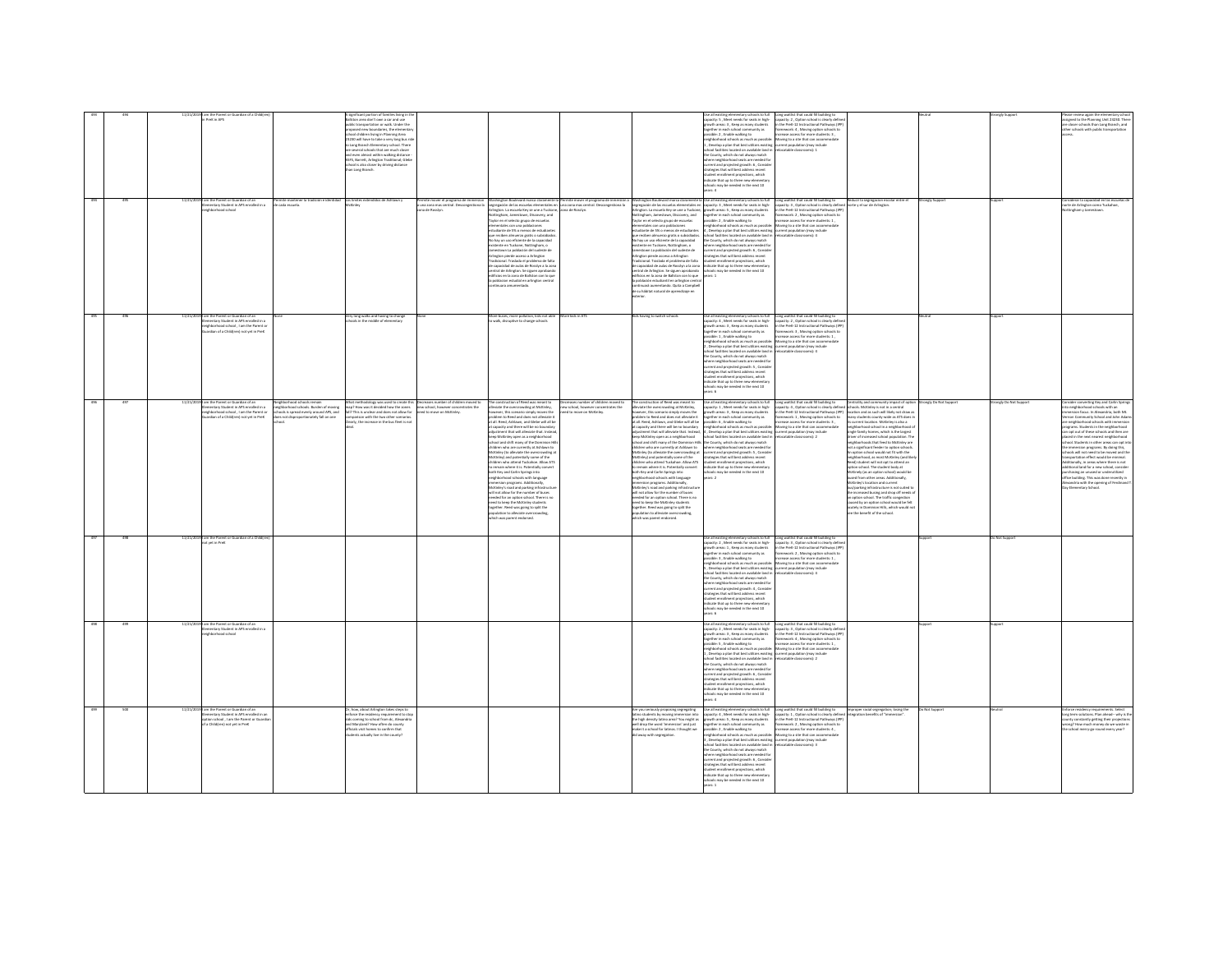|     |     |            |                                                                                     |                                                                           |                                                                                                                                   |                                                                            |                                                                                                                                                                                                                                               |                                                                          |                                                                                                                                                                                                                                               | e all existing elementary schools to ful                                                                                                                                                                                           | Long waitlist that could fill building to                                                                                                                                                    |                                                                                                                           |                      | ingly Sup             |                                                                                                                                                                            |
|-----|-----|------------|-------------------------------------------------------------------------------------|---------------------------------------------------------------------------|-----------------------------------------------------------------------------------------------------------------------------------|----------------------------------------------------------------------------|-----------------------------------------------------------------------------------------------------------------------------------------------------------------------------------------------------------------------------------------------|--------------------------------------------------------------------------|-----------------------------------------------------------------------------------------------------------------------------------------------------------------------------------------------------------------------------------------------|------------------------------------------------------------------------------------------------------------------------------------------------------------------------------------------------------------------------------------|----------------------------------------------------------------------------------------------------------------------------------------------------------------------------------------------|---------------------------------------------------------------------------------------------------------------------------|----------------------|-----------------------|----------------------------------------------------------------------------------------------------------------------------------------------------------------------------|
|     |     |            | PreK in APS                                                                         |                                                                           | ston area don't own a car and use<br>sublic transportation or walk. Under the                                                     |                                                                            |                                                                                                                                                                                                                                               |                                                                          |                                                                                                                                                                                                                                               | apacity: S , Meet needs for seats in high-<br>rowth areas: 3, Keep as many students                                                                                                                                                | capacity: 2, Option school is clearly define<br>in the PreK-12 Instructional Pathways (IPF                                                                                                   |                                                                                                                           |                      |                       | assigned to the Planning Unit 23230. There<br>are closer schools than Long Branch, and                                                                                     |
|     |     |            |                                                                                     |                                                                           | nsert new houndaries the element                                                                                                  |                                                                            |                                                                                                                                                                                                                                               |                                                                          |                                                                                                                                                                                                                                               | pether in each school community as                                                                                                                                                                                                 | .<br>Iramework: 4 , Moving option schools to<br>ncrease access for more students: 3 .                                                                                                        |                                                                                                                           |                      |                       | ther schools with public transportation                                                                                                                                    |
|     |     |            |                                                                                     |                                                                           | ropowa new ocunowies, the elements<br>chool children living in Planning Area<br>15230 will have to take a very long bus ri        |                                                                            |                                                                                                                                                                                                                                               |                                                                          |                                                                                                                                                                                                                                               | gemer in each school community as<br>ssible: 2 , Enable walking to<br>ighborhood schools as much as possible                                                                                                                       | Aoving to a site that can accom                                                                                                                                                              |                                                                                                                           |                      |                       |                                                                                                                                                                            |
|     |     |            |                                                                                     |                                                                           | Long Branch Elementary school. There                                                                                              |                                                                            |                                                                                                                                                                                                                                               |                                                                          |                                                                                                                                                                                                                                               | Develop a plan that best utilizes existing current population (may include                                                                                                                                                         |                                                                                                                                                                                              |                                                                                                                           |                      |                       |                                                                                                                                                                            |
|     |     |            |                                                                                     |                                                                           | several schools that are much closer<br>d even almost within walking distance                                                     |                                                                            |                                                                                                                                                                                                                                               |                                                                          |                                                                                                                                                                                                                                               | ol facilities located on available land in<br>County, which do not always match                                                                                                                                                    | relocatable classrooms): 2                                                                                                                                                                   |                                                                                                                           |                      |                       |                                                                                                                                                                            |
|     |     |            |                                                                                     |                                                                           |                                                                                                                                   |                                                                            |                                                                                                                                                                                                                                               |                                                                          |                                                                                                                                                                                                                                               |                                                                                                                                                                                                                                    |                                                                                                                                                                                              |                                                                                                                           |                      |                       |                                                                                                                                                                            |
|     |     |            |                                                                                     |                                                                           | and even aimost within waiong distance<br>ASFS, Barrett, Arlington Traditional; Gleb<br>ichool is also closer by driving distance |                                                                            |                                                                                                                                                                                                                                               |                                                                          |                                                                                                                                                                                                                                               | here neighborhood seats are needed fo<br>rrent and projected growth: 6, Conside                                                                                                                                                    |                                                                                                                                                                                              |                                                                                                                           |                      |                       |                                                                                                                                                                            |
|     |     |            |                                                                                     |                                                                           | han Long Branch.                                                                                                                  |                                                                            |                                                                                                                                                                                                                                               |                                                                          |                                                                                                                                                                                                                                               | trategies that will best address recent                                                                                                                                                                                            |                                                                                                                                                                                              |                                                                                                                           |                      |                       |                                                                                                                                                                            |
|     |     |            |                                                                                     |                                                                           |                                                                                                                                   |                                                                            |                                                                                                                                                                                                                                               |                                                                          |                                                                                                                                                                                                                                               | udent enrollment projections, which<br>dicate that up to three new elementar<br>hools may be needed in the next 10                                                                                                                 |                                                                                                                                                                                              |                                                                                                                           |                      |                       |                                                                                                                                                                            |
|     |     |            |                                                                                     |                                                                           |                                                                                                                                   |                                                                            |                                                                                                                                                                                                                                               |                                                                          |                                                                                                                                                                                                                                               |                                                                                                                                                                                                                                    |                                                                                                                                                                                              |                                                                                                                           |                      |                       |                                                                                                                                                                            |
|     |     |            |                                                                                     |                                                                           |                                                                                                                                   |                                                                            |                                                                                                                                                                                                                                               |                                                                          |                                                                                                                                                                                                                                               |                                                                                                                                                                                                                                    |                                                                                                                                                                                              |                                                                                                                           |                      |                       |                                                                                                                                                                            |
|     |     |            | am the Parent or Guardian of an<br>Jementary Student in APS enrolled in a           | rmite mante<br>: cada escuela                                             |                                                                                                                                   | ermite mover el programa de immersi<br>una zona mas central. Descongestion | Washington Boulevard marca claramente la Permite mover el programa de inmersi<br>segregación de las escuelas elementales en una zona mas central. Descongestiona<br>Arlington. La escuela Key se une a Tuckone, zona de Rosslyn.              |                                                                          | Washington Boulevard marca claramente I<br>agregación de las escuelas elementales er<br>Arlington. La escuela Key se une a Tuckone                                                                                                            | ie all existing elementary schools to full<br>pacity: 3 , Meet needs for seats in high-<br>owth areas: 5 , Keep as many students                                                                                                   | Long waitlist that could fil building to Reducir la segregacion escapacity: 3 , Option school is clearly defined morte y el sur de Arlington<br>In the PreK-12 Instructional Pathways (IPP)  |                                                                                                                           |                      |                       | onsiderar la capacidad en las esc<br>orte de Arlington como Tuckahoe                                                                                                       |
|     |     |            | hbarhoad school                                                                     |                                                                           |                                                                                                                                   | a de Rossiyn.                                                              |                                                                                                                                                                                                                                               |                                                                          |                                                                                                                                                                                                                                               |                                                                                                                                                                                                                                    |                                                                                                                                                                                              |                                                                                                                           |                      |                       | tingham y Jamestown                                                                                                                                                        |
|     |     |            |                                                                                     |                                                                           |                                                                                                                                   |                                                                            | Nottingham, Jamestown, Discovery, and<br>Taylor en el selecto grupo de escuelas                                                                                                                                                               |                                                                          | Vottingham, Jamestown, Discovery, and<br>laylor en el selecto grupo de escuelas                                                                                                                                                               | prether in each school community as<br>ssible: 2 . Enable walking to                                                                                                                                                               | framework: 2 . Moving option schools to<br>crease access for more students: 1.                                                                                                               |                                                                                                                           |                      |                       |                                                                                                                                                                            |
|     |     |            |                                                                                     |                                                                           |                                                                                                                                   |                                                                            |                                                                                                                                                                                                                                               |                                                                          |                                                                                                                                                                                                                                               |                                                                                                                                                                                                                                    |                                                                                                                                                                                              |                                                                                                                           |                      |                       |                                                                                                                                                                            |
|     |     |            |                                                                                     |                                                                           |                                                                                                                                   |                                                                            | mentales con una poblaciones<br>udiante de 5% o menos de estudia                                                                                                                                                                              |                                                                          | mentales con una poblaciones<br>udiante de 5% o menos de estudiantes                                                                                                                                                                          | essence. 4, camere meanus our as possible: Moving to a site that can accomm<br>(ghborhood schools as much as possible: Moving to a site that can accomm<br>hool facilities located on available land in relocatable classrooms): 4 |                                                                                                                                                                                              |                                                                                                                           |                      |                       |                                                                                                                                                                            |
|     |     |            |                                                                                     |                                                                           |                                                                                                                                   |                                                                            | que reciben almuerzo gratis o subsidiado<br>No hay un uso eficiente de la capacidad                                                                                                                                                           |                                                                          | reciben almuerzo gratis o subsidiados<br>lo hay un uso eficiente de la capacidad                                                                                                                                                              | the County, which do not always match                                                                                                                                                                                              |                                                                                                                                                                                              |                                                                                                                           |                      |                       |                                                                                                                                                                            |
|     |     |            |                                                                                     |                                                                           |                                                                                                                                   |                                                                            |                                                                                                                                                                                                                                               |                                                                          |                                                                                                                                                                                                                                               |                                                                                                                                                                                                                                    |                                                                                                                                                                                              |                                                                                                                           |                      |                       |                                                                                                                                                                            |
|     |     |            |                                                                                     |                                                                           |                                                                                                                                   |                                                                            |                                                                                                                                                                                                                                               |                                                                          |                                                                                                                                                                                                                                               |                                                                                                                                                                                                                                    |                                                                                                                                                                                              |                                                                                                                           |                      |                       |                                                                                                                                                                            |
|     |     |            |                                                                                     |                                                                           |                                                                                                                                   |                                                                            |                                                                                                                                                                                                                                               |                                                                          |                                                                                                                                                                                                                                               | one country, when we maintenance in<br>the consideration of seats are needed for<br>current and projected growth: 6 , Consider<br>student enrollment projections, which                                                            |                                                                                                                                                                                              |                                                                                                                           |                      |                       |                                                                                                                                                                            |
|     |     |            |                                                                                     |                                                                           |                                                                                                                                   |                                                                            | No hay un uso eficiente de la capacidad<br>coistente en Tuckone, Notilingham, o<br>Jamestown La población del sudeste de<br>Arlington pierde acceiso a Arlington<br>Tradicional. Tradada el problema de falta<br>de capacidad de aulas de Ros |                                                                          | No hay un uso eticiente de la capacidia<br>existente en Tuckone, Nottingham, o<br>Jamestown La población del sudeste de<br>Arlington pierde acceiso a Arlington<br>Tradicional. Traslada el problema de falta<br>de capacidad de aulas de Ros | dicate that up to three new elementary                                                                                                                                                                                             |                                                                                                                                                                                              |                                                                                                                           |                      |                       |                                                                                                                                                                            |
|     |     |            |                                                                                     |                                                                           |                                                                                                                                   |                                                                            | .<br>ntral de Arlington. Se siguen aproband<br>Bficios en la zona de Ballston con lo que                                                                                                                                                      |                                                                          | estral de Arlington. Se siguen aprobando<br>dificios en la zona de Ballston con lo que                                                                                                                                                        | hools may be needed in the next 10                                                                                                                                                                                                 |                                                                                                                                                                                              |                                                                                                                           |                      |                       |                                                                                                                                                                            |
|     |     |            |                                                                                     |                                                                           |                                                                                                                                   |                                                                            | poblacion estudial en arlington centra                                                                                                                                                                                                        |                                                                          | población estudiantil en arlington cent                                                                                                                                                                                                       |                                                                                                                                                                                                                                    |                                                                                                                                                                                              |                                                                                                                           |                      |                       |                                                                                                                                                                            |
|     |     |            |                                                                                     |                                                                           |                                                                                                                                   |                                                                            | nuara amumentado.                                                                                                                                                                                                                             |                                                                          | tinuará aumentando. Quita a Campbel<br>le su hábitat natural de aprendizaje e                                                                                                                                                                 |                                                                                                                                                                                                                                    |                                                                                                                                                                                              |                                                                                                                           |                      |                       |                                                                                                                                                                            |
|     |     |            |                                                                                     |                                                                           |                                                                                                                                   |                                                                            |                                                                                                                                                                                                                                               |                                                                          |                                                                                                                                                                                                                                               |                                                                                                                                                                                                                                    |                                                                                                                                                                                              |                                                                                                                           |                      |                       |                                                                                                                                                                            |
|     |     |            |                                                                                     |                                                                           |                                                                                                                                   |                                                                            |                                                                                                                                                                                                                                               |                                                                          |                                                                                                                                                                                                                                               |                                                                                                                                                                                                                                    |                                                                                                                                                                                              |                                                                                                                           |                      |                       |                                                                                                                                                                            |
|     |     |            |                                                                                     |                                                                           |                                                                                                                                   |                                                                            |                                                                                                                                                                                                                                               |                                                                          |                                                                                                                                                                                                                                               |                                                                                                                                                                                                                                    |                                                                                                                                                                                              |                                                                                                                           |                      |                       |                                                                                                                                                                            |
| 405 | 206 | 11/21/2019 | im the Parent or Guardian of an                                                     |                                                                           | /ery long walks and having to chang<br>chools in the middle of elementary                                                         |                                                                            | alds too also analysis announced and                                                                                                                                                                                                          | <b>ZTA</b> ni ahid sno.                                                  | <b>Gds having to switch schools</b>                                                                                                                                                                                                           | Ne all avisting plementary schools to full                                                                                                                                                                                         | Long waitlist that could fill building to                                                                                                                                                    |                                                                                                                           |                      |                       |                                                                                                                                                                            |
|     |     |            | entary Student in APS enrolled in a                                                 |                                                                           |                                                                                                                                   |                                                                            | walk, disruptive to change schools                                                                                                                                                                                                            |                                                                          |                                                                                                                                                                                                                                               | pacity: 4, Meet needs for seats in high-<br>owth areas: 3, Keep as many students                                                                                                                                                   | apacity: 2, Option school is clearly defin<br>in the PreK-12 Instructional Pathways (IP                                                                                                      |                                                                                                                           |                      |                       |                                                                                                                                                                            |
|     |     |            | ghborhood school , I am the Parent or<br>ardian of a Child(ren) not yet in PreK     |                                                                           |                                                                                                                                   |                                                                            |                                                                                                                                                                                                                                               |                                                                          |                                                                                                                                                                                                                                               | together in each school community as                                                                                                                                                                                               | framework: 3, Moving option schools to                                                                                                                                                       |                                                                                                                           |                      |                       |                                                                                                                                                                            |
|     |     |            |                                                                                     |                                                                           |                                                                                                                                   |                                                                            |                                                                                                                                                                                                                                               |                                                                          |                                                                                                                                                                                                                                               | sible: 1 Frable walking to:                                                                                                                                                                                                        | C-phosical access four more a students - 1                                                                                                                                                   |                                                                                                                           |                      |                       |                                                                                                                                                                            |
|     |     |            |                                                                                     |                                                                           |                                                                                                                                   |                                                                            |                                                                                                                                                                                                                                               |                                                                          |                                                                                                                                                                                                                                               | issieve: 1 , cruisee waiking to<br>righborhood schools as much as possible: Moving to a site that can accom<br>, Develop a plan that best utilizes existing current population (may include                                        |                                                                                                                                                                                              |                                                                                                                           |                      |                       |                                                                                                                                                                            |
|     |     |            |                                                                                     |                                                                           |                                                                                                                                   |                                                                            |                                                                                                                                                                                                                                               |                                                                          |                                                                                                                                                                                                                                               | chool facilities located on available land in relocatable classrooms): 4                                                                                                                                                           |                                                                                                                                                                                              |                                                                                                                           |                      |                       |                                                                                                                                                                            |
|     |     |            |                                                                                     |                                                                           |                                                                                                                                   |                                                                            |                                                                                                                                                                                                                                               |                                                                          |                                                                                                                                                                                                                                               | he County, which do not always match<br>whood seats are needed for                                                                                                                                                                 |                                                                                                                                                                                              |                                                                                                                           |                      |                       |                                                                                                                                                                            |
|     |     |            |                                                                                     |                                                                           |                                                                                                                                   |                                                                            |                                                                                                                                                                                                                                               |                                                                          |                                                                                                                                                                                                                                               | rent and projected growth: S., Conside                                                                                                                                                                                             |                                                                                                                                                                                              |                                                                                                                           |                      |                       |                                                                                                                                                                            |
|     |     |            |                                                                                     |                                                                           |                                                                                                                                   |                                                                            |                                                                                                                                                                                                                                               |                                                                          |                                                                                                                                                                                                                                               | trategies that will best address recent<br>udent enrollment projections, which                                                                                                                                                     |                                                                                                                                                                                              |                                                                                                                           |                      |                       |                                                                                                                                                                            |
|     |     |            |                                                                                     |                                                                           |                                                                                                                                   |                                                                            |                                                                                                                                                                                                                                               |                                                                          |                                                                                                                                                                                                                                               | <b>Scate that un to three new elements</b>                                                                                                                                                                                         |                                                                                                                                                                                              |                                                                                                                           |                      |                       |                                                                                                                                                                            |
|     |     |            |                                                                                     |                                                                           |                                                                                                                                   |                                                                            |                                                                                                                                                                                                                                               |                                                                          |                                                                                                                                                                                                                                               | may be needed in the next 10<br>ars: 6                                                                                                                                                                                             |                                                                                                                                                                                              |                                                                                                                           |                      |                       |                                                                                                                                                                            |
|     |     |            |                                                                                     |                                                                           |                                                                                                                                   |                                                                            |                                                                                                                                                                                                                                               |                                                                          |                                                                                                                                                                                                                                               |                                                                                                                                                                                                                                    |                                                                                                                                                                                              |                                                                                                                           |                      |                       |                                                                                                                                                                            |
|     |     |            | 11/21/2019 I am the Parent or Guardian of an<br>ntary Student in APS enrolled in a  | chborhood schools remain                                                  | hat methodology was used to create this Decreases number of children moved to                                                     | new school, however concentrates the                                       | The construction of Reed was meant to                                                                                                                                                                                                         | creases number of children moved to<br>w school however concentrates the | The construction of Reed was meant to                                                                                                                                                                                                         | lut of doctor elementary schools to full                                                                                                                                                                                           | Long waitlist that could fill building to<br>capacity: 4 , Option school is clearly defined up<br>in the PreK-12 Instructional Pathways (IPP) lib<br>framework: 1 , Moving option schools to | Centrality and community impact of cotion<br>thools. McKinley is not in a central                                         | ronely Do Not Suppor | ronely Do Not Support | sider converting Key and Carlin Soring                                                                                                                                     |
|     |     |            | interiors and school , I am the Parent or<br>ardian of a Child(ren) not yet in PreK | horhood schools. Burden of moving<br>ols is spread evenly around APS, and | map? How was it decided how the zones<br>fall? This is unclear and does not allow for                                             | ed to move on McKinley.                                                    | existing<br>to the overcrowding at McKinky,<br>wever, this scenario simply moves the<br>oblem to Reed and does not alleviate it                                                                                                               | to move on McKinley.                                                     | e consumed on the meaning of McKinley,<br>wever, this scenario simply moves the<br>dolem to Reed and does not alleviate it                                                                                                                    | e as excelling electronically acrosses to fur<br>pacity: 1 , Meet needs for seats in high-<br>parth areas: 3 , Keep as many students                                                                                               |                                                                                                                                                                                              | location and as such will likely not draw as                                                                              |                      |                       | state converting my and call in appropriate interestion focus. In Alexandria, both Mt.<br>mersion focus. In Alexandria, both Mt.<br>mon Community School and John Adam     |
|     |     |            |                                                                                     | s not disproportionately fall on one                                      | parison with the two other scenarios<br>learly, the increase in the bus fleet is not                                              |                                                                            | at all, Reed, Ashlawn, and Glebe will all be                                                                                                                                                                                                  |                                                                          | it all, Reed, Ashlawn, and Glebe will all be                                                                                                                                                                                                  | gether in each school community as<br>ssible: 6 . Enable walking to                                                                                                                                                                | crease access for more students: 3 .                                                                                                                                                         | many students county-wide as ATS does i<br>its current location. McKinley is also a                                       |                      |                       | re neighborhood schools with immersio                                                                                                                                      |
|     |     |            |                                                                                     |                                                                           |                                                                                                                                   |                                                                            |                                                                                                                                                                                                                                               |                                                                          |                                                                                                                                                                                                                                               |                                                                                                                                                                                                                                    |                                                                                                                                                                                              |                                                                                                                           |                      |                       |                                                                                                                                                                            |
|     |     |            |                                                                                     |                                                                           |                                                                                                                                   |                                                                            | apacity and there will be no boundar<br>istment that will alleviate that. Inste                                                                                                                                                               |                                                                          | is an one of the will be no boundary<br>in capacity and there will be no boundary<br>idjustment that will alleviate that. Instead,<br>seep McKinley open as a neighborhood<br>ichool and shift many of the Dominion Hills                     | presence or , states we well as much as possible<br>4 , Develop a plan that best utilizes existing<br>school facilities located on available land in<br>the County, which do not always match                                      | crease access to more successive.<br>I die in site that can accommodate<br>intent population (may include<br>focatable classrooms): 2                                                        | eighborhood school in a neighborhood o<br>ingle family homes, which is the largest                                        |                      |                       | engrams. Students in the neighborhood<br>an opt out of these schools and then are<br>alaced in the next nearest neighborhood<br>chool. Students in other areas can opt int |
|     |     |            |                                                                                     |                                                                           |                                                                                                                                   |                                                                            | keep McKinley open as a neighborhood<br>school and shift many of the Dominion h                                                                                                                                                               |                                                                          |                                                                                                                                                                                                                                               |                                                                                                                                                                                                                                    |                                                                                                                                                                                              | driver of increased school population. The<br>neighborhoods that feed to McKinley are                                     |                      |                       |                                                                                                                                                                            |
|     |     |            |                                                                                     |                                                                           |                                                                                                                                   |                                                                            | children who are currently at Ashlawn to                                                                                                                                                                                                      |                                                                          | hildren who are currently at Ashlawn to                                                                                                                                                                                                       | where neighborhood seats are needed for                                                                                                                                                                                            |                                                                                                                                                                                              | not a significant feeder to option schools                                                                                |                      |                       | he immersion programs. By doing this.                                                                                                                                      |
|     |     |            |                                                                                     |                                                                           |                                                                                                                                   |                                                                            |                                                                                                                                                                                                                                               |                                                                          |                                                                                                                                                                                                                                               |                                                                                                                                                                                                                                    |                                                                                                                                                                                              |                                                                                                                           |                      |                       |                                                                                                                                                                            |
|     |     |            |                                                                                     |                                                                           |                                                                                                                                   |                                                                            |                                                                                                                                                                                                                                               |                                                                          |                                                                                                                                                                                                                                               |                                                                                                                                                                                                                                    |                                                                                                                                                                                              |                                                                                                                           |                      |                       |                                                                                                                                                                            |
|     |     |            |                                                                                     |                                                                           |                                                                                                                                   |                                                                            |                                                                                                                                                                                                                                               |                                                                          |                                                                                                                                                                                                                                               | rrent and projected growth: S , Conside<br>rategies that will best address recent                                                                                                                                                  |                                                                                                                                                                                              | or a squirrant result to upon school<br>in option school would not fit with the<br>eighborhood, as most McKinley (and lik |                      |                       |                                                                                                                                                                            |
|     |     |            |                                                                                     |                                                                           |                                                                                                                                   |                                                                            | Ackiniey (to alleviate the overcrowding at<br>Ackiniey) and potentially some of the<br>Hildren who attend Tuckahoe. Allow ATS<br>remain where it is. Potentially conver-                                                                      |                                                                          | Ackinley (to alleviate the overcrowding at<br>Ackinley) and potentially some of the<br>Hildren who attend Tuckahoe. Allow ATS<br>remain where it is. Potentially convert                                                                      | dent enrollment projections, which<br>indicate that up to three new elementary                                                                                                                                                     |                                                                                                                                                                                              | ns bnests of for film film filmetors (bsed<br>ation school. The student body at                                           |                      |                       | hools will not need to be moved and the<br>ansportation effect would be minimal.<br>difficially, in areas where there is not<br>ditional land for a new school, conside    |
|     |     |            |                                                                                     |                                                                           |                                                                                                                                   |                                                                            | toth Key and Carlin Springs into                                                                                                                                                                                                              |                                                                          | oth Key and Carlin Springs into                                                                                                                                                                                                               | ools may be needed in the next 10                                                                                                                                                                                                  |                                                                                                                                                                                              | Ackinely (as an option school) would be                                                                                   |                      |                       | chasing an unused or underutilized                                                                                                                                         |
|     |     |            |                                                                                     |                                                                           |                                                                                                                                   |                                                                            | righborhood schools with language                                                                                                                                                                                                             |                                                                          | eighborhood schools with language                                                                                                                                                                                                             | $\frac{1}{2}$                                                                                                                                                                                                                      |                                                                                                                                                                                              | ed from other areas. Additionally,                                                                                        |                      |                       | fice building. This was done recently in                                                                                                                                   |
|     |     |            |                                                                                     |                                                                           |                                                                                                                                   |                                                                            | mmersion programs. Additionally,<br>McKinley's road and parking infrastru                                                                                                                                                                     |                                                                          | mersion programs. Additionally,<br>cKinley's road and parking infrastructur                                                                                                                                                                   |                                                                                                                                                                                                                                    |                                                                                                                                                                                              | tcKinley's location and current<br>us/parking infrastructure is not suited to                                             |                      |                       | Jexandria with the opening of Ferdinand 1<br>ay Elementary School.                                                                                                         |
|     |     |            |                                                                                     |                                                                           |                                                                                                                                   |                                                                            | will not allow for the number of buses                                                                                                                                                                                                        |                                                                          | will not allow for the number of buses                                                                                                                                                                                                        |                                                                                                                                                                                                                                    |                                                                                                                                                                                              | the increased busing and drop off needs of<br>option school. The traffic congestion                                       |                      |                       |                                                                                                                                                                            |
|     |     |            |                                                                                     |                                                                           |                                                                                                                                   |                                                                            |                                                                                                                                                                                                                                               |                                                                          |                                                                                                                                                                                                                                               |                                                                                                                                                                                                                                    |                                                                                                                                                                                              | ed by an option school would be felt                                                                                      |                      |                       |                                                                                                                                                                            |
|     |     |            |                                                                                     |                                                                           |                                                                                                                                   |                                                                            | mented for an option school. There is no<br>need to keep the McKinley students<br>together. Reed was going to split the                                                                                                                       |                                                                          |                                                                                                                                                                                                                                               |                                                                                                                                                                                                                                    |                                                                                                                                                                                              |                                                                                                                           |                      |                       |                                                                                                                                                                            |
|     |     |            |                                                                                     |                                                                           |                                                                                                                                   |                                                                            | pulation to alleviate ove<br>rowding.<br>hich was parent endorsed.                                                                                                                                                                            |                                                                          | www.twi.www.twi.www.twi.com<br>meed to keep the McKinley.students<br>together. Reed was going to split the<br>population to alleviate overcrowding,<br>hich was parent endorsed.                                                              |                                                                                                                                                                                                                                    |                                                                                                                                                                                              | cutely in Dominion Hills, which would no<br>ee the benefit of the school.                                                 |                      |                       |                                                                                                                                                                            |
|     |     |            |                                                                                     |                                                                           |                                                                                                                                   |                                                                            |                                                                                                                                                                                                                                               |                                                                          |                                                                                                                                                                                                                                               |                                                                                                                                                                                                                                    |                                                                                                                                                                                              |                                                                                                                           |                      |                       |                                                                                                                                                                            |
|     |     |            |                                                                                     |                                                                           |                                                                                                                                   |                                                                            |                                                                                                                                                                                                                                               |                                                                          |                                                                                                                                                                                                                                               |                                                                                                                                                                                                                                    |                                                                                                                                                                                              |                                                                                                                           |                      |                       |                                                                                                                                                                            |
| 497 | 498 |            | 11/21/20191 am the Parent or Guardian of a Child [re                                |                                                                           |                                                                                                                                   |                                                                            |                                                                                                                                                                                                                                               |                                                                          |                                                                                                                                                                                                                                               |                                                                                                                                                                                                                                    |                                                                                                                                                                                              |                                                                                                                           | www.                 | Not Support           |                                                                                                                                                                            |
|     |     |            |                                                                                     |                                                                           |                                                                                                                                   |                                                                            |                                                                                                                                                                                                                                               |                                                                          |                                                                                                                                                                                                                                               | Use all existing elementary schools to full<br>capacity: 2 , Meet needs for seats in high-<br>wth areas: 1, Keep as many students                                                                                                  |                                                                                                                                                                                              |                                                                                                                           |                      |                       |                                                                                                                                                                            |
|     |     |            |                                                                                     |                                                                           |                                                                                                                                   |                                                                            |                                                                                                                                                                                                                                               |                                                                          |                                                                                                                                                                                                                                               | together in each school community as                                                                                                                                                                                               | Long waitlist that could fill building to<br>capacity: 3, Option school is clearly define<br>in the PreK-12 Instructional Pathways (IPF<br>framework: 2, Moving option schools to            |                                                                                                                           |                      |                       |                                                                                                                                                                            |
|     |     |            |                                                                                     |                                                                           |                                                                                                                                   |                                                                            |                                                                                                                                                                                                                                               |                                                                          |                                                                                                                                                                                                                                               | sible: 3, Enable walking to<br>ighborhood schools as much as nossibly                                                                                                                                                              | crease access for more students: 1,<br>Moving to a site that can accommodat                                                                                                                  |                                                                                                                           |                      |                       |                                                                                                                                                                            |
|     |     |            |                                                                                     |                                                                           |                                                                                                                                   |                                                                            |                                                                                                                                                                                                                                               |                                                                          |                                                                                                                                                                                                                                               |                                                                                                                                                                                                                                    |                                                                                                                                                                                              |                                                                                                                           |                      |                       |                                                                                                                                                                            |
|     |     |            |                                                                                     |                                                                           |                                                                                                                                   |                                                                            |                                                                                                                                                                                                                                               |                                                                          |                                                                                                                                                                                                                                               | ignoomood schools as much as possible<br>, Develop a plan that best utilizes existing<br>hool facilities located on available land in<br>the County, which do not always match                                                     | oving to a sea one can<br>trent population (may i<br>focatable classrooms): 4                                                                                                                |                                                                                                                           |                      |                       |                                                                                                                                                                            |
|     |     |            |                                                                                     |                                                                           |                                                                                                                                   |                                                                            |                                                                                                                                                                                                                                               |                                                                          |                                                                                                                                                                                                                                               | there neighborhood seats are needed for                                                                                                                                                                                            |                                                                                                                                                                                              |                                                                                                                           |                      |                       |                                                                                                                                                                            |
|     |     |            |                                                                                     |                                                                           |                                                                                                                                   |                                                                            |                                                                                                                                                                                                                                               |                                                                          |                                                                                                                                                                                                                                               |                                                                                                                                                                                                                                    |                                                                                                                                                                                              |                                                                                                                           |                      |                       |                                                                                                                                                                            |
|     |     |            |                                                                                     |                                                                           |                                                                                                                                   |                                                                            |                                                                                                                                                                                                                                               |                                                                          |                                                                                                                                                                                                                                               | erent and projected growth: 4, Consider<br>rategies that will best address recent<br>udent enrollment projections, which                                                                                                           |                                                                                                                                                                                              |                                                                                                                           |                      |                       |                                                                                                                                                                            |
|     |     |            |                                                                                     |                                                                           |                                                                                                                                   |                                                                            |                                                                                                                                                                                                                                               |                                                                          |                                                                                                                                                                                                                                               | dicate that up to three new elementary                                                                                                                                                                                             |                                                                                                                                                                                              |                                                                                                                           |                      |                       |                                                                                                                                                                            |
|     |     |            |                                                                                     |                                                                           |                                                                                                                                   |                                                                            |                                                                                                                                                                                                                                               |                                                                          |                                                                                                                                                                                                                                               | tols may be needed in the next 10<br>$-6.94$                                                                                                                                                                                       |                                                                                                                                                                                              |                                                                                                                           |                      |                       |                                                                                                                                                                            |
|     |     |            | am the Parent or Guardian of an                                                     |                                                                           |                                                                                                                                   |                                                                            |                                                                                                                                                                                                                                               |                                                                          |                                                                                                                                                                                                                                               | ie all existing elementary schools to full                                                                                                                                                                                         |                                                                                                                                                                                              |                                                                                                                           |                      |                       |                                                                                                                                                                            |
|     |     |            | mentary Student in APS enrolled in a                                                |                                                                           |                                                                                                                                   |                                                                            |                                                                                                                                                                                                                                               |                                                                          |                                                                                                                                                                                                                                               | apacity: 2 . Meet needs for seats in high-                                                                                                                                                                                         | Long waitlist that could fill building to<br>capacity: 3 . Option school is clearly defin                                                                                                    |                                                                                                                           |                      |                       |                                                                                                                                                                            |
|     |     |            | hborhood school                                                                     |                                                                           |                                                                                                                                   |                                                                            |                                                                                                                                                                                                                                               |                                                                          |                                                                                                                                                                                                                                               |                                                                                                                                                                                                                                    |                                                                                                                                                                                              |                                                                                                                           |                      |                       |                                                                                                                                                                            |
|     |     |            |                                                                                     |                                                                           |                                                                                                                                   |                                                                            |                                                                                                                                                                                                                                               |                                                                          |                                                                                                                                                                                                                                               | pecty, 2 , were reeds to read a regio<br>pether in each school community as<br>sable: 5 , Enable walking to                                                                                                                        | Capacity: 2, Option is more is county detrime<br>in the PreK-12 Instructional Pathways (IPP)<br>increase access for more students: 1                                                         |                                                                                                                           |                      |                       |                                                                                                                                                                            |
|     |     |            |                                                                                     |                                                                           |                                                                                                                                   |                                                                            |                                                                                                                                                                                                                                               |                                                                          |                                                                                                                                                                                                                                               | eighborhood schools as much as possible                                                                                                                                                                                            | Moving to a site that can accommodate                                                                                                                                                        |                                                                                                                           |                      |                       |                                                                                                                                                                            |
|     |     |            |                                                                                     |                                                                           |                                                                                                                                   |                                                                            |                                                                                                                                                                                                                                               |                                                                          |                                                                                                                                                                                                                                               | Develop a plan that best utilizes existing                                                                                                                                                                                         | vlocatable classrooms): 2                                                                                                                                                                    |                                                                                                                           |                      |                       |                                                                                                                                                                            |
|     |     |            |                                                                                     |                                                                           |                                                                                                                                   |                                                                            |                                                                                                                                                                                                                                               |                                                                          |                                                                                                                                                                                                                                               | school facilities located on available land in<br>the County, which do not always match                                                                                                                                            |                                                                                                                                                                                              |                                                                                                                           |                      |                       |                                                                                                                                                                            |
|     |     |            |                                                                                     |                                                                           |                                                                                                                                   |                                                                            |                                                                                                                                                                                                                                               |                                                                          |                                                                                                                                                                                                                                               | there neighborhood seats are needed fo<br>urrent and projected erowth: 6. Conside                                                                                                                                                  |                                                                                                                                                                                              |                                                                                                                           |                      |                       |                                                                                                                                                                            |
|     |     |            |                                                                                     |                                                                           |                                                                                                                                   |                                                                            |                                                                                                                                                                                                                                               |                                                                          |                                                                                                                                                                                                                                               |                                                                                                                                                                                                                                    |                                                                                                                                                                                              |                                                                                                                           |                      |                       |                                                                                                                                                                            |
|     |     |            |                                                                                     |                                                                           |                                                                                                                                   |                                                                            |                                                                                                                                                                                                                                               |                                                                          |                                                                                                                                                                                                                                               |                                                                                                                                                                                                                                    |                                                                                                                                                                                              |                                                                                                                           |                      |                       |                                                                                                                                                                            |
|     |     |            |                                                                                     |                                                                           |                                                                                                                                   |                                                                            |                                                                                                                                                                                                                                               |                                                                          |                                                                                                                                                                                                                                               | extra any proposes that will best address recent<br>uderit enrollment projections, which<br>dicate that up to three new elementary<br>hools may be needed in the next 10                                                           |                                                                                                                                                                                              |                                                                                                                           |                      |                       |                                                                                                                                                                            |
|     |     |            |                                                                                     |                                                                           |                                                                                                                                   |                                                                            |                                                                                                                                                                                                                                               |                                                                          |                                                                                                                                                                                                                                               | are 4                                                                                                                                                                                                                              |                                                                                                                                                                                              |                                                                                                                           |                      |                       |                                                                                                                                                                            |
|     |     |            | im the Parent or Guardian of a                                                      |                                                                           | how, about Arlington takes steps                                                                                                  |                                                                            |                                                                                                                                                                                                                                               |                                                                          | re you seriously proposing segregating                                                                                                                                                                                                        |                                                                                                                                                                                                                                    |                                                                                                                                                                                              | Improper racial segregation; losing the                                                                                   |                      |                       |                                                                                                                                                                            |
|     |     |            | nentary Student in APS enrolled in an                                               |                                                                           | orce the residency requirement to sta                                                                                             |                                                                            |                                                                                                                                                                                                                                               |                                                                          | atino students by moving immersion into                                                                                                                                                                                                       | apacity: 4, Meet needs for seats in high-                                                                                                                                                                                          |                                                                                                                                                                                              | eeration benefits of "imm                                                                                                 |                      |                       | ong term solutions. Plan ahead -- why is th                                                                                                                                |
|     |     |            | stion school . I am the Parent or Guardi<br>a Childfren) not wit in PreK            |                                                                           | ids coming to school from dc, Alexandria<br>nd Maryland? How often do county                                                      |                                                                            |                                                                                                                                                                                                                                               |                                                                          | he high density latino area? You might as<br>will drop the word 'immersion' and just                                                                                                                                                          | owth areas: S., Keep as many students<br>ether in each school community as                                                                                                                                                         | Long waitlist that could fill building to<br>capacity: 1 , Option school is clearly defined<br>in the PreK-12 Instructional Pathways (IPP)<br>mework: 2 . Moving option schools to           |                                                                                                                           |                      |                       | .<br>sunty constantly getting their projections<br>rong? How much money do we waste in                                                                                     |
|     |     |            |                                                                                     |                                                                           | icials visit homes to confirm that                                                                                                |                                                                            |                                                                                                                                                                                                                                               |                                                                          | nake it a school for latinos. I thought we                                                                                                                                                                                                    | sible: 2, Enable walking to                                                                                                                                                                                                        | ease access for more students: 4,                                                                                                                                                            |                                                                                                                           |                      |                       | .<br>hool merry-go-round every year <sup>!</sup>                                                                                                                           |
|     |     |            |                                                                                     |                                                                           | lents actually live in the county                                                                                                 |                                                                            |                                                                                                                                                                                                                                               |                                                                          | d away with segregation.                                                                                                                                                                                                                      |                                                                                                                                                                                                                                    | Moving to a site that can accommodate                                                                                                                                                        |                                                                                                                           |                      |                       |                                                                                                                                                                            |
|     |     |            |                                                                                     |                                                                           |                                                                                                                                   |                                                                            |                                                                                                                                                                                                                                               |                                                                          |                                                                                                                                                                                                                                               | eighborhood schools as much as possible: Moving to a site that can accom-<br>, Develop a plan that best utilizes existing current population (may include<br>ool facilities located on available land in                           | elocatable classrooms): 3                                                                                                                                                                    |                                                                                                                           |                      |                       |                                                                                                                                                                            |
|     |     |            |                                                                                     |                                                                           |                                                                                                                                   |                                                                            |                                                                                                                                                                                                                                               |                                                                          |                                                                                                                                                                                                                                               | se County, which do not always match                                                                                                                                                                                               |                                                                                                                                                                                              |                                                                                                                           |                      |                       |                                                                                                                                                                            |
|     |     |            |                                                                                     |                                                                           |                                                                                                                                   |                                                                            |                                                                                                                                                                                                                                               |                                                                          |                                                                                                                                                                                                                                               | here neighborhood seats are needed for                                                                                                                                                                                             |                                                                                                                                                                                              |                                                                                                                           |                      |                       |                                                                                                                                                                            |
|     |     |            |                                                                                     |                                                                           |                                                                                                                                   |                                                                            |                                                                                                                                                                                                                                               |                                                                          |                                                                                                                                                                                                                                               | urrent and projected growth: 6 , Consider<br>trategies that will best address recent<br>dant annibment neoiartines which                                                                                                           |                                                                                                                                                                                              |                                                                                                                           |                      |                       |                                                                                                                                                                            |
|     |     |            |                                                                                     |                                                                           |                                                                                                                                   |                                                                            |                                                                                                                                                                                                                                               |                                                                          |                                                                                                                                                                                                                                               |                                                                                                                                                                                                                                    |                                                                                                                                                                                              |                                                                                                                           |                      |                       |                                                                                                                                                                            |
|     |     |            |                                                                                     |                                                                           |                                                                                                                                   |                                                                            |                                                                                                                                                                                                                                               |                                                                          |                                                                                                                                                                                                                                               | source workering projections, would<br>ficate that up to three new elementar<br>hools may be needed in the next 10<br>ears: 1                                                                                                      |                                                                                                                                                                                              |                                                                                                                           |                      |                       |                                                                                                                                                                            |